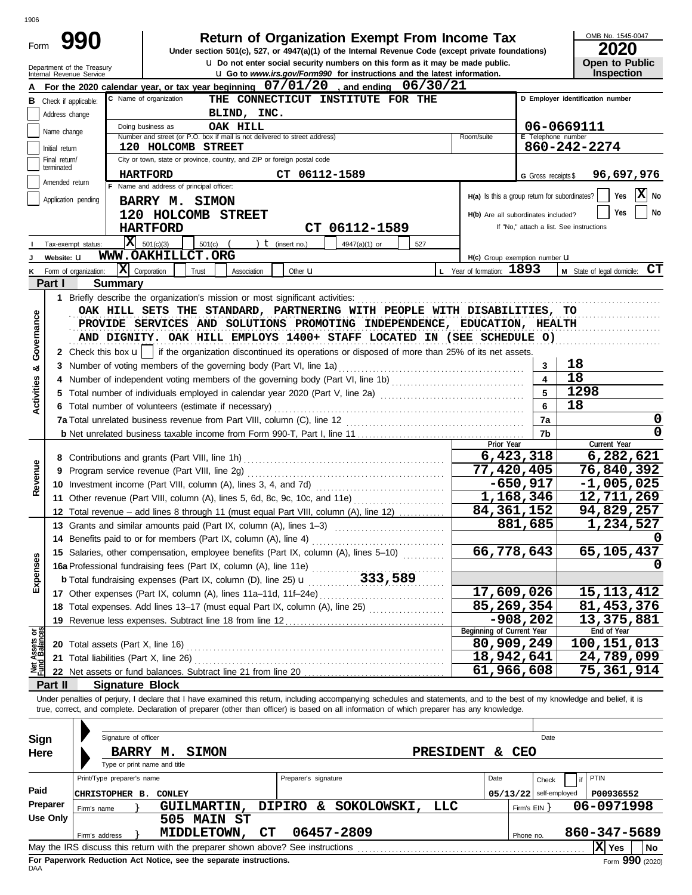| ۰.<br>٠<br>. |
|--------------|
|--------------|

Form

Department of the Treasury

# **Return of Organization Exempt From Income Tax**

**u** Do not enter social security numbers on this form as it may be made public. **Under section 501(c), 527, or 4947(a)(1) of the Internal Revenue Code (except private foundations)** OMB No. 1545-0047

| LVLV |  |                       |  |  |  |  |  |
|------|--|-----------------------|--|--|--|--|--|
|      |  | <b>Open to Public</b> |  |  |  |  |  |
|      |  | Inspection            |  |  |  |  |  |

|                                |                 | Internal Revenue Service               |                                                                                                                                                                                                                                                                                                                          | La Go to www.irs.gov/Form990 for instructions and the latest information. |               |                       |                  |                                               |                         | <b>Inspection</b>                        |
|--------------------------------|-----------------|----------------------------------------|--------------------------------------------------------------------------------------------------------------------------------------------------------------------------------------------------------------------------------------------------------------------------------------------------------------------------|---------------------------------------------------------------------------|---------------|-----------------------|------------------|-----------------------------------------------|-------------------------|------------------------------------------|
|                                |                 |                                        | For the 2020 calendar year, or tax year beginning 07/01/20                                                                                                                                                                                                                                                               |                                                                           |               | and ending $06/30/21$ |                  |                                               |                         |                                          |
|                                |                 | <b>B</b> Check if applicable:          | C Name of organization                                                                                                                                                                                                                                                                                                   | THE CONNECTICUT INSTITUTE FOR THE                                         |               |                       |                  |                                               |                         | D Employer identification number         |
|                                | Address change  |                                        | BLIND, INC.                                                                                                                                                                                                                                                                                                              |                                                                           |               |                       |                  |                                               |                         |                                          |
|                                |                 |                                        | 06-0669111<br>OAK HILL<br>Doing business as                                                                                                                                                                                                                                                                              |                                                                           |               |                       |                  |                                               |                         |                                          |
|                                | Name change     |                                        | E Telephone number<br>Number and street (or P.O. box if mail is not delivered to street address)<br>Room/suite                                                                                                                                                                                                           |                                                                           |               |                       |                  |                                               |                         |                                          |
|                                | Initial return  |                                        | 120 HOLCOMB STREET                                                                                                                                                                                                                                                                                                       |                                                                           |               |                       |                  |                                               |                         | 860-242-2274                             |
|                                | Final return/   |                                        | City or town, state or province, country, and ZIP or foreign postal code                                                                                                                                                                                                                                                 |                                                                           |               |                       |                  |                                               |                         |                                          |
|                                | terminated      |                                        | <b>HARTFORD</b>                                                                                                                                                                                                                                                                                                          |                                                                           | CT 06112-1589 |                       |                  |                                               |                         |                                          |
|                                | Amended return  |                                        | F Name and address of principal officer:                                                                                                                                                                                                                                                                                 |                                                                           |               |                       |                  |                                               | G Gross receipts \$     | 96,697,976                               |
|                                |                 |                                        |                                                                                                                                                                                                                                                                                                                          |                                                                           |               |                       |                  | H(a) Is this a group return for subordinates? |                         | $X$ No<br>Yes                            |
|                                |                 | Application pending                    | <b>BARRY M. SIMON</b>                                                                                                                                                                                                                                                                                                    |                                                                           |               |                       |                  |                                               |                         |                                          |
|                                |                 |                                        | 120 HOLCOMB STREET                                                                                                                                                                                                                                                                                                       |                                                                           |               |                       |                  | H(b) Are all subordinates included?           |                         | No<br>Yes                                |
|                                |                 |                                        | <b>HARTFORD</b>                                                                                                                                                                                                                                                                                                          |                                                                           |               | CT 06112-1589         |                  |                                               |                         | If "No," attach a list. See instructions |
|                                |                 | Tax-exempt status:                     | $ \mathbf{X} $ 501(c)(3)<br>$501(c)$ (                                                                                                                                                                                                                                                                                   | ) $t$ (insert no.)                                                        |               | 4947(a)(1) or         | 527              |                                               |                         |                                          |
|                                | Website: U      |                                        | WWW.OAKHILLCT.ORG                                                                                                                                                                                                                                                                                                        |                                                                           |               |                       |                  | H(c) Group exemption number LI                |                         |                                          |
| κ                              |                 | Form of organization:                  | $\mathbf{X}$ Corporation<br>Trust<br>Association                                                                                                                                                                                                                                                                         | Other <b>u</b>                                                            |               |                       |                  | L Year of formation: 1893                     |                         | M State of legal domicile: CT            |
|                                |                 |                                        |                                                                                                                                                                                                                                                                                                                          |                                                                           |               |                       |                  |                                               |                         |                                          |
|                                | Part I          | <b>Summary</b>                         |                                                                                                                                                                                                                                                                                                                          |                                                                           |               |                       |                  |                                               |                         |                                          |
|                                |                 |                                        | 1 Briefly describe the organization's mission or most significant activities:                                                                                                                                                                                                                                            |                                                                           |               |                       |                  |                                               |                         |                                          |
|                                |                 |                                        | OAK HILL SETS THE STANDARD, PARTNERING WITH PEOPLE WITH DISABILITIES, TO                                                                                                                                                                                                                                                 |                                                                           |               |                       |                  |                                               |                         |                                          |
|                                |                 |                                        | PROVIDE SERVICES AND SOLUTIONS PROMOTING INDEPENDENCE, EDUCATION, HEALTH                                                                                                                                                                                                                                                 |                                                                           |               |                       |                  |                                               |                         |                                          |
|                                |                 |                                        | AND DIGNITY. OAK HILL EMPLOYS 1400+ STAFF LOCATED IN (SEE SCHEDULE O)                                                                                                                                                                                                                                                    |                                                                           |               |                       |                  |                                               |                         |                                          |
| Governance                     |                 |                                        | 2 Check this box $\mathbf{u}$   if the organization discontinued its operations or disposed of more than 25% of its net assets.                                                                                                                                                                                          |                                                                           |               |                       |                  |                                               |                         |                                          |
|                                |                 |                                        | 3 Number of voting members of the governing body (Part VI, line 1a)                                                                                                                                                                                                                                                      |                                                                           |               |                       |                  |                                               | 3                       | 18                                       |
| ಯ                              |                 |                                        |                                                                                                                                                                                                                                                                                                                          |                                                                           |               |                       |                  |                                               | $\overline{\mathbf{4}}$ | 18                                       |
|                                |                 |                                        |                                                                                                                                                                                                                                                                                                                          |                                                                           |               |                       |                  |                                               | 5                       | 1298                                     |
| Activities                     |                 |                                        | 5 Total number of individuals employed in calendar year 2020 (Part V, line 2a) [100] (100] [100] [100] [100] [100] [100] [100] [100] [100] [100] [100] [100] [100] [100] [100] [100] [100] [100] [100] [100] [100] [100] [100]                                                                                           |                                                                           |               |                       |                  |                                               |                         |                                          |
|                                |                 |                                        | 6 Total number of volunteers (estimate if necessary)                                                                                                                                                                                                                                                                     |                                                                           |               |                       |                  |                                               | 6                       | 18                                       |
|                                |                 |                                        |                                                                                                                                                                                                                                                                                                                          |                                                                           |               |                       |                  |                                               | 7a                      | 0                                        |
|                                |                 |                                        |                                                                                                                                                                                                                                                                                                                          |                                                                           |               |                       |                  |                                               | 7b                      | $\Omega$                                 |
|                                |                 |                                        |                                                                                                                                                                                                                                                                                                                          |                                                                           |               |                       |                  | Prior Year                                    |                         | Current Year                             |
|                                |                 |                                        |                                                                                                                                                                                                                                                                                                                          |                                                                           |               |                       |                  | 6,423,318                                     | 6,282,621               |                                          |
| Revenue                        | 9               |                                        | Program service revenue (Part VIII, line 2g)                                                                                                                                                                                                                                                                             |                                                                           |               |                       |                  | 77,420,405                                    |                         | 76,840,392                               |
|                                |                 |                                        |                                                                                                                                                                                                                                                                                                                          |                                                                           |               |                       |                  |                                               | $-650,917$              | $-1,005,025$                             |
|                                |                 |                                        | 11 Other revenue (Part VIII, column (A), lines 5, 6d, 8c, 9c, 10c, and 11e)                                                                                                                                                                                                                                              |                                                                           |               |                       |                  |                                               | 1,168,346               | 12,711,269                               |
|                                |                 |                                        | 12 Total revenue - add lines 8 through 11 (must equal Part VIII, column (A), line 12)                                                                                                                                                                                                                                    |                                                                           |               |                       |                  | 84, 361, 152                                  |                         | 94,829,257                               |
|                                |                 |                                        | 13 Grants and similar amounts paid (Part IX, column (A), lines 1-3)                                                                                                                                                                                                                                                      |                                                                           |               |                       |                  |                                               | 881,685                 | 1,234,527                                |
|                                |                 |                                        |                                                                                                                                                                                                                                                                                                                          |                                                                           |               |                       |                  |                                               |                         |                                          |
|                                |                 |                                        |                                                                                                                                                                                                                                                                                                                          |                                                                           |               |                       |                  |                                               |                         |                                          |
|                                |                 |                                        | 15 Salaries, other compensation, employee benefits (Part IX, column (A), lines 5-10)                                                                                                                                                                                                                                     |                                                                           |               |                       |                  | 66,778,643                                    |                         | 65,105,437                               |
|                                |                 |                                        |                                                                                                                                                                                                                                                                                                                          |                                                                           |               |                       |                  |                                               |                         |                                          |
| Expenses                       |                 |                                        |                                                                                                                                                                                                                                                                                                                          |                                                                           |               |                       |                  |                                               |                         |                                          |
|                                |                 |                                        | 17 Other expenses (Part IX, column (A), lines 11a-11d, 11f-24e)                                                                                                                                                                                                                                                          |                                                                           |               |                       |                  | 17,609,026                                    |                         | 15,113,412                               |
|                                |                 |                                        | 18 Total expenses. Add lines 13-17 (must equal Part IX, column (A), line 25)                                                                                                                                                                                                                                             |                                                                           |               |                       |                  | 85,269,354                                    |                         | 81, 453, 376                             |
|                                |                 |                                        | 19 Revenue less expenses. Subtract line 18 from line 12                                                                                                                                                                                                                                                                  |                                                                           |               |                       |                  |                                               | $-908,202$              | 13,375,881                               |
|                                |                 |                                        |                                                                                                                                                                                                                                                                                                                          |                                                                           |               |                       |                  | Beginning of Current Year                     |                         | End of Year                              |
| Net Assets or<br>Fund Balances |                 |                                        | 20 Total assets (Part X, line 16) Mathematical and Total assets (Part X, line 16)                                                                                                                                                                                                                                        |                                                                           |               |                       |                  | 80,909,249                                    |                         | 100, 151, 013                            |
|                                |                 | 21 Total liabilities (Part X, line 26) |                                                                                                                                                                                                                                                                                                                          |                                                                           |               |                       |                  | 18,942,641                                    |                         | 24,789,099                               |
|                                |                 |                                        |                                                                                                                                                                                                                                                                                                                          |                                                                           |               |                       |                  | $\overline{61}$ , 966, 608                    |                         | 75,361,914                               |
|                                | Part II         | <b>Signature Block</b>                 |                                                                                                                                                                                                                                                                                                                          |                                                                           |               |                       |                  |                                               |                         |                                          |
|                                |                 |                                        |                                                                                                                                                                                                                                                                                                                          |                                                                           |               |                       |                  |                                               |                         |                                          |
|                                |                 |                                        | Under penalties of perjury, I declare that I have examined this return, including accompanying schedules and statements, and to the best of my knowledge and belief, it is<br>true, correct, and complete. Declaration of preparer (other than officer) is based on all information of which preparer has any knowledge. |                                                                           |               |                       |                  |                                               |                         |                                          |
|                                |                 |                                        |                                                                                                                                                                                                                                                                                                                          |                                                                           |               |                       |                  |                                               |                         |                                          |
|                                |                 |                                        |                                                                                                                                                                                                                                                                                                                          |                                                                           |               |                       |                  |                                               |                         |                                          |
| Sign                           |                 | Signature of officer                   |                                                                                                                                                                                                                                                                                                                          |                                                                           |               |                       |                  |                                               | Date                    |                                          |
| Here                           |                 |                                        | BARRY M.<br><b>SIMON</b>                                                                                                                                                                                                                                                                                                 |                                                                           |               |                       | <b>PRESIDENT</b> | &                                             | CEO                     |                                          |
|                                |                 |                                        | Type or print name and title                                                                                                                                                                                                                                                                                             |                                                                           |               |                       |                  |                                               |                         |                                          |
|                                |                 | Print/Type preparer's name             |                                                                                                                                                                                                                                                                                                                          | Preparer's signature                                                      |               |                       |                  | Date                                          | Check                   | PTIN                                     |
| Paid                           |                 |                                        |                                                                                                                                                                                                                                                                                                                          |                                                                           |               |                       |                  |                                               |                         |                                          |
|                                | Preparer        | CHRISTOPHER B. CONLEY                  |                                                                                                                                                                                                                                                                                                                          |                                                                           |               |                       |                  | 05/13/22                                      | self-employed           | P00936552                                |
|                                |                 | Firm's name                            | <b>GUILMARTIN,</b>                                                                                                                                                                                                                                                                                                       | <b>DIPIRO</b>                                                             | &             | SOKOLOWSKI,           | <b>LLC</b>       |                                               | Firm's EIN }            | 06-0971998                               |
|                                | <b>Use Only</b> |                                        | 505 MAIN ST                                                                                                                                                                                                                                                                                                              |                                                                           |               |                       |                  |                                               |                         |                                          |
|                                |                 | Firm's address                         | MIDDLETOWN,                                                                                                                                                                                                                                                                                                              | CT                                                                        | 06457-2809    |                       |                  |                                               | Phone no.               | 860-347-5689                             |
|                                |                 |                                        |                                                                                                                                                                                                                                                                                                                          |                                                                           |               |                       |                  |                                               |                         | $ X $ Yes<br>  No                        |

| Sign     |                    | Signature of officer                         |               |                                                                                 |           |                      |    |            |             |                  |      |              | Date                     |              |                                    |    |
|----------|--------------------|----------------------------------------------|---------------|---------------------------------------------------------------------------------|-----------|----------------------|----|------------|-------------|------------------|------|--------------|--------------------------|--------------|------------------------------------|----|
| Here     |                    | <b>BARRY</b><br>Type or print name and title | м.            | SIMON                                                                           |           |                      |    |            |             | <b>PRESIDENT</b> | s÷.  | CEO          |                          |              |                                    |    |
|          |                    | Print/Type preparer's name                   |               |                                                                                 |           | Preparer's signature |    |            |             |                  | Date |              | Check                    | I PTIN       |                                    |    |
| Paid     | <b>CHRISTOPHER</b> | в.                                           | <b>CONLEY</b> |                                                                                 |           |                      |    |            |             |                  |      |              | $05/13/22$ self-employed | P00936552    |                                    |    |
| Preparer | Firm's name        |                                              |               | <b>GUILMARTIN,</b>                                                              |           | DIPIRO               | &. |            | SOKOLOWSKI, | LLC              |      | Firm's EIN Y |                          | 06-0971998   |                                    |    |
| Use Only |                    |                                              |               | 505 MAIN ST                                                                     |           |                      |    |            |             |                  |      |              |                          |              |                                    |    |
|          | Firm's address     |                                              |               | MIDDLETOWN,                                                                     | <b>CT</b> |                      |    | 06457-2809 |             |                  |      | Phone no.    |                          | 860-347-5689 |                                    |    |
|          |                    |                                              |               | May the IRS discuss this return with the preparer shown above? See instructions |           |                      |    |            |             |                  |      |              |                          | ΙXΙ<br>Yes   |                                    | No |
|          |                    |                                              |               |                                                                                 |           |                      |    |            |             |                  |      |              |                          |              | $\mathbf{A} \mathbf{A} \mathbf{A}$ |    |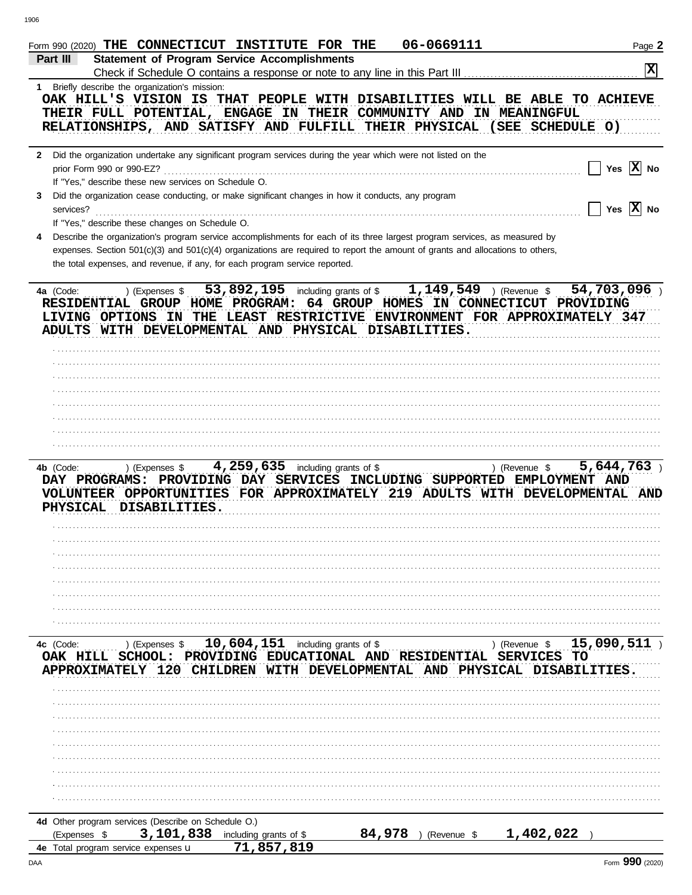|                                                                               | Form 990 (2020) THE CONNECTICUT INSTITUTE FOR THE                                                                                                                                                             | 06-0669111            | Page 2                                                                                           |
|-------------------------------------------------------------------------------|---------------------------------------------------------------------------------------------------------------------------------------------------------------------------------------------------------------|-----------------------|--------------------------------------------------------------------------------------------------|
| Part III                                                                      | <b>Statement of Program Service Accomplishments</b>                                                                                                                                                           |                       | $\overline{\mathbf{x}}$                                                                          |
| 1 Briefly describe the organization's mission:                                | Check if Schedule O contains a response or note to any line in this Part III                                                                                                                                  |                       |                                                                                                  |
|                                                                               |                                                                                                                                                                                                               |                       | OAK HILL'S VISION IS THAT PEOPLE WITH DISABILITIES WILL BE ABLE TO ACHIEVE                       |
|                                                                               | THEIR FULL POTENTIAL, ENGAGE IN THEIR COMMUNITY AND IN MEANINGFUL                                                                                                                                             |                       |                                                                                                  |
|                                                                               | RELATIONSHIPS, AND SATISFY AND FULFILL THEIR PHYSICAL (SEE SCHEDULE O)                                                                                                                                        |                       |                                                                                                  |
|                                                                               | 2 Did the organization undertake any significant program services during the year which were not listed on the                                                                                                |                       |                                                                                                  |
| prior Form 990 or 990-EZ?                                                     |                                                                                                                                                                                                               |                       | Yes $ X $ No                                                                                     |
| If "Yes," describe these new services on Schedule O.                          |                                                                                                                                                                                                               |                       |                                                                                                  |
| 3                                                                             | Did the organization cease conducting, or make significant changes in how it conducts, any program                                                                                                            |                       |                                                                                                  |
| services?                                                                     |                                                                                                                                                                                                               |                       | Yes $ \overline{X} $ No                                                                          |
| If "Yes," describe these changes on Schedule O.                               |                                                                                                                                                                                                               |                       |                                                                                                  |
|                                                                               | Describe the organization's program service accomplishments for each of its three largest program services, as measured by                                                                                    |                       |                                                                                                  |
|                                                                               | expenses. Section 501(c)(3) and 501(c)(4) organizations are required to report the amount of grants and allocations to others,<br>the total expenses, and revenue, if any, for each program service reported. |                       |                                                                                                  |
|                                                                               |                                                                                                                                                                                                               |                       |                                                                                                  |
| ) (Expenses \$<br>4a (Code:                                                   | 53,892,195 including grants of $$1,149,549$ (Revenue \$                                                                                                                                                       |                       | 54,703,096)                                                                                      |
|                                                                               | RESIDENTIAL GROUP HOME PROGRAM: 64 GROUP HOMES IN CONNECTICUT PROVIDING<br>ADULTS WITH DEVELOPMENTAL AND PHYSICAL DISABILITIES.                                                                               |                       | LIVING OPTIONS IN THE LEAST RESTRICTIVE ENVIRONMENT FOR APPROXIMATELY 347                        |
|                                                                               |                                                                                                                                                                                                               |                       |                                                                                                  |
|                                                                               |                                                                                                                                                                                                               |                       |                                                                                                  |
|                                                                               |                                                                                                                                                                                                               |                       |                                                                                                  |
|                                                                               |                                                                                                                                                                                                               |                       |                                                                                                  |
|                                                                               |                                                                                                                                                                                                               |                       |                                                                                                  |
|                                                                               |                                                                                                                                                                                                               |                       |                                                                                                  |
|                                                                               |                                                                                                                                                                                                               |                       |                                                                                                  |
|                                                                               |                                                                                                                                                                                                               |                       |                                                                                                  |
| PHYSICAL DISABILITIES.                                                        | DAY PROGRAMS: PROVIDING DAY SERVICES INCLUDING SUPPORTED EMPLOYMENT AND                                                                                                                                       |                       | VOLUNTEER OPPORTUNITIES FOR APPROXIMATELY 219 ADULTS WITH DEVELOPMENTAL AND                      |
|                                                                               |                                                                                                                                                                                                               |                       |                                                                                                  |
|                                                                               |                                                                                                                                                                                                               |                       |                                                                                                  |
|                                                                               |                                                                                                                                                                                                               |                       |                                                                                                  |
|                                                                               |                                                                                                                                                                                                               |                       |                                                                                                  |
|                                                                               |                                                                                                                                                                                                               |                       |                                                                                                  |
| 4c (Code:<br>) (Expenses \$<br>OAK HILL SCHOOL:<br>APPROXIMATELY 120 CHILDREN | 10,604,151 including grants of \$<br>PROVIDING EDUCATIONAL AND RESIDENTIAL<br>WITH                                                                                                                            |                       | 15,090,511<br>) (Revenue \$<br><b>SERVICES</b><br>TО<br>DEVELOPMENTAL AND PHYSICAL DISABILITIES. |
|                                                                               |                                                                                                                                                                                                               |                       |                                                                                                  |
|                                                                               |                                                                                                                                                                                                               |                       |                                                                                                  |
|                                                                               |                                                                                                                                                                                                               |                       |                                                                                                  |
|                                                                               |                                                                                                                                                                                                               |                       |                                                                                                  |
|                                                                               |                                                                                                                                                                                                               |                       |                                                                                                  |
|                                                                               |                                                                                                                                                                                                               |                       |                                                                                                  |
|                                                                               |                                                                                                                                                                                                               |                       |                                                                                                  |
|                                                                               |                                                                                                                                                                                                               |                       |                                                                                                  |
|                                                                               |                                                                                                                                                                                                               |                       |                                                                                                  |
| 4d Other program services (Describe on Schedule O.)                           |                                                                                                                                                                                                               |                       |                                                                                                  |
| (Expenses \$                                                                  | 3,101,838 including grants of \$                                                                                                                                                                              | 84,978<br>(Revenue \$ | 1,402,022                                                                                        |
| 4e Total program service expenses u                                           | 71,857,819                                                                                                                                                                                                    |                       | Form 990 (2020)                                                                                  |
| DAA                                                                           |                                                                                                                                                                                                               |                       |                                                                                                  |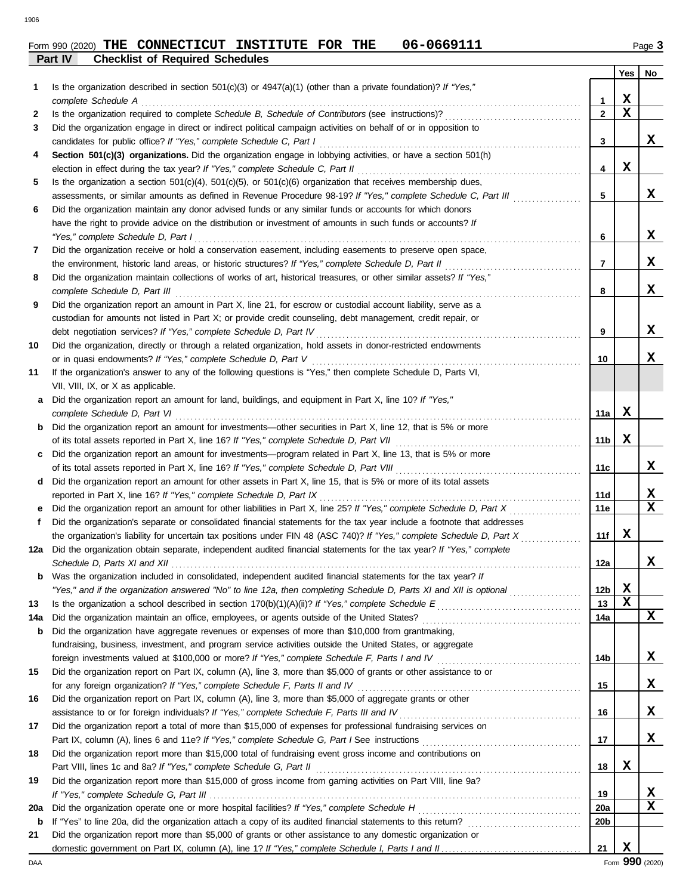|     |                                                                                                                                                                                                                                    |                 | Yes         | No                      |
|-----|------------------------------------------------------------------------------------------------------------------------------------------------------------------------------------------------------------------------------------|-----------------|-------------|-------------------------|
| 1   | Is the organization described in section $501(c)(3)$ or $4947(a)(1)$ (other than a private foundation)? If "Yes,"                                                                                                                  |                 |             |                         |
|     | complete Schedule A                                                                                                                                                                                                                | 1               | X           |                         |
| 2   |                                                                                                                                                                                                                                    | $\mathbf{2}$    | x           |                         |
| 3   | Did the organization engage in direct or indirect political campaign activities on behalf of or in opposition to                                                                                                                   |                 |             |                         |
|     |                                                                                                                                                                                                                                    | 3               |             | X.                      |
| 4   | Section 501(c)(3) organizations. Did the organization engage in lobbying activities, or have a section 501(h)                                                                                                                      |                 |             |                         |
|     |                                                                                                                                                                                                                                    | 4               | X           |                         |
| 5   | Is the organization a section $501(c)(4)$ , $501(c)(5)$ , or $501(c)(6)$ organization that receives membership dues,                                                                                                               |                 |             |                         |
|     | assessments, or similar amounts as defined in Revenue Procedure 98-19? If "Yes," complete Schedule C, Part III                                                                                                                     | 5               |             | x                       |
| 6   | Did the organization maintain any donor advised funds or any similar funds or accounts for which donors                                                                                                                            |                 |             |                         |
|     | have the right to provide advice on the distribution or investment of amounts in such funds or accounts? If                                                                                                                        |                 |             | x                       |
|     | "Yes," complete Schedule D, Part I<br>Did the organization receive or hold a conservation easement, including easements to preserve open space,                                                                                    | 6               |             |                         |
| 7   | the environment, historic land areas, or historic structures? If "Yes," complete Schedule D, Part II                                                                                                                               | 7               |             | x                       |
| 8   | Did the organization maintain collections of works of art, historical treasures, or other similar assets? If "Yes,"                                                                                                                |                 |             |                         |
|     | complete Schedule D, Part III                                                                                                                                                                                                      | 8               |             | x                       |
| 9   | Did the organization report an amount in Part X, line 21, for escrow or custodial account liability, serve as a                                                                                                                    |                 |             |                         |
|     | custodian for amounts not listed in Part X; or provide credit counseling, debt management, credit repair, or                                                                                                                       |                 |             |                         |
|     |                                                                                                                                                                                                                                    | 9               |             | X.                      |
| 10  | Did the organization, directly or through a related organization, hold assets in donor-restricted endowments                                                                                                                       |                 |             |                         |
|     | or in quasi endowments? If "Yes," complete Schedule D, Part V                                                                                                                                                                      | 10              |             | x                       |
| 11  | If the organization's answer to any of the following questions is "Yes," then complete Schedule D, Parts VI,                                                                                                                       |                 |             |                         |
|     | VII, VIII, IX, or X as applicable.                                                                                                                                                                                                 |                 |             |                         |
| a   | Did the organization report an amount for land, buildings, and equipment in Part X, line 10? If "Yes,"                                                                                                                             |                 |             |                         |
|     | complete Schedule D, Part VI                                                                                                                                                                                                       | 11a             | х           |                         |
| b   | Did the organization report an amount for investments—other securities in Part X, line 12, that is 5% or more                                                                                                                      |                 |             |                         |
|     |                                                                                                                                                                                                                                    | 11 <sub>b</sub> | X           |                         |
| c   | Did the organization report an amount for investments—program related in Part X, line 13, that is 5% or more                                                                                                                       |                 |             |                         |
|     |                                                                                                                                                                                                                                    | 11c             |             | X.                      |
| d   | Did the organization report an amount for other assets in Part X, line 15, that is 5% or more of its total assets                                                                                                                  |                 |             |                         |
|     | reported in Part X, line 16? If "Yes," complete Schedule D, Part IX                                                                                                                                                                | 11d             |             | X                       |
| е   | Did the organization report an amount for other liabilities in Part X, line 25? If "Yes," complete Schedule D, Part X                                                                                                              | 11e             |             | $\overline{\mathbf{x}}$ |
| f   | Did the organization's separate or consolidated financial statements for the tax year include a footnote that addresses                                                                                                            |                 |             |                         |
|     | the organization's liability for uncertain tax positions under FIN 48 (ASC 740)? If "Yes," complete Schedule D, Part X                                                                                                             | 11f             | x           |                         |
| 12a | Did the organization obtain separate, independent audited financial statements for the tax year? If "Yes," complete                                                                                                                |                 |             | x                       |
|     |                                                                                                                                                                                                                                    | 12a             |             |                         |
| b   | Was the organization included in consolidated, independent audited financial statements for the tax year? If<br>"Yes," and if the organization answered "No" to line 12a, then completing Schedule D, Parts XI and XII is optional | 12 <sub>b</sub> | X           |                         |
| 13  |                                                                                                                                                                                                                                    | 13              | $\mathbf x$ |                         |
| 14a | Did the organization maintain an office, employees, or agents outside of the United States?                                                                                                                                        | 14a             |             | X                       |
| b   | Did the organization have aggregate revenues or expenses of more than \$10,000 from grantmaking,                                                                                                                                   |                 |             |                         |
|     | fundraising, business, investment, and program service activities outside the United States, or aggregate                                                                                                                          |                 |             |                         |
|     |                                                                                                                                                                                                                                    | 14 <sub>b</sub> |             | X                       |
| 15  | Did the organization report on Part IX, column (A), line 3, more than \$5,000 of grants or other assistance to or                                                                                                                  |                 |             |                         |
|     | for any foreign organization? If "Yes," complete Schedule F, Parts II and IV                                                                                                                                                       | 15              |             | X                       |
| 16  | Did the organization report on Part IX, column (A), line 3, more than \$5,000 of aggregate grants or other                                                                                                                         |                 |             |                         |
|     | assistance to or for foreign individuals? If "Yes," complete Schedule F, Parts III and IV                                                                                                                                          | 16              |             | x                       |
| 17  | Did the organization report a total of more than \$15,000 of expenses for professional fundraising services on                                                                                                                     |                 |             |                         |
|     |                                                                                                                                                                                                                                    | 17              |             | x                       |
| 18  | Did the organization report more than \$15,000 total of fundraising event gross income and contributions on                                                                                                                        |                 |             |                         |
|     | Part VIII, lines 1c and 8a? If "Yes," complete Schedule G, Part II                                                                                                                                                                 | 18              | X           |                         |
| 19  | Did the organization report more than \$15,000 of gross income from gaming activities on Part VIII, line 9a?                                                                                                                       |                 |             |                         |
|     |                                                                                                                                                                                                                                    | 19              |             | X                       |
| 20a |                                                                                                                                                                                                                                    | 20a             |             | X                       |
| b   |                                                                                                                                                                                                                                    | 20 <sub>b</sub> |             |                         |
| 21  | Did the organization report more than \$5,000 of grants or other assistance to any domestic organization or                                                                                                                        |                 |             |                         |
|     |                                                                                                                                                                                                                                    | 21              | X           |                         |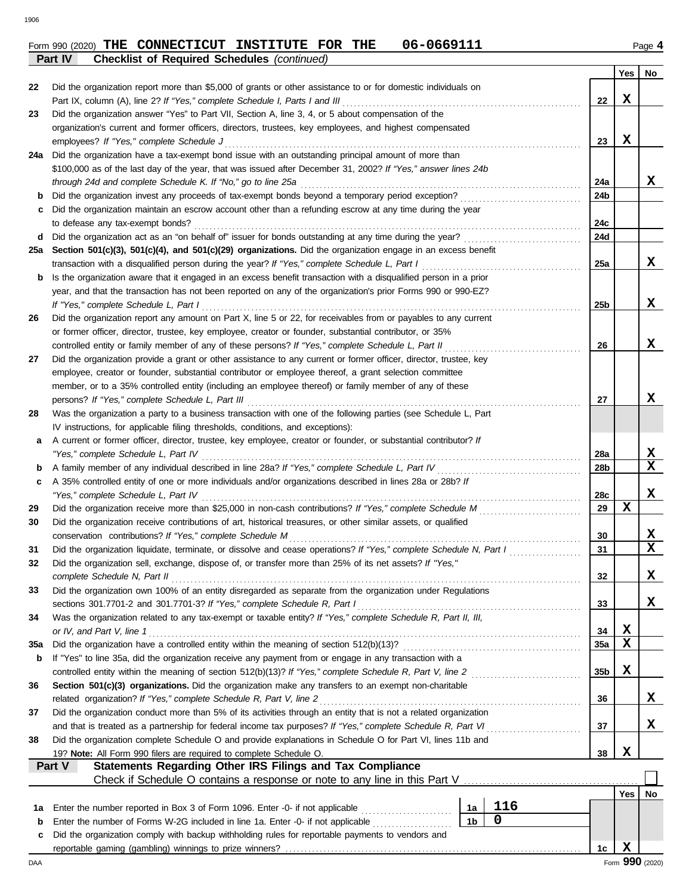## Form 990 (2020) THE CONNECTICUT INSTITUTE FOR THE 06-0669111 Page 4 **Part IV Checklist of Required Schedules** *(continued)*

|     |                                                                                                                    |                 | Yes | No                      |
|-----|--------------------------------------------------------------------------------------------------------------------|-----------------|-----|-------------------------|
| 22  | Did the organization report more than \$5,000 of grants or other assistance to or for domestic individuals on      |                 |     |                         |
|     | Part IX, column (A), line 2? If "Yes," complete Schedule I, Parts I and III                                        | 22              | X   |                         |
| 23  | Did the organization answer "Yes" to Part VII, Section A, line 3, 4, or 5 about compensation of the                |                 |     |                         |
|     | organization's current and former officers, directors, trustees, key employees, and highest compensated            |                 |     |                         |
|     | employees? If "Yes," complete Schedule J                                                                           | 23              | x   |                         |
| 24a | Did the organization have a tax-exempt bond issue with an outstanding principal amount of more than                |                 |     |                         |
|     | \$100,000 as of the last day of the year, that was issued after December 31, 2002? If "Yes," answer lines 24b      |                 |     |                         |
|     | through 24d and complete Schedule K. If "No," go to line 25a                                                       | 24a             |     | x                       |
| b   | Did the organization invest any proceeds of tax-exempt bonds beyond a temporary period exception?                  | 24b             |     |                         |
| c   | Did the organization maintain an escrow account other than a refunding escrow at any time during the year          |                 |     |                         |
|     | to defease any tax-exempt bonds?                                                                                   | 24c             |     |                         |
| d   | Did the organization act as an "on behalf of" issuer for bonds outstanding at any time during the year?            | 24d             |     |                         |
| 25а | Section 501(c)(3), 501(c)(4), and 501(c)(29) organizations. Did the organization engage in an excess benefit       |                 |     |                         |
|     | transaction with a disqualified person during the year? If "Yes," complete Schedule L, Part I                      | 25a             |     | x                       |
| b   | Is the organization aware that it engaged in an excess benefit transaction with a disqualified person in a prior   |                 |     |                         |
|     | year, and that the transaction has not been reported on any of the organization's prior Forms 990 or 990-EZ?       |                 |     |                         |
|     | If "Yes," complete Schedule L, Part I                                                                              | 25 <sub>b</sub> |     | x                       |
| 26  | Did the organization report any amount on Part X, line 5 or 22, for receivables from or payables to any current    |                 |     |                         |
|     | or former officer, director, trustee, key employee, creator or founder, substantial contributor, or 35%            |                 |     |                         |
|     | controlled entity or family member of any of these persons? If "Yes," complete Schedule L, Part II                 | 26              |     | x                       |
| 27  | Did the organization provide a grant or other assistance to any current or former officer, director, trustee, key  |                 |     |                         |
|     | employee, creator or founder, substantial contributor or employee thereof, a grant selection committee             |                 |     |                         |
|     | member, or to a 35% controlled entity (including an employee thereof) or family member of any of these             |                 |     |                         |
|     | persons? If "Yes," complete Schedule L, Part III                                                                   | 27              |     | x                       |
| 28  | Was the organization a party to a business transaction with one of the following parties (see Schedule L, Part     |                 |     |                         |
|     | IV instructions, for applicable filing thresholds, conditions, and exceptions):                                    |                 |     |                         |
| а   | A current or former officer, director, trustee, key employee, creator or founder, or substantial contributor? If   |                 |     |                         |
|     | "Yes," complete Schedule L, Part IV                                                                                | 28a             |     | X                       |
| b   |                                                                                                                    | 28 <sub>b</sub> |     | X                       |
| c   | A 35% controlled entity of one or more individuals and/or organizations described in lines 28a or 28b? If          |                 |     |                         |
|     | "Yes," complete Schedule L, Part IV                                                                                | 28c             |     | x                       |
| 29  |                                                                                                                    | 29              | X   |                         |
| 30  | Did the organization receive contributions of art, historical treasures, or other similar assets, or qualified     |                 |     |                         |
|     | conservation contributions? If "Yes," complete Schedule M                                                          | 30              |     | X                       |
| 31  | Did the organization liquidate, terminate, or dissolve and cease operations? If "Yes," complete Schedule N, Part I | 31              |     | $\overline{\mathbf{x}}$ |
| 32  | Did the organization sell, exchange, dispose of, or transfer more than 25% of its net assets? If "Yes,"            |                 |     |                         |
|     | complete Schedule N, Part II                                                                                       | 32              |     | х                       |
| 33  | Did the organization own 100% of an entity disregarded as separate from the organization under Regulations         |                 |     |                         |
|     | sections 301.7701-2 and 301.7701-3? If "Yes," complete Schedule R, Part I                                          | 33              |     | x                       |
| 34  | Was the organization related to any tax-exempt or taxable entity? If "Yes," complete Schedule R, Part II, III,     |                 |     |                         |
|     | or IV, and Part V, line 1                                                                                          | 34              | X   |                         |
| 35a | Did the organization have a controlled entity within the meaning of section 512(b)(13)?                            | 35a             | X   |                         |
| b   | If "Yes" to line 35a, did the organization receive any payment from or engage in any transaction with a            |                 |     |                         |
|     | controlled entity within the meaning of section 512(b)(13)? If "Yes," complete Schedule R, Part V, line 2          | 35b             | X   |                         |
| 36  | Section 501(c)(3) organizations. Did the organization make any transfers to an exempt non-charitable               |                 |     |                         |
|     | related organization? If "Yes," complete Schedule R, Part V, line 2                                                | 36              |     | X,                      |
| 37  | Did the organization conduct more than 5% of its activities through an entity that is not a related organization   |                 |     |                         |
|     | and that is treated as a partnership for federal income tax purposes? If "Yes," complete Schedule R, Part VI       | 37              |     | x                       |
| 38  | Did the organization complete Schedule O and provide explanations in Schedule O for Part VI, lines 11b and         |                 |     |                         |
|     | 19? Note: All Form 990 filers are required to complete Schedule O.                                                 | 38              | X   |                         |
|     | Part V<br>Statements Regarding Other IRS Filings and Tax Compliance                                                |                 |     |                         |
|     | Check if Schedule O contains a response or note to any line in this Part V                                         |                 |     |                         |
|     |                                                                                                                    |                 | Yes | No                      |
| 1а  | 116<br>Enter the number reported in Box 3 of Form 1096. Enter -0- if not applicable<br>1a                          |                 |     |                         |
| b   | $\mathbf 0$<br>1 <sub>b</sub><br>Enter the number of Forms W-2G included in line 1a. Enter -0- if not applicable   |                 |     |                         |
| c   | Did the organization comply with backup withholding rules for reportable payments to vendors and                   |                 |     |                         |
|     |                                                                                                                    | 1c              | X   |                         |
| DAA |                                                                                                                    |                 |     | Form 990 (2020)         |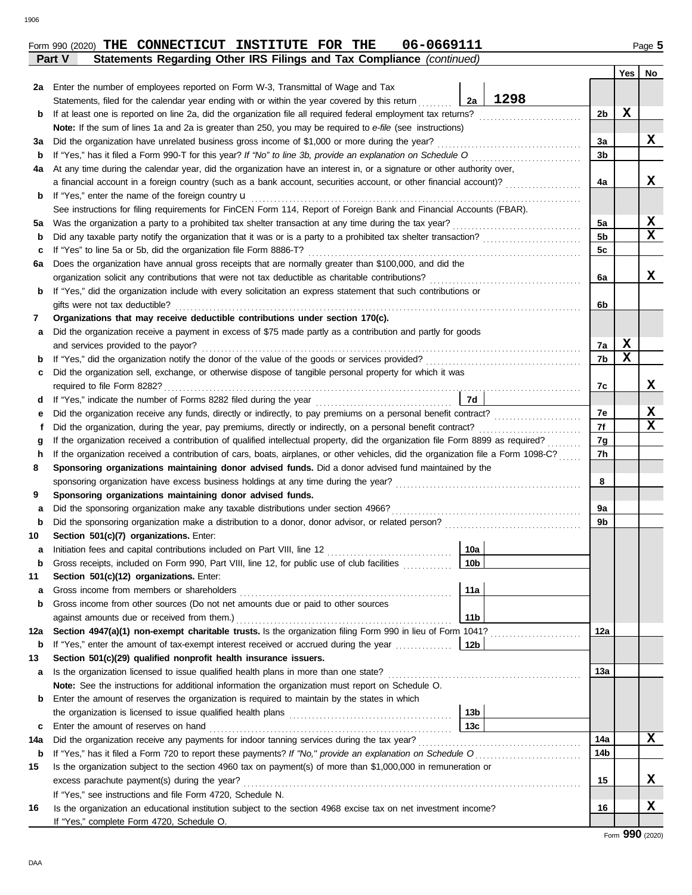|               | Form 990 (2020) THE CONNECTICUT INSTITUTE FOR THE |  | 06-0669111                                                            | Page 5 |
|---------------|---------------------------------------------------|--|-----------------------------------------------------------------------|--------|
| <b>Part V</b> |                                                   |  | Statements Regarding Other IRS Filings and Tax Compliance (continued) |        |

|        |                                                                                                                                                 |                | Yes | No          |  |  |  |  |  |
|--------|-------------------------------------------------------------------------------------------------------------------------------------------------|----------------|-----|-------------|--|--|--|--|--|
| 2a l   | Enter the number of employees reported on Form W-3, Transmittal of Wage and Tax                                                                 |                |     |             |  |  |  |  |  |
|        | 1298<br>2a<br>Statements, filed for the calendar year ending with or within the year covered by this return                                     | 2b             | x   |             |  |  |  |  |  |
| b      | If at least one is reported on line 2a, did the organization file all required federal employment tax returns?                                  |                |     |             |  |  |  |  |  |
|        | Note: If the sum of lines 1a and 2a is greater than 250, you may be required to e-file (see instructions)                                       |                |     |             |  |  |  |  |  |
| За     | Did the organization have unrelated business gross income of \$1,000 or more during the year?                                                   |                |     |             |  |  |  |  |  |
| b      | If "Yes," has it filed a Form 990-T for this year? If "No" to line 3b, provide an explanation on Schedule O consequences                        |                |     |             |  |  |  |  |  |
| 4a     | At any time during the calendar year, did the organization have an interest in, or a signature or other authority over,                         |                |     |             |  |  |  |  |  |
|        | a financial account in a foreign country (such as a bank account, securities account, or other financial account)?                              | 4a             |     | x           |  |  |  |  |  |
| b      | If "Yes," enter the name of the foreign country <b>u</b>                                                                                        |                |     |             |  |  |  |  |  |
|        | See instructions for filing requirements for FinCEN Form 114, Report of Foreign Bank and Financial Accounts (FBAR).                             |                |     |             |  |  |  |  |  |
| 5a     | Was the organization a party to a prohibited tax shelter transaction at any time during the tax year?                                           | 5a             |     | X           |  |  |  |  |  |
| b      |                                                                                                                                                 | 5 <sub>b</sub> |     | $\mathbf x$ |  |  |  |  |  |
| с      | If "Yes" to line 5a or 5b, did the organization file Form 8886-T?                                                                               | 5c             |     |             |  |  |  |  |  |
| 6а     | Does the organization have annual gross receipts that are normally greater than \$100,000, and did the                                          |                |     |             |  |  |  |  |  |
|        | organization solicit any contributions that were not tax deductible as charitable contributions?                                                | 6a             |     | x           |  |  |  |  |  |
| b      | If "Yes," did the organization include with every solicitation an express statement that such contributions or                                  |                |     |             |  |  |  |  |  |
|        | gifts were not tax deductible?                                                                                                                  | 6b             |     |             |  |  |  |  |  |
| 7      | Organizations that may receive deductible contributions under section 170(c).                                                                   |                |     |             |  |  |  |  |  |
| а      | Did the organization receive a payment in excess of \$75 made partly as a contribution and partly for goods                                     |                |     |             |  |  |  |  |  |
|        | and services provided to the payor?                                                                                                             | 7а             | x   |             |  |  |  |  |  |
| b      |                                                                                                                                                 | 7b             | х   |             |  |  |  |  |  |
| c      | Did the organization sell, exchange, or otherwise dispose of tangible personal property for which it was                                        |                |     |             |  |  |  |  |  |
|        | required to file Form 8282?                                                                                                                     | 7с             |     | x           |  |  |  |  |  |
| d      | 7d                                                                                                                                              | 7е             |     | X           |  |  |  |  |  |
|        | е                                                                                                                                               |                |     |             |  |  |  |  |  |
| f      | Did the organization, during the year, pay premiums, directly or indirectly, on a personal benefit contract?                                    | 7f             |     | x           |  |  |  |  |  |
| g      | If the organization received a contribution of qualified intellectual property, did the organization file Form 8899 as required?                | 7g             |     |             |  |  |  |  |  |
| h      | If the organization received a contribution of cars, boats, airplanes, or other vehicles, did the organization file a Form 1098-C?              | 7h             |     |             |  |  |  |  |  |
| 8      | Sponsoring organizations maintaining donor advised funds. Did a donor advised fund maintained by the                                            |                |     |             |  |  |  |  |  |
| 9      |                                                                                                                                                 | 8              |     |             |  |  |  |  |  |
|        | Sponsoring organizations maintaining donor advised funds.<br>Did the sponsoring organization make any taxable distributions under section 4966? | 9a             |     |             |  |  |  |  |  |
| а<br>b |                                                                                                                                                 | 9b             |     |             |  |  |  |  |  |
| 10     | Section 501(c)(7) organizations. Enter:                                                                                                         |                |     |             |  |  |  |  |  |
|        | Initiation fees and capital contributions included on Part VIII, line 12<br>10a                                                                 |                |     |             |  |  |  |  |  |
| а<br>b | 10 <sub>b</sub><br>Gross receipts, included on Form 990, Part VIII, line 12, for public use of club facilities                                  |                |     |             |  |  |  |  |  |
| 11     | Section 501(c)(12) organizations. Enter:                                                                                                        |                |     |             |  |  |  |  |  |
| а      | 11a<br>Gross income from members or shareholders                                                                                                |                |     |             |  |  |  |  |  |
| b      | Gross income from other sources (Do not net amounts due or paid to other sources                                                                |                |     |             |  |  |  |  |  |
|        | 11 <sub>b</sub>                                                                                                                                 |                |     |             |  |  |  |  |  |
| 12a    | Section 4947(a)(1) non-exempt charitable trusts. Is the organization filing Form 990 in lieu of Form 1041?                                      | 12a            |     |             |  |  |  |  |  |
| b      | 12b<br>If "Yes," enter the amount of tax-exempt interest received or accrued during the year                                                    |                |     |             |  |  |  |  |  |
| 13     | Section 501(c)(29) qualified nonprofit health insurance issuers.                                                                                |                |     |             |  |  |  |  |  |
| а      | Is the organization licensed to issue qualified health plans in more than one state?                                                            | 13a            |     |             |  |  |  |  |  |
|        | Note: See the instructions for additional information the organization must report on Schedule O.                                               |                |     |             |  |  |  |  |  |
| b      | Enter the amount of reserves the organization is required to maintain by the states in which                                                    |                |     |             |  |  |  |  |  |
|        | 13 <sub>b</sub>                                                                                                                                 |                |     |             |  |  |  |  |  |
| c      | 13 <sub>c</sub><br>Enter the amount of reserves on hand                                                                                         |                |     |             |  |  |  |  |  |
| 14a    | Did the organization receive any payments for indoor tanning services during the tax year?                                                      | 14a            |     | x           |  |  |  |  |  |
| b      | If "Yes," has it filed a Form 720 to report these payments? If "No," provide an explanation on Schedule O                                       | 14b            |     |             |  |  |  |  |  |
| 15     | Is the organization subject to the section 4960 tax on payment(s) of more than \$1,000,000 in remuneration or                                   |                |     |             |  |  |  |  |  |
|        | excess parachute payment(s) during the year?                                                                                                    | 15             |     | x           |  |  |  |  |  |
|        | If "Yes," see instructions and file Form 4720, Schedule N.                                                                                      |                |     |             |  |  |  |  |  |
| 16     | Is the organization an educational institution subject to the section 4968 excise tax on net investment income?                                 | 16             |     | х           |  |  |  |  |  |
|        | If "Yes," complete Form 4720, Schedule O.                                                                                                       |                |     |             |  |  |  |  |  |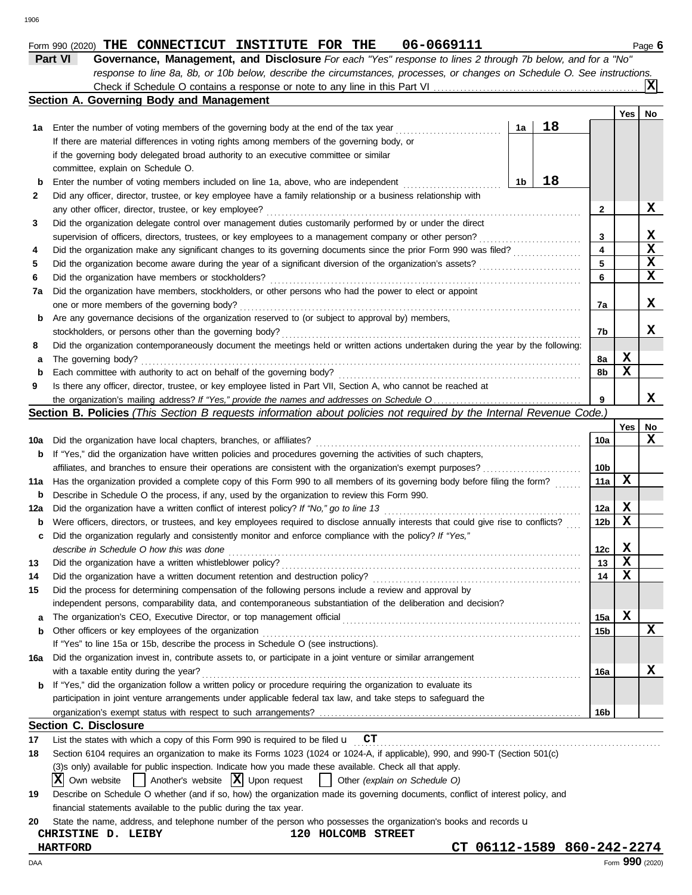|  | $\mu$ 76 holow and for a "Ma" |  |
|--|-------------------------------|--|
|  |                               |  |
|  |                               |  |

|          | 06-0669111<br>Form 990 (2020) THE CONNECTICUT INSTITUTE FOR THE                                                                                                                                                              |                         |             | Page 6      |
|----------|------------------------------------------------------------------------------------------------------------------------------------------------------------------------------------------------------------------------------|-------------------------|-------------|-------------|
|          | Part VI<br>Governance, Management, and Disclosure For each "Yes" response to lines 2 through 7b below, and for a "No"                                                                                                        |                         |             |             |
|          | response to line 8a, 8b, or 10b below, describe the circumstances, processes, or changes on Schedule O. See instructions.                                                                                                    |                         |             |             |
|          |                                                                                                                                                                                                                              |                         |             |             |
|          | Section A. Governing Body and Management                                                                                                                                                                                     |                         |             |             |
|          |                                                                                                                                                                                                                              |                         | Yes         | No          |
| 1а       | 18<br>1a<br>Enter the number of voting members of the governing body at the end of the tax year                                                                                                                              |                         |             |             |
|          | If there are material differences in voting rights among members of the governing body, or                                                                                                                                   |                         |             |             |
|          | if the governing body delegated broad authority to an executive committee or similar                                                                                                                                         |                         |             |             |
|          | committee, explain on Schedule O.                                                                                                                                                                                            |                         |             |             |
| b        | 18<br>1b<br>Enter the number of voting members included on line 1a, above, who are independent                                                                                                                               |                         |             |             |
| 2        | Did any officer, director, trustee, or key employee have a family relationship or a business relationship with                                                                                                               |                         |             |             |
|          | any other officer, director, trustee, or key employee?                                                                                                                                                                       | $\mathbf{2}$            |             | х           |
| 3        | Did the organization delegate control over management duties customarily performed by or under the direct                                                                                                                    |                         |             |             |
|          | supervision of officers, directors, trustees, or key employees to a management company or other person?                                                                                                                      | 3                       |             | х           |
| 4        | Did the organization make any significant changes to its governing documents since the prior Form 990 was filed?                                                                                                             | $\overline{\mathbf{4}}$ |             | $\mathbf x$ |
| 5        | Did the organization become aware during the year of a significant diversion of the organization's assets?                                                                                                                   | 5                       |             | X           |
| 6        | Did the organization have members or stockholders?                                                                                                                                                                           | 6                       |             | X           |
| 7a       | Did the organization have members, stockholders, or other persons who had the power to elect or appoint                                                                                                                      |                         |             |             |
|          | one or more members of the governing body?                                                                                                                                                                                   | 7a                      |             | x           |
| b        | Are any governance decisions of the organization reserved to (or subject to approval by) members,                                                                                                                            |                         |             |             |
|          | stockholders, or persons other than the governing body?                                                                                                                                                                      | 7b                      |             | x           |
| 8        | Did the organization contemporaneously document the meetings held or written actions undertaken during the year by the following:                                                                                            |                         |             |             |
| а        | The governing body?                                                                                                                                                                                                          | 8а                      | X           |             |
| b        | Each committee with authority to act on behalf of the governing body?                                                                                                                                                        | 8b                      | X           |             |
| 9        | Is there any officer, director, trustee, or key employee listed in Part VII, Section A, who cannot be reached at                                                                                                             |                         |             |             |
|          |                                                                                                                                                                                                                              | 9                       |             | x           |
|          | <b>Section B. Policies</b> (This Section B requests information about policies not required by the Internal Revenue Code.)                                                                                                   |                         |             |             |
|          |                                                                                                                                                                                                                              |                         | Yes         | No<br>x     |
| 10a      | Did the organization have local chapters, branches, or affiliates?                                                                                                                                                           | 10a                     |             |             |
| b        | If "Yes," did the organization have written policies and procedures governing the activities of such chapters,                                                                                                               |                         |             |             |
|          | affiliates, and branches to ensure their operations are consistent with the organization's exempt purposes?                                                                                                                  | 10b<br>11a              | x           |             |
| 11a<br>b | Has the organization provided a complete copy of this Form 990 to all members of its governing body before filing the form?<br>Describe in Schedule O the process, if any, used by the organization to review this Form 990. |                         |             |             |
|          | Did the organization have a written conflict of interest policy? If "No," go to line 13                                                                                                                                      | 12a                     | х           |             |
| 12a<br>b | Were officers, directors, or trustees, and key employees required to disclose annually interests that could give rise to conflicts?                                                                                          | 12 <sub>b</sub>         | X           |             |
|          | Did the organization regularly and consistently monitor and enforce compliance with the policy? If "Yes,"                                                                                                                    |                         |             |             |
| c        | describe in Schedule O how this was done                                                                                                                                                                                     |                         | $\mathbf x$ |             |
| 13       | Did the organization have a written whistleblower policy?                                                                                                                                                                    | 12c<br>13               | X           |             |
| 14       | Did the organization have a written document retention and destruction policy?                                                                                                                                               | 14                      | х           |             |
| 15       | Did the process for determining compensation of the following persons include a review and approval by                                                                                                                       |                         |             |             |
|          | independent persons, comparability data, and contemporaneous substantiation of the deliberation and decision?                                                                                                                |                         |             |             |
| a        |                                                                                                                                                                                                                              | 15a                     | X           |             |
| b        | Other officers or key employees of the organization                                                                                                                                                                          | 15 <sub>b</sub>         |             | x           |
|          | If "Yes" to line 15a or 15b, describe the process in Schedule O (see instructions).                                                                                                                                          |                         |             |             |
| 16a      | Did the organization invest in, contribute assets to, or participate in a joint venture or similar arrangement                                                                                                               |                         |             |             |
|          | with a taxable entity during the year?                                                                                                                                                                                       | 16a                     |             | x           |
| b        | If "Yes," did the organization follow a written policy or procedure requiring the organization to evaluate its                                                                                                               |                         |             |             |
|          | participation in joint venture arrangements under applicable federal tax law, and take steps to safeguard the                                                                                                                |                         |             |             |
|          |                                                                                                                                                                                                                              | 16b                     |             |             |
|          | <b>Section C. Disclosure</b>                                                                                                                                                                                                 |                         |             |             |
| 17       | List the states with which a copy of this Form 990 is required to be filed $\mathbf{u}$ $\mathbf{CT}$                                                                                                                        |                         |             |             |
| 18       | Section 6104 requires an organization to make its Forms 1023 (1024 or 1024-A, if applicable), 990, and 990-T (Section 501(c)                                                                                                 |                         |             |             |
|          | (3) sonly) available for public inspection. Indicate how you made these available. Check all that apply.                                                                                                                     |                         |             |             |
|          | $\mathbf{V}$ $\alpha$ $\alpha$ ushots $\mathbf{V}$ Another's ushots $\mathbf{V}$ User request $\Box$ Other (overlove on School is $\alpha$ )                                                                                 |                         |             |             |

| $ \mathbf{X} $ Own website |  |  | $\vert$ Another's website $\vert X \vert$ Upon request |  | $\vert$ Other (explain on Schedule O) |
|----------------------------|--|--|--------------------------------------------------------|--|---------------------------------------|
|----------------------------|--|--|--------------------------------------------------------|--|---------------------------------------|

| 19 Describe on Schedule O whether (and if so, how) the organization made its governing documents, conflict of interest policy, and |
|------------------------------------------------------------------------------------------------------------------------------------|
| financial statements available to the public during the tax year.                                                                  |

|                    |  |  |  |  | 20 State the name, address, and telephone number of the person who possesses the organization's books and records <b>u</b> |  |            |  |
|--------------------|--|--|--|--|----------------------------------------------------------------------------------------------------------------------------|--|------------|--|
| CHRISTINE D. LEIBY |  |  |  |  | 120 HOLCOMB STREET                                                                                                         |  |            |  |
| HARTFORD           |  |  |  |  |                                                                                                                            |  | CT 06112-1 |  |

**HARTFORD CT 06112-1589 860-242-2274**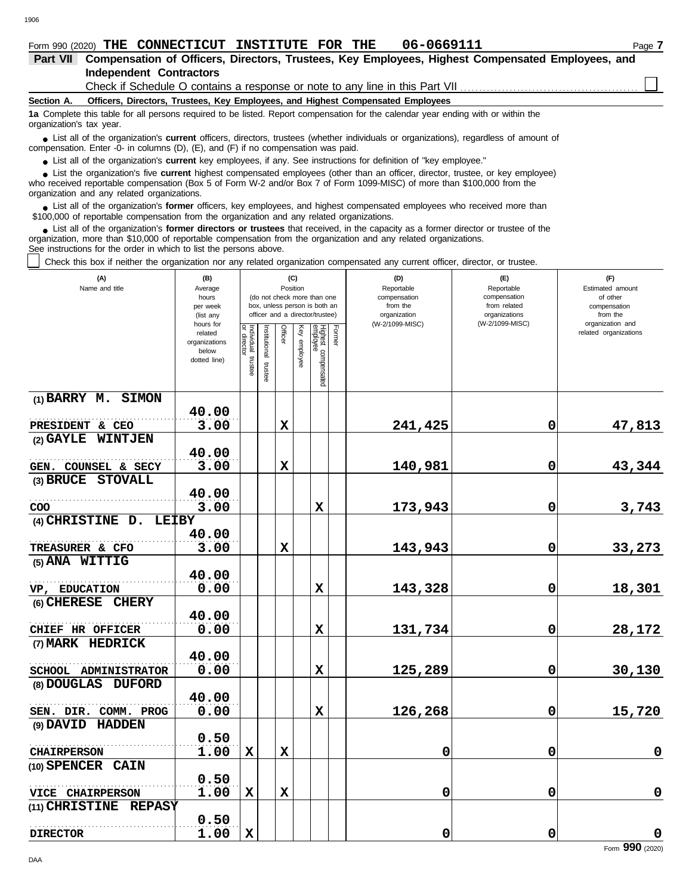1906

### **Section A. Independent Contractors Part VII Compensation of Officers, Directors, Trustees, Key Employees, Highest Compensated Employees, and Officers, Directors, Trustees, Key Employees, and Highest Compensated Employees 1a** Complete this table for all persons required to be listed. Report compensation for the calendar year ending with or within the Check if Schedule O contains a response or note to any line in this Part VII

organization's tax year.

■ List all of the organization's **current** officers, directors, trustees (whether individuals or organizations), regardless of amount of compensation. Enter -0- in columns (D), (E), and (F) if no compensation was paid.

● List all of the organization's **current** key employees, if any. See instructions for definition of "key employee."

who received reportable compensation (Box 5 of Form W-2 and/or Box 7 of Form 1099-MISC) of more than \$100,000 from the organization and any related organizations. ■ List the organization's five **current** highest compensated employees (other than an officer, director, trustee, or key employee)<br> **•** Received reportable compensation (Box 5 of Form M/-2 and/or Box 7 of Form 1099-MISC)

● List all of the organization's **former** officers, key employees, and highest compensated employees who received more than<br>00.000 of reportable compensation from the erganization and any related erganizations \$100,000 of reportable compensation from the organization and any related organizations.

■ List all of the organization's **former directors or trustees** that received, in the capacity as a former director or trustee of the<br>enization, more than \$10,000 of reportable compensation from the organization and any r organization, more than \$10,000 of reportable compensation from the organization and any related organizations. See instructions for the order in which to list the persons above.

Check this box if neither the organization nor any related organization compensated any current officer, director, or trustee.

| (A)<br>Name and title              | (B)<br>Average         |                           |                      |             | (C)<br>Position |                                                              |        | (D)<br>Reportable        | (E)<br>Reportable            | (F)<br>Estimated amount                   |
|------------------------------------|------------------------|---------------------------|----------------------|-------------|-----------------|--------------------------------------------------------------|--------|--------------------------|------------------------------|-------------------------------------------|
|                                    | hours<br>per week      |                           |                      |             |                 | (do not check more than one<br>box, unless person is both an |        | compensation<br>from the | compensation<br>from related | of other<br>compensation                  |
|                                    | (list any              |                           |                      |             |                 | officer and a director/trustee)                              |        | organization             | organizations                | from the                                  |
|                                    | hours for<br>related   |                           |                      | Officer     |                 |                                                              | Former | (W-2/1099-MISC)          | (W-2/1099-MISC)              | organization and<br>related organizations |
|                                    | organizations<br>below | Individual<br>or director |                      |             |                 |                                                              |        |                          |                              |                                           |
|                                    | dotted line)           | trustee                   |                      |             | Key employee    |                                                              |        |                          |                              |                                           |
|                                    |                        |                           | nstitutional trustee |             |                 | Highest compensated<br>employee                              |        |                          |                              |                                           |
| (1) BARRY M. SIMON                 |                        |                           |                      |             |                 |                                                              |        |                          |                              |                                           |
|                                    | 40.00                  |                           |                      |             |                 |                                                              |        |                          |                              |                                           |
| PRESIDENT & CEO                    | 3.00                   |                           |                      | $\mathbf x$ |                 |                                                              |        | 241,425                  | 0                            | 47,813                                    |
| (2) GAYLE WINTJEN                  |                        |                           |                      |             |                 |                                                              |        |                          |                              |                                           |
|                                    | 40.00                  |                           |                      |             |                 |                                                              |        |                          |                              |                                           |
| GEN. COUNSEL & SECY                | 3.00                   |                           |                      | $\mathbf x$ |                 |                                                              |        | 140,981                  | $\mathbf 0$                  | 43,344                                    |
| (3) BRUCE STOVALL                  |                        |                           |                      |             |                 |                                                              |        |                          |                              |                                           |
|                                    | 40.00                  |                           |                      |             |                 |                                                              |        |                          |                              |                                           |
| COO                                | 3.00                   |                           |                      |             |                 | $\mathbf x$                                                  |        | 173,943                  | 0                            | 3,743                                     |
| (4) CHRISTINE D.<br><b>LEIBY</b>   |                        |                           |                      |             |                 |                                                              |        |                          |                              |                                           |
|                                    | 40.00                  |                           |                      |             |                 |                                                              |        |                          |                              |                                           |
| TREASURER & CFO                    | 3.00                   |                           |                      | $\mathbf x$ |                 |                                                              |        | 143,943                  | 0                            | 33,273                                    |
| (5) ANA WITTIG                     | 40.00                  |                           |                      |             |                 |                                                              |        |                          |                              |                                           |
|                                    | 0.00                   |                           |                      |             |                 | $\mathbf x$                                                  |        |                          | 0                            |                                           |
| VP, EDUCATION<br>(6) CHERESE CHERY |                        |                           |                      |             |                 |                                                              |        | 143,328                  |                              | 18,301                                    |
|                                    | 40.00                  |                           |                      |             |                 |                                                              |        |                          |                              |                                           |
| CHIEF HR OFFICER                   | 0.00                   |                           |                      |             |                 | X                                                            |        | 131,734                  | 0                            | 28,172                                    |
| (7) MARK HEDRICK                   |                        |                           |                      |             |                 |                                                              |        |                          |                              |                                           |
|                                    | 40.00                  |                           |                      |             |                 |                                                              |        |                          |                              |                                           |
| SCHOOL ADMINISTRATOR               | 0.00                   |                           |                      |             |                 | $\mathbf x$                                                  |        | 125,289                  | 0                            | 30,130                                    |
| (8) DOUGLAS DUFORD                 |                        |                           |                      |             |                 |                                                              |        |                          |                              |                                           |
|                                    | 40.00                  |                           |                      |             |                 |                                                              |        |                          |                              |                                           |
| SEN. DIR. COMM. PROG               | 0.00                   |                           |                      |             |                 | $\mathbf x$                                                  |        | 126,268                  | 0                            | 15,720                                    |
| (9) DAVID HADDEN                   |                        |                           |                      |             |                 |                                                              |        |                          |                              |                                           |
|                                    | 0.50                   |                           |                      |             |                 |                                                              |        |                          |                              |                                           |
| <b>CHAIRPERSON</b>                 | 1.00                   | $\mathbf x$               |                      | $\mathbf x$ |                 |                                                              |        | 0                        | 0                            | $\pmb{0}$                                 |
| (10) SPENCER CAIN                  |                        |                           |                      |             |                 |                                                              |        |                          |                              |                                           |
|                                    | 0.50                   |                           |                      |             |                 |                                                              |        |                          |                              |                                           |
| VICE CHAIRPERSON                   | 1.00                   | $\mathbf x$               |                      | $\mathbf x$ |                 |                                                              |        | 0                        | $\mathbf 0$                  | $\mathbf 0$                               |
| (11) CHRISTINE<br><b>REPASY</b>    |                        |                           |                      |             |                 |                                                              |        |                          |                              |                                           |
|                                    | 0.50                   |                           |                      |             |                 |                                                              |        |                          |                              |                                           |
| <b>DIRECTOR</b>                    | 1.00                   | $\mathbf x$               |                      |             |                 |                                                              |        | 0                        | 0                            | $\mathbf 0$                               |

Form **990** (2020)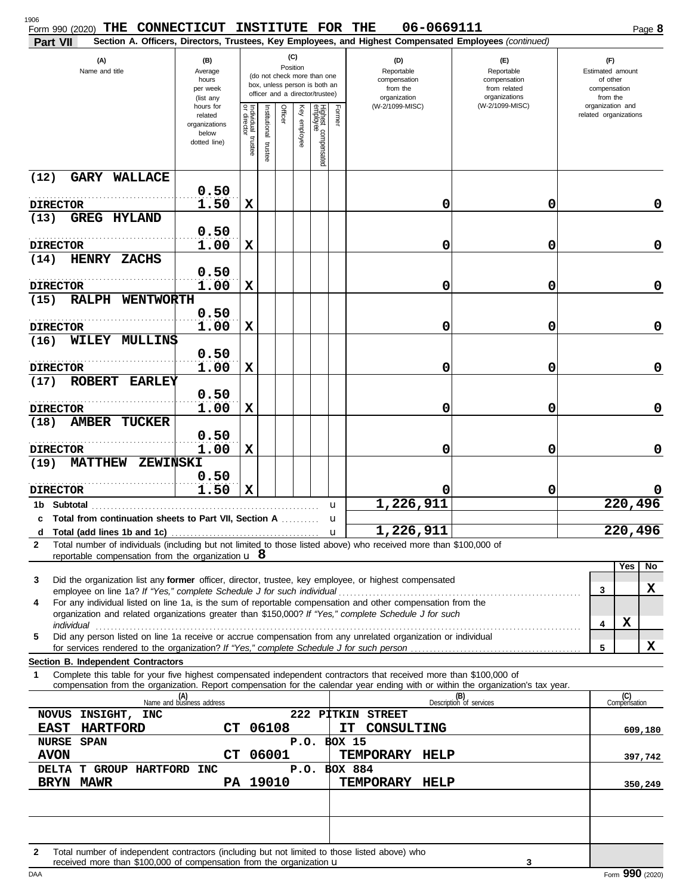| Form 990 (2020) THE CONNECTICUT INSTITUTE FOR THE<br>Part VII                                                                                                                                                                                               |                                                                                                                                                                                     |                                      |                          |         |              |                                 |        | 06-0669111<br>Section A. Officers, Directors, Trustees, Key Employees, and Highest Compensated Employees (continued) |                                                                                       | Page 8                                                                              |
|-------------------------------------------------------------------------------------------------------------------------------------------------------------------------------------------------------------------------------------------------------------|-------------------------------------------------------------------------------------------------------------------------------------------------------------------------------------|--------------------------------------|--------------------------|---------|--------------|---------------------------------|--------|----------------------------------------------------------------------------------------------------------------------|---------------------------------------------------------------------------------------|-------------------------------------------------------------------------------------|
| (A)<br>Name and title                                                                                                                                                                                                                                       | (C)<br>(B)<br>Position<br>Average<br>(do not check more than one<br>hours<br>box, unless person is both an<br>per week<br>officer and a director/trustee)<br>(list any<br>hours for |                                      |                          |         |              |                                 |        | (D)<br>Reportable<br>compensation<br>from the<br>organization<br>(W-2/1099-MISC)                                     | (F)<br>Reportable<br>compensation<br>from related<br>organizations<br>(W-2/1099-MISC) | (F)<br>Estimated amount<br>of other<br>compensation<br>from the<br>organization and |
|                                                                                                                                                                                                                                                             | related<br>organizations<br>below<br>dotted line)                                                                                                                                   | Individual<br>or director<br>trustee | Institutional<br>trustee | Officer | Key employee | Highest compensated<br>employee | Former |                                                                                                                      |                                                                                       | related organizations                                                               |
| <b>GARY WALLACE</b><br>(12)                                                                                                                                                                                                                                 |                                                                                                                                                                                     |                                      |                          |         |              |                                 |        |                                                                                                                      |                                                                                       |                                                                                     |
| <b>DIRECTOR</b>                                                                                                                                                                                                                                             | 0.50<br>1.50                                                                                                                                                                        | X                                    |                          |         |              |                                 |        | 0                                                                                                                    | 0                                                                                     | 0                                                                                   |
| <b>GREG HYLAND</b><br>(13)                                                                                                                                                                                                                                  | 0.50                                                                                                                                                                                |                                      |                          |         |              |                                 |        |                                                                                                                      |                                                                                       |                                                                                     |
| <b>DIRECTOR</b>                                                                                                                                                                                                                                             | 1.00                                                                                                                                                                                | X                                    |                          |         |              |                                 |        | 0                                                                                                                    | 0                                                                                     | $\mathbf 0$                                                                         |
| HENRY ZACHS<br>(14)                                                                                                                                                                                                                                         | 0.50                                                                                                                                                                                |                                      |                          |         |              |                                 |        |                                                                                                                      |                                                                                       |                                                                                     |
| <b>DIRECTOR</b>                                                                                                                                                                                                                                             | 1.00                                                                                                                                                                                | X                                    |                          |         |              |                                 |        | 0                                                                                                                    | 0                                                                                     | 0                                                                                   |
| RALPH WENTWORTH<br>(15)                                                                                                                                                                                                                                     |                                                                                                                                                                                     |                                      |                          |         |              |                                 |        |                                                                                                                      |                                                                                       |                                                                                     |
| <b>DIRECTOR</b>                                                                                                                                                                                                                                             | 0.50<br>1.00                                                                                                                                                                        | X                                    |                          |         |              |                                 |        | 0                                                                                                                    | 0                                                                                     | 0                                                                                   |
| WILEY MULLINS<br>(16)                                                                                                                                                                                                                                       |                                                                                                                                                                                     |                                      |                          |         |              |                                 |        |                                                                                                                      |                                                                                       |                                                                                     |
| <b>DIRECTOR</b>                                                                                                                                                                                                                                             | 0.50<br>1.00                                                                                                                                                                        | X                                    |                          |         |              |                                 |        | 0                                                                                                                    | 0                                                                                     | 0                                                                                   |
| ROBERT EARLEY<br>(17)                                                                                                                                                                                                                                       |                                                                                                                                                                                     |                                      |                          |         |              |                                 |        |                                                                                                                      |                                                                                       |                                                                                     |
| <b>DIRECTOR</b>                                                                                                                                                                                                                                             | 0.50<br>1.00                                                                                                                                                                        | X                                    |                          |         |              |                                 |        | 0                                                                                                                    | 0                                                                                     | 0                                                                                   |
| <b>AMBER TUCKER</b><br>(18)                                                                                                                                                                                                                                 |                                                                                                                                                                                     |                                      |                          |         |              |                                 |        |                                                                                                                      |                                                                                       |                                                                                     |
|                                                                                                                                                                                                                                                             | 0.50                                                                                                                                                                                |                                      |                          |         |              |                                 |        |                                                                                                                      |                                                                                       |                                                                                     |
| <b>DIRECTOR</b><br>MATTHEW ZEWINSKI<br>(19)                                                                                                                                                                                                                 | 1.00                                                                                                                                                                                | X                                    |                          |         |              |                                 |        | 0                                                                                                                    | 0                                                                                     | 0                                                                                   |
|                                                                                                                                                                                                                                                             | 0.50<br>1.50                                                                                                                                                                        | $\mathbf x$                          |                          |         |              |                                 |        | 0                                                                                                                    | 0                                                                                     |                                                                                     |
| <b>DIRECTOR</b>                                                                                                                                                                                                                                             |                                                                                                                                                                                     |                                      |                          |         |              |                                 | u      | 1,226,911                                                                                                            |                                                                                       | 220,496                                                                             |
| c Total from continuation sheets to Part VII. Section A                                                                                                                                                                                                     |                                                                                                                                                                                     |                                      |                          |         |              |                                 |        |                                                                                                                      |                                                                                       |                                                                                     |
| d<br>Total number of individuals (including but not limited to those listed above) who received more than \$100,000 of<br>$\mathbf{2}$                                                                                                                      |                                                                                                                                                                                     |                                      |                          |         |              |                                 |        | 1,226,911                                                                                                            |                                                                                       | $\overline{2}20,496$                                                                |
| reportable compensation from the organization $\bf{u}$ 8                                                                                                                                                                                                    |                                                                                                                                                                                     |                                      |                          |         |              |                                 |        |                                                                                                                      |                                                                                       | Yes<br>$\overline{N}$                                                               |
| Did the organization list any former officer, director, trustee, key employee, or highest compensated<br>3                                                                                                                                                  |                                                                                                                                                                                     |                                      |                          |         |              |                                 |        |                                                                                                                      |                                                                                       |                                                                                     |
| employee on line 1a? If "Yes," complete Schedule J for such individual<br>For any individual listed on line 1a, is the sum of reportable compensation and other compensation from the<br>4                                                                  |                                                                                                                                                                                     |                                      |                          |         |              |                                 |        |                                                                                                                      |                                                                                       | x<br>3                                                                              |
| organization and related organizations greater than \$150,000? If "Yes," complete Schedule J for such                                                                                                                                                       |                                                                                                                                                                                     |                                      |                          |         |              |                                 |        |                                                                                                                      |                                                                                       | X<br>4                                                                              |
| Did any person listed on line 1a receive or accrue compensation from any unrelated organization or individual<br>5                                                                                                                                          |                                                                                                                                                                                     |                                      |                          |         |              |                                 |        |                                                                                                                      |                                                                                       |                                                                                     |
| Section B. Independent Contractors                                                                                                                                                                                                                          |                                                                                                                                                                                     |                                      |                          |         |              |                                 |        |                                                                                                                      |                                                                                       | X<br>5                                                                              |
| Complete this table for your five highest compensated independent contractors that received more than \$100,000 of<br>1<br>compensation from the organization. Report compensation for the calendar year ending with or within the organization's tax year. |                                                                                                                                                                                     |                                      |                          |         |              |                                 |        |                                                                                                                      |                                                                                       |                                                                                     |
|                                                                                                                                                                                                                                                             | (A)<br>Name and business address                                                                                                                                                    |                                      |                          |         |              |                                 |        |                                                                                                                      | (B)<br>Description of services                                                        | (C)<br>Compensation                                                                 |
| NOVUS INSIGHT, INC<br><b>HARTFORD</b><br><b>EAST</b>                                                                                                                                                                                                        | CT.                                                                                                                                                                                 |                                      | 06108                    |         |              |                                 |        | 222 PITKIN STREET<br>IT<br>CONSULTING                                                                                |                                                                                       | 609,180                                                                             |
| <b>NURSE SPAN</b>                                                                                                                                                                                                                                           |                                                                                                                                                                                     |                                      |                          |         |              |                                 |        | P.O. BOX 15                                                                                                          |                                                                                       |                                                                                     |
| <b>AVON</b><br>DELTA T GROUP HARTFORD INC                                                                                                                                                                                                                   | СT                                                                                                                                                                                  |                                      | 06001                    |         |              |                                 |        | TEMPORARY HELP<br>P.O. BOX 884                                                                                       |                                                                                       | 397,742                                                                             |
| BRYN MAWR                                                                                                                                                                                                                                                   |                                                                                                                                                                                     |                                      | PA 19010                 |         |              |                                 |        | TEMPORARY HELP                                                                                                       |                                                                                       | 350,249                                                                             |
|                                                                                                                                                                                                                                                             |                                                                                                                                                                                     |                                      |                          |         |              |                                 |        |                                                                                                                      |                                                                                       |                                                                                     |
|                                                                                                                                                                                                                                                             |                                                                                                                                                                                     |                                      |                          |         |              |                                 |        |                                                                                                                      |                                                                                       |                                                                                     |
| Total number of independent contractors (including but not limited to those listed above) who<br>$\mathbf{2}$                                                                                                                                               |                                                                                                                                                                                     |                                      |                          |         |              |                                 |        |                                                                                                                      |                                                                                       |                                                                                     |

received more than \$100,000 of compensation from the organization **u** 3 Form 990 (2020) received more than \$100,000 of compensation from the organization u

**3**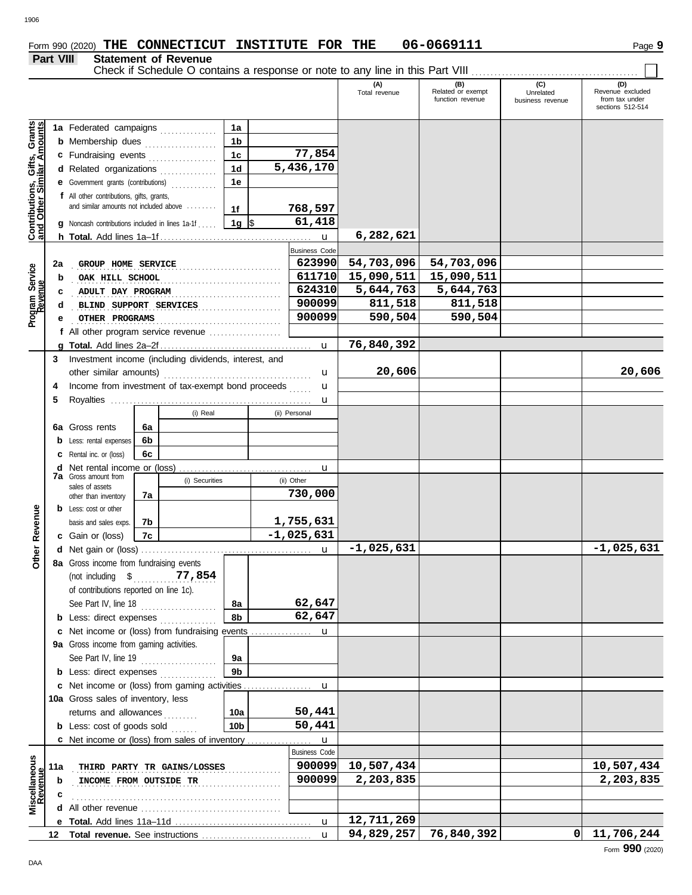# **Part VIII Statement of Revenue**

Check if Schedule O contains a response or note to any line in this Part VIII . . . . . . . . . . . . . . . . . . . . . . . . . . . . . . . . . . . . . . . . . . . .

|                                                                  |                                                    |                                                        |                                              |                             |                 |         |                      | (A)<br>Total revenue | (B)<br>Related or exempt<br>function revenue | (C)<br>Unrelated<br>business revenue | (D)<br>Revenue excluded<br>from tax under<br>sections 512-514 |
|------------------------------------------------------------------|----------------------------------------------------|--------------------------------------------------------|----------------------------------------------|-----------------------------|-----------------|---------|----------------------|----------------------|----------------------------------------------|--------------------------------------|---------------------------------------------------------------|
|                                                                  |                                                    |                                                        |                                              |                             |                 |         |                      |                      |                                              |                                      |                                                               |
|                                                                  |                                                    | 1a Federated campaigns                                 |                                              |                             | 1a<br>1b        |         |                      |                      |                                              |                                      |                                                               |
|                                                                  |                                                    | <b>b</b> Membership dues                               |                                              |                             | 1 <sub>c</sub>  |         | 77,854               |                      |                                              |                                      |                                                               |
|                                                                  |                                                    | c Fundraising events                                   |                                              |                             | 1 <sub>d</sub>  |         | 5,436,170            |                      |                                              |                                      |                                                               |
|                                                                  |                                                    | d Related organizations                                |                                              |                             | 1e              |         |                      |                      |                                              |                                      |                                                               |
|                                                                  |                                                    | e Government grants (contributions)                    |                                              |                             |                 |         |                      |                      |                                              |                                      |                                                               |
| <b>Contributions, Gifts, Grants</b><br>and Other Similar Amounts |                                                    | f All other contributions, gifts, grants,              | and similar amounts not included above<br>1f |                             |                 | 768,597 |                      |                      |                                              |                                      |                                                               |
|                                                                  |                                                    | g Noncash contributions included in lines 1a-1f  1g \$ |                                              |                             |                 |         | 61,418               |                      |                                              |                                      |                                                               |
|                                                                  |                                                    |                                                        |                                              |                             |                 |         | $\mathbf{u}$         | 6,282,621            |                                              |                                      |                                                               |
|                                                                  |                                                    |                                                        |                                              |                             |                 |         | <b>Business Code</b> |                      |                                              |                                      |                                                               |
|                                                                  | 2a                                                 | GROUP HOME SERVICE                                     |                                              |                             |                 |         | 623990               | 54,703,096           | 54,703,096                                   |                                      |                                                               |
| Program Service<br>Revenue                                       | b                                                  | OAK HILL SCHOOL                                        |                                              |                             |                 |         | 611710               | 15,090,511           | 15,090,511                                   |                                      |                                                               |
|                                                                  | c                                                  | ADULT DAY PROGRAM                                      |                                              |                             |                 |         | 624310               | 5,644,763            | 5,644,763                                    |                                      |                                                               |
|                                                                  | d                                                  | BLIND SUPPORT SERVICES                                 |                                              |                             |                 |         | 900099               | 811,518              | 811,518                                      |                                      |                                                               |
|                                                                  |                                                    | OTHER PROGRAMS                                         |                                              |                             |                 |         | 900099               | 590,504              | 590,504                                      |                                      |                                                               |
|                                                                  |                                                    | f All other program service revenue                    |                                              |                             |                 |         |                      |                      |                                              |                                      |                                                               |
|                                                                  |                                                    |                                                        |                                              |                             |                 |         | $\mathbf{u}$         | 76,840,392           |                                              |                                      |                                                               |
|                                                                  | 3                                                  | Investment income (including dividends, interest, and  |                                              |                             |                 |         |                      |                      |                                              |                                      |                                                               |
|                                                                  |                                                    |                                                        |                                              |                             |                 |         | u                    | 20,606               |                                              |                                      | 20,606                                                        |
|                                                                  | Income from investment of tax-exempt bond proceeds |                                                        |                                              |                             |                 |         | u                    |                      |                                              |                                      |                                                               |
|                                                                  | 5                                                  |                                                        |                                              |                             |                 |         | u                    |                      |                                              |                                      |                                                               |
|                                                                  |                                                    |                                                        |                                              | (i) Real                    |                 |         | (ii) Personal        |                      |                                              |                                      |                                                               |
|                                                                  |                                                    | <b>6a</b> Gross rents                                  | 6a                                           |                             |                 |         |                      |                      |                                              |                                      |                                                               |
|                                                                  |                                                    | <b>b</b> Less: rental expenses                         | 6b                                           |                             |                 |         |                      |                      |                                              |                                      |                                                               |
|                                                                  |                                                    | <b>c</b> Rental inc. or (loss)                         | 6c                                           |                             |                 |         |                      |                      |                                              |                                      |                                                               |
|                                                                  |                                                    | <b>d</b> Net rental income or (loss)                   |                                              |                             |                 |         | u                    |                      |                                              |                                      |                                                               |
|                                                                  |                                                    | <b>7a</b> Gross amount from<br>sales of assets         |                                              | (i) Securities              |                 |         | (ii) Other           |                      |                                              |                                      |                                                               |
|                                                                  |                                                    | other than inventory                                   | 7а                                           |                             |                 |         | 730,000              |                      |                                              |                                      |                                                               |
|                                                                  |                                                    | <b>b</b> Less: cost or other                           |                                              |                             |                 |         |                      |                      |                                              |                                      |                                                               |
|                                                                  |                                                    | basis and sales exps.                                  | 7b                                           |                             |                 |         | 1,755,631            |                      |                                              |                                      |                                                               |
| Revenue                                                          |                                                    | c Gain or (loss)                                       | 7c                                           |                             |                 |         | $-1,025,631$         |                      |                                              |                                      |                                                               |
| <b>Other</b>                                                     |                                                    |                                                        |                                              |                             |                 |         | u                    | $-1,025,631$         |                                              |                                      | $-1,025,631$                                                  |
|                                                                  |                                                    | 8a Gross income from fundraising events                |                                              |                             |                 |         |                      |                      |                                              |                                      |                                                               |
|                                                                  |                                                    | (not including \$ 77,854)                              |                                              |                             |                 |         |                      |                      |                                              |                                      |                                                               |
|                                                                  |                                                    | of contributions reported on line 1c).                 |                                              |                             |                 |         |                      |                      |                                              |                                      |                                                               |
|                                                                  |                                                    | See Part IV, line 18 $\ldots$                          |                                              |                             | 8а              |         | 62,647               |                      |                                              |                                      |                                                               |
|                                                                  |                                                    | <b>b</b> Less: direct expenses                         |                                              |                             | 8b              |         | 62,647               |                      |                                              |                                      |                                                               |
|                                                                  |                                                    | c Net income or (loss) from fundraising events         |                                              |                             |                 |         | u                    |                      |                                              |                                      |                                                               |
|                                                                  |                                                    | 9a Gross income from gaming activities.                |                                              |                             |                 |         |                      |                      |                                              |                                      |                                                               |
|                                                                  |                                                    | See Part IV, line 19 $\ldots$                          |                                              |                             | 9а              |         |                      |                      |                                              |                                      |                                                               |
|                                                                  |                                                    | <b>b</b> Less: direct expenses <i>minimum</i>          |                                              |                             | 9b              |         |                      |                      |                                              |                                      |                                                               |
|                                                                  |                                                    | c Net income or (loss) from gaming activities          |                                              |                             |                 |         | u                    |                      |                                              |                                      |                                                               |
|                                                                  |                                                    | 10a Gross sales of inventory, less                     |                                              |                             |                 |         |                      |                      |                                              |                                      |                                                               |
|                                                                  |                                                    | returns and allowances                                 |                                              |                             | 10a             |         | 50,441               |                      |                                              |                                      |                                                               |
|                                                                  |                                                    | <b>b</b> Less: cost of goods sold                      |                                              |                             | 10 <sub>b</sub> |         | 50,441               |                      |                                              |                                      |                                                               |
|                                                                  |                                                    | <b>c</b> Net income or (loss) from sales of inventory  |                                              |                             |                 |         | u                    |                      |                                              |                                      |                                                               |
|                                                                  |                                                    |                                                        |                                              |                             |                 |         | <b>Business Code</b> |                      |                                              |                                      |                                                               |
| Miscellaneous<br>Revenue                                         | 11a                                                |                                                        |                                              | THIRD PARTY TR GAINS/LOSSES |                 |         | 900099               | 10,507,434           |                                              |                                      | 10,507,434                                                    |
|                                                                  | b                                                  | INCOME FROM OUTSIDE TR                                 |                                              |                             |                 |         | 900099               | 2,203,835            |                                              |                                      | 2,203,835                                                     |
|                                                                  | c                                                  |                                                        |                                              |                             |                 |         |                      |                      |                                              |                                      |                                                               |
|                                                                  |                                                    |                                                        |                                              |                             |                 |         |                      |                      |                                              |                                      |                                                               |
|                                                                  |                                                    |                                                        |                                              |                             |                 |         | $\mathbf{u}$         | 12,711,269           |                                              |                                      |                                                               |
|                                                                  |                                                    |                                                        |                                              |                             |                 |         | $\mathbf{u}$         | 94,829,257           | 76,840,392                                   | ΟI                                   | 11,706,244                                                    |
|                                                                  |                                                    |                                                        |                                              |                             |                 |         |                      |                      |                                              |                                      | Form 990 (2020)                                               |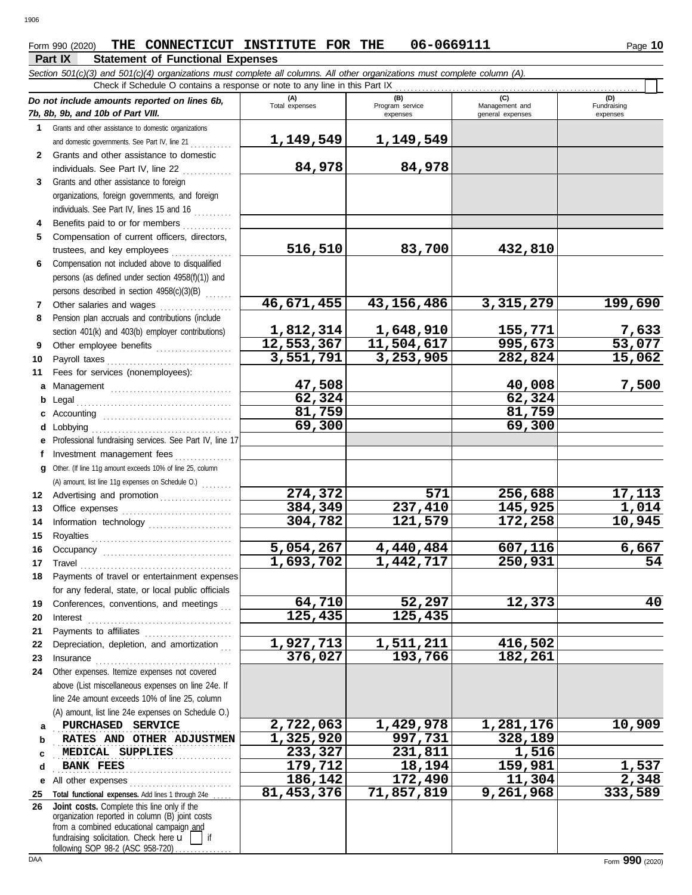## Form 990 (2020) THE CONNECTICUT INSTITUTE FOR THE 06-0669111 Page 10

### **Part IX Statement of Functional Expenses**

*Section 501(c)(3) and 501(c)(4) organizations must complete all columns. All other organizations must complete column (A).*

|              | Check if Schedule O contains a response or note to any line in this Part IX                                                                                                                                                         |                       |                                    |                                           |                                |
|--------------|-------------------------------------------------------------------------------------------------------------------------------------------------------------------------------------------------------------------------------------|-----------------------|------------------------------------|-------------------------------------------|--------------------------------|
|              | Do not include amounts reported on lines 6b,<br>7b, 8b, 9b, and 10b of Part VIII.                                                                                                                                                   | (A)<br>Total expenses | (B)<br>Program service<br>expenses | (C)<br>Management and<br>general expenses | (D)<br>Fundraising<br>expenses |
|              | 1 Grants and other assistance to domestic organizations                                                                                                                                                                             |                       |                                    |                                           |                                |
|              | and domestic governments. See Part IV, line 21                                                                                                                                                                                      | 1,149,549             | 1,149,549                          |                                           |                                |
| $\mathbf{2}$ | Grants and other assistance to domestic                                                                                                                                                                                             |                       |                                    |                                           |                                |
|              | individuals. See Part IV, line 22                                                                                                                                                                                                   | 84,978                | 84,978                             |                                           |                                |
| 3            | Grants and other assistance to foreign                                                                                                                                                                                              |                       |                                    |                                           |                                |
|              | organizations, foreign governments, and foreign                                                                                                                                                                                     |                       |                                    |                                           |                                |
|              | individuals. See Part IV, lines 15 and 16<br>Benefits paid to or for members                                                                                                                                                        |                       |                                    |                                           |                                |
| 4<br>5       | Compensation of current officers, directors,                                                                                                                                                                                        |                       |                                    |                                           |                                |
|              | trustees, and key employees                                                                                                                                                                                                         | 516,510               | 83,700                             | 432,810                                   |                                |
| 6            | Compensation not included above to disqualified                                                                                                                                                                                     |                       |                                    |                                           |                                |
|              | persons (as defined under section 4958(f)(1)) and                                                                                                                                                                                   |                       |                                    |                                           |                                |
|              | persons described in section 4958(c)(3)(B)                                                                                                                                                                                          |                       |                                    |                                           |                                |
| 7            | Other salaries and wages                                                                                                                                                                                                            | 46,671,455            | 43,156,486                         | 3,315,279                                 | 199,690                        |
| 8            | Pension plan accruals and contributions (include                                                                                                                                                                                    |                       |                                    |                                           |                                |
|              | section 401(k) and 403(b) employer contributions)                                                                                                                                                                                   | 1,812,314             | 1,648,910                          | 155,771                                   | $\frac{7,633}{53,077}$         |
| 9            | Other employee benefits                                                                                                                                                                                                             | 12,553,367            | 11,504,617                         | 995,673                                   |                                |
| 10           | Payroll taxes                                                                                                                                                                                                                       | 3,551,791             | 3,253,905                          | 282,824                                   | 15,062                         |
| 11           | Fees for services (nonemployees):                                                                                                                                                                                                   |                       |                                    |                                           |                                |
| a            |                                                                                                                                                                                                                                     | 47,508                |                                    | 40,008                                    | 7,500                          |
| b            |                                                                                                                                                                                                                                     | 62,324                |                                    | 62,324                                    |                                |
|              |                                                                                                                                                                                                                                     | 81,759                |                                    | 81,759                                    |                                |
| d            | Lobbying                                                                                                                                                                                                                            | 69,300                |                                    | $\sqrt{69,300}$                           |                                |
|              | Professional fundraising services. See Part IV, line 17                                                                                                                                                                             |                       |                                    |                                           |                                |
| f            | Investment management fees                                                                                                                                                                                                          |                       |                                    |                                           |                                |
| q            | Other. (If line 11g amount exceeds 10% of line 25, column<br>(A) amount, list line 11g expenses on Schedule O.)                                                                                                                     |                       |                                    |                                           |                                |
| 12           | Advertising and promotion                                                                                                                                                                                                           | 274,372               | 571                                | 256,688                                   | 17,113                         |
| 13           |                                                                                                                                                                                                                                     | 384,349               | 237,410                            | 145,925                                   | 1,014                          |
| 14           | Information technology                                                                                                                                                                                                              | 304,782               | 121,579                            | 172,258                                   | 10,945                         |
| 15           |                                                                                                                                                                                                                                     |                       |                                    |                                           |                                |
| 16           |                                                                                                                                                                                                                                     | 5,054,267             | 4,440,484                          | 607,116                                   | 6,667                          |
| 17           | Travel                                                                                                                                                                                                                              | 1,693,702             | 1,442,717                          | 250,931                                   | $\overline{54}$                |
| 18           | Payments of travel or entertainment expenses                                                                                                                                                                                        |                       |                                    |                                           |                                |
|              | for any federal, state, or local public officials                                                                                                                                                                                   |                       |                                    |                                           |                                |
| 19           | Conferences, conventions, and meetings                                                                                                                                                                                              | 64,710                | 52,297                             | 12,373                                    | 40                             |
| 20           | Interest                                                                                                                                                                                                                            | 125,435               | 125,435                            |                                           |                                |
| 21           | Payments to affiliates [11] [11] Payments to affiliates                                                                                                                                                                             |                       |                                    |                                           |                                |
| 22           | Depreciation, depletion, and amortization                                                                                                                                                                                           | 1,927,713             | 1,511,211                          | 416,502                                   |                                |
| 23           | Insurance <b>continuous</b> contains a series of the series of the series of the series of the series of the series of the series of the series of the series of the series of the series of the series of the series of the series | 376,027               | 193,766                            | 182,261                                   |                                |
| 24           | Other expenses. Itemize expenses not covered<br>above (List miscellaneous expenses on line 24e. If                                                                                                                                  |                       |                                    |                                           |                                |
|              | line 24e amount exceeds 10% of line 25, column                                                                                                                                                                                      |                       |                                    |                                           |                                |
|              | (A) amount, list line 24e expenses on Schedule O.)                                                                                                                                                                                  |                       |                                    |                                           |                                |
| а            | PURCHASED SERVICE                                                                                                                                                                                                                   | 2,722,063             | 1,429,978                          | 1,281,176                                 | 10,909                         |
| b            | RATES AND OTHER ADJUSTMEN                                                                                                                                                                                                           | 1,325,920             | 997,731                            | 328, 189                                  |                                |
| c            | MEDICAL SUPPLIES                                                                                                                                                                                                                    | 233,327               | $\overline{231}$ , 811             | 1,516                                     |                                |
| d            | <b>BANK FEES</b>                                                                                                                                                                                                                    | 179,712               | 18,194                             | 159,981                                   | 1,537                          |
| е            | All other expenses                                                                                                                                                                                                                  | 186, 142              | 172,490                            | 11,304                                    | 2,348                          |
| 25           | Total functional expenses. Add lines 1 through 24e                                                                                                                                                                                  | 81, 453, 376          | 71,857,819                         | $\overline{9,}261,968$                    | 333,589                        |
| 26           | Joint costs. Complete this line only if the                                                                                                                                                                                         |                       |                                    |                                           |                                |
|              | organization reported in column (B) joint costs<br>from a combined educational campaign and                                                                                                                                         |                       |                                    |                                           |                                |
|              | fundraising solicitation. Check here u<br>if                                                                                                                                                                                        |                       |                                    |                                           |                                |
|              | following SOP 98-2 (ASC 958-720)                                                                                                                                                                                                    |                       |                                    |                                           |                                |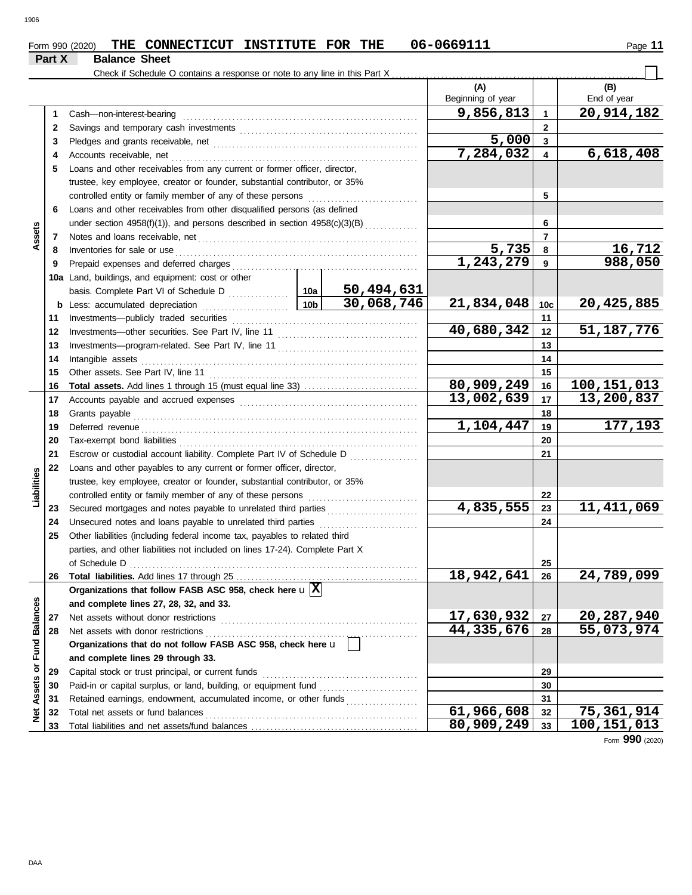| и |  |
|---|--|
|   |  |

|               |        | THE CONNECTICUT INSTITUTE FOR THE<br>Form 990 (2020)                               |                                                                               |            | 06-0669111               |                 | Page 11                 |  |  |  |  |  |
|---------------|--------|------------------------------------------------------------------------------------|-------------------------------------------------------------------------------|------------|--------------------------|-----------------|-------------------------|--|--|--|--|--|
|               | Part X | <b>Balance Sheet</b>                                                               |                                                                               |            |                          |                 |                         |  |  |  |  |  |
|               |        | Check if Schedule O contains a response or note to any line in this Part X         |                                                                               |            |                          |                 |                         |  |  |  |  |  |
|               |        |                                                                                    |                                                                               |            | (A)<br>Beginning of year |                 | (B)<br>End of year      |  |  |  |  |  |
|               | 1.     | Cash-non-interest-bearing                                                          |                                                                               |            | 9,856,813                | $\mathbf{1}$    | $\overline{20,914,182}$ |  |  |  |  |  |
|               | 2      |                                                                                    |                                                                               |            |                          | $\mathbf{2}$    |                         |  |  |  |  |  |
|               | 3      |                                                                                    |                                                                               |            | 5,000                    | $\mathbf{3}$    |                         |  |  |  |  |  |
|               | 4      | Accounts receivable, net                                                           |                                                                               |            | 7,284,032                | $\overline{4}$  | 6,618,408               |  |  |  |  |  |
|               | 5      | Loans and other receivables from any current or former officer, director,          |                                                                               |            |                          |                 |                         |  |  |  |  |  |
|               |        | trustee, key employee, creator or founder, substantial contributor, or 35%         |                                                                               |            |                          |                 |                         |  |  |  |  |  |
|               |        | controlled entity or family member of any of these persons                         |                                                                               |            |                          | 5               |                         |  |  |  |  |  |
|               | 6      | Loans and other receivables from other disqualified persons (as defined            |                                                                               |            |                          |                 |                         |  |  |  |  |  |
|               |        |                                                                                    | under section $4958(f)(1)$ , and persons described in section $4958(c)(3)(B)$ |            |                          |                 |                         |  |  |  |  |  |
| Assets        | 7      | Notes and loans receivable, net                                                    |                                                                               |            | 6<br>7                   |                 |                         |  |  |  |  |  |
|               | 8      | Inventories for sale or use                                                        |                                                                               | 5,735      | 8                        | 16,712          |                         |  |  |  |  |  |
|               | 9      | Prepaid expenses and deferred charges                                              |                                                                               |            | 1, 243, 279              | 9               | 988,050                 |  |  |  |  |  |
|               |        | 10a Land, buildings, and equipment: cost or other                                  |                                                                               |            |                          |                 |                         |  |  |  |  |  |
|               |        |                                                                                    |                                                                               | 50,494,631 |                          |                 |                         |  |  |  |  |  |
|               | b      | Less: accumulated depreciation<br>.                                                | 10 <sub>b</sub>                                                               | 30,068,746 | 21,834,048               | 10 <sub>c</sub> | 20,425,885              |  |  |  |  |  |
|               | 11     |                                                                                    |                                                                               |            |                          | 11              |                         |  |  |  |  |  |
|               | 12     |                                                                                    |                                                                               | 40,680,342 | 12                       | 51, 187, 776    |                         |  |  |  |  |  |
|               | 13     |                                                                                    |                                                                               |            | 13                       |                 |                         |  |  |  |  |  |
|               | 14     | Intangible assets                                                                  |                                                                               |            |                          |                 |                         |  |  |  |  |  |
|               | 15     | Other assets. See Part IV, line 11                                                 |                                                                               |            | 15                       |                 |                         |  |  |  |  |  |
|               | 16     |                                                                                    |                                                                               |            | 80,909,249               | 16              | 100, 151, 013           |  |  |  |  |  |
|               | 17     |                                                                                    |                                                                               |            | 13,002,639               | 17              | 13,200,837              |  |  |  |  |  |
|               | 18     | Grants payable                                                                     |                                                                               |            |                          | 18              |                         |  |  |  |  |  |
|               | 19     | Deferred revenue                                                                   |                                                                               |            | 1,104,447                | 19              | 177,193                 |  |  |  |  |  |
|               | 20     | Tax-exempt bond liabilities                                                        |                                                                               |            |                          | 20              |                         |  |  |  |  |  |
|               | 21     | Escrow or custodial account liability. Complete Part IV of Schedule D              |                                                                               |            |                          | 21              |                         |  |  |  |  |  |
|               | 22     | Loans and other payables to any current or former officer, director,               |                                                                               |            |                          |                 |                         |  |  |  |  |  |
|               |        | trustee, key employee, creator or founder, substantial contributor, or 35%         |                                                                               |            |                          |                 |                         |  |  |  |  |  |
| Liabilities   |        | controlled entity or family member of any of these persons                         |                                                                               |            |                          | 22              |                         |  |  |  |  |  |
|               | 23     |                                                                                    |                                                                               |            | 4,835,555                | 23              | 11,411,069              |  |  |  |  |  |
|               | 24     | Unsecured notes and loans payable to unrelated third parties                       |                                                                               | .          |                          | 24              |                         |  |  |  |  |  |
|               | 25     | Other liabilities (including federal income tax, payables to related third         |                                                                               |            |                          |                 |                         |  |  |  |  |  |
|               |        | parties, and other liabilities not included on lines 17-24). Complete Part X       |                                                                               |            |                          |                 |                         |  |  |  |  |  |
|               |        | of Schedule D                                                                      |                                                                               |            |                          | 25              |                         |  |  |  |  |  |
|               | 26     |                                                                                    |                                                                               |            | 18,942,641               | 26              | 24,789,099              |  |  |  |  |  |
|               |        | Organizations that follow FASB ASC 958, check here $\mathbf{u} \boxed{\mathbf{X}}$ |                                                                               |            |                          |                 |                         |  |  |  |  |  |
| Fund Balances |        | and complete lines 27, 28, 32, and 33.                                             |                                                                               |            |                          |                 |                         |  |  |  |  |  |
|               | 27     | Net assets without donor restrictions                                              |                                                                               |            | 17,630,932               | 27              | 20,287,940              |  |  |  |  |  |
|               | 28     | Net assets with donor restrictions                                                 |                                                                               |            | 44,335,676               | 28              | 55,073,974              |  |  |  |  |  |
|               |        | Organizations that do not follow FASB ASC 958, check here u                        |                                                                               |            |                          |                 |                         |  |  |  |  |  |
|               |        | and complete lines 29 through 33.                                                  |                                                                               |            |                          |                 |                         |  |  |  |  |  |
| Assets or     | 29     | Capital stock or trust principal, or current funds                                 |                                                                               |            |                          | 29              |                         |  |  |  |  |  |
|               | 30     | Paid-in or capital surplus, or land, building, or equipment fund                   |                                                                               |            |                          | 30              |                         |  |  |  |  |  |
|               | 31     | Retained earnings, endowment, accumulated income, or other funds                   |                                                                               |            |                          | 31              |                         |  |  |  |  |  |
| ğ             | 32     | Total net assets or fund balances                                                  |                                                                               |            | $\overline{61,966,608}$  | 32              | 75,361,914              |  |  |  |  |  |
|               | 33     |                                                                                    |                                                                               |            | 80,909,249               | 33              | 100, 151, 013           |  |  |  |  |  |

Form **990** (2020)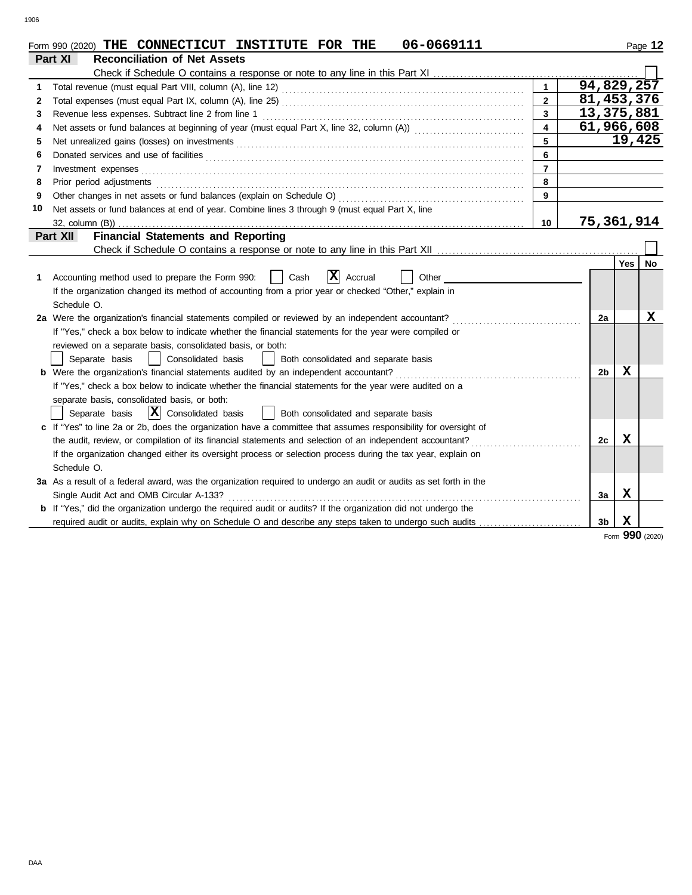|    | 06-0669111<br>Form 990 (2020) THE CONNECTICUT INSTITUTE FOR THE                                                    |                         |                |        | Page 12   |
|----|--------------------------------------------------------------------------------------------------------------------|-------------------------|----------------|--------|-----------|
|    | Part XI<br><b>Reconciliation of Net Assets</b>                                                                     |                         |                |        |           |
|    | Check if Schedule O contains a response or note to any line in this Part XI                                        |                         |                |        |           |
| 1  |                                                                                                                    | $\mathbf{1}$            | 94,829,257     |        |           |
| 2  |                                                                                                                    | $\mathbf{2}$            | 81, 453, 376   |        |           |
| 3  | Revenue less expenses. Subtract line 2 from line 1                                                                 | $\overline{\mathbf{3}}$ | 13,375,881     |        |           |
| 4  |                                                                                                                    | $\overline{\mathbf{4}}$ | 61,966,608     |        |           |
| 5  |                                                                                                                    | 5                       |                | 19,425 |           |
| 6  |                                                                                                                    | 6                       |                |        |           |
| 7  | Investment expenses                                                                                                | $\overline{7}$          |                |        |           |
| 8  | Prior period adjustments                                                                                           | 8                       |                |        |           |
| 9  | Other changes in net assets or fund balances (explain on Schedule O)                                               | $\mathbf{9}$            |                |        |           |
| 10 | Net assets or fund balances at end of year. Combine lines 3 through 9 (must equal Part X, line                     |                         |                |        |           |
|    | 32, column (B))                                                                                                    | 10                      | 75,361,914     |        |           |
|    | <b>Financial Statements and Reporting</b><br>Part XII                                                              |                         |                |        |           |
|    |                                                                                                                    |                         |                |        |           |
|    |                                                                                                                    |                         |                | Yes    | <b>No</b> |
| 1. | X <br>Accounting method used to prepare the Form 990:<br>Cash<br>Accrual<br>Other                                  |                         |                |        |           |
|    | If the organization changed its method of accounting from a prior year or checked "Other," explain in              |                         |                |        |           |
|    | Schedule O.                                                                                                        |                         |                |        |           |
|    | 2a Were the organization's financial statements compiled or reviewed by an independent accountant?                 |                         | 2a             |        | x         |
|    | If "Yes," check a box below to indicate whether the financial statements for the year were compiled or             |                         |                |        |           |
|    | reviewed on a separate basis, consolidated basis, or both:                                                         |                         |                |        |           |
|    | Separate basis<br>Consolidated basis<br>Both consolidated and separate basis                                       |                         |                |        |           |
|    | b Were the organization's financial statements audited by an independent accountant?                               |                         | 2b             | х      |           |
|    | If "Yes," check a box below to indicate whether the financial statements for the year were audited on a            |                         |                |        |           |
|    | separate basis, consolidated basis, or both:                                                                       |                         |                |        |           |
|    | $ \mathbf{X} $ Consolidated basis<br>  Both consolidated and separate basis<br>Separate basis                      |                         |                |        |           |
|    | c If "Yes" to line 2a or 2b, does the organization have a committee that assumes responsibility for oversight of   |                         |                |        |           |
|    | the audit, review, or compilation of its financial statements and selection of an independent accountant?          |                         | 2c             | X      |           |
|    | If the organization changed either its oversight process or selection process during the tax year, explain on      |                         |                |        |           |
|    | Schedule O.                                                                                                        |                         |                |        |           |
|    | 3a As a result of a federal award, was the organization required to undergo an audit or audits as set forth in the |                         |                |        |           |
|    | Single Audit Act and OMB Circular A-133?                                                                           |                         | За             | x      |           |
|    | b If "Yes," did the organization undergo the required audit or audits? If the organization did not undergo the     |                         |                |        |           |
|    | required audit or audits, explain why on Schedule O and describe any steps taken to undergo such audits            |                         | 3 <sub>b</sub> | X      |           |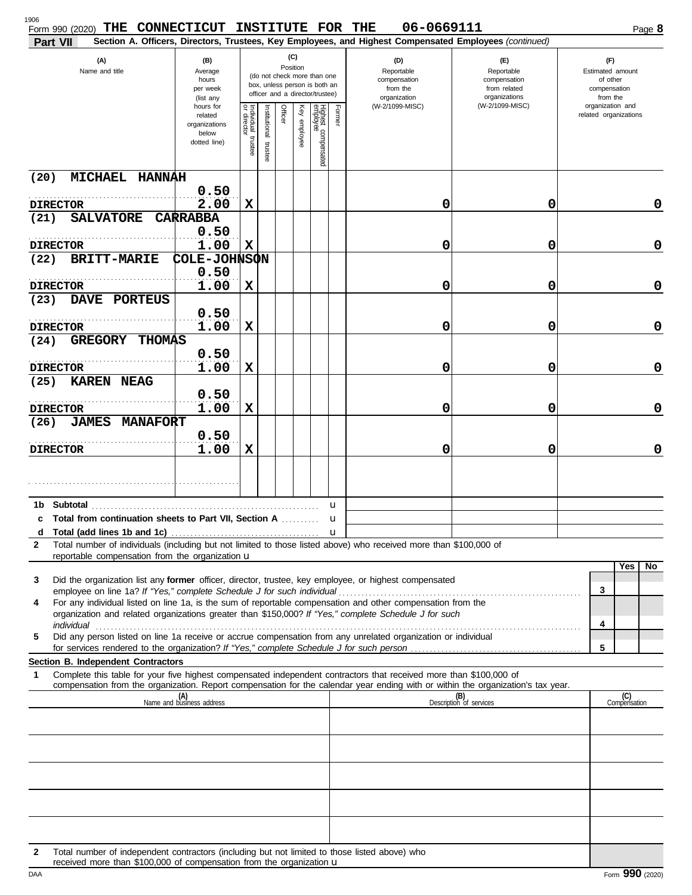| 1906<br>THE<br>Form 990 (2020)<br>Part VII                                                                                                                                                                                                                                                                                                                | CONNECTICUT INSTITUTE FOR THE                                  |                                                                                                                    |                         |         |              |                                 |              | 06-0669111<br>Section A. Officers, Directors, Trustees, Key Employees, and Highest Compensated Employees (continued) |                                                                    | Page 8                                                          |
|-----------------------------------------------------------------------------------------------------------------------------------------------------------------------------------------------------------------------------------------------------------------------------------------------------------------------------------------------------------|----------------------------------------------------------------|--------------------------------------------------------------------------------------------------------------------|-------------------------|---------|--------------|---------------------------------|--------------|----------------------------------------------------------------------------------------------------------------------|--------------------------------------------------------------------|-----------------------------------------------------------------|
| (A)<br>Name and title                                                                                                                                                                                                                                                                                                                                     | (B)<br>Average<br>hours<br>per week<br>(list any               | (C)<br>Position<br>(do not check more than one<br>box, unless person is both an<br>officer and a director/trustee) |                         |         |              |                                 |              | (D)<br>Reportable<br>compensation<br>from the<br>organization                                                        | (E)<br>Reportable<br>compensation<br>from related<br>organizations | (F)<br>Estimated amount<br>of other<br>compensation<br>from the |
|                                                                                                                                                                                                                                                                                                                                                           | hours for<br>related<br>organizations<br>below<br>dotted line) | Individual trustee<br>or director                                                                                  | nstitutional<br>trustee | Officer | Key employee | Highest compensated<br>employee | Former       | (W-2/1099-MISC)                                                                                                      | (W-2/1099-MISC)                                                    | organization and<br>related organizations                       |
| MICHAEL HANNAH<br>(20)                                                                                                                                                                                                                                                                                                                                    |                                                                |                                                                                                                    |                         |         |              |                                 |              |                                                                                                                      |                                                                    |                                                                 |
| <b>DIRECTOR</b>                                                                                                                                                                                                                                                                                                                                           | 0.50<br>2.00                                                   | X                                                                                                                  |                         |         |              |                                 |              | 0                                                                                                                    | 0                                                                  | 0                                                               |
| (21)<br><b>SALVATORE</b>                                                                                                                                                                                                                                                                                                                                  | <b>CARRABBA</b>                                                |                                                                                                                    |                         |         |              |                                 |              |                                                                                                                      |                                                                    |                                                                 |
| <b>DIRECTOR</b>                                                                                                                                                                                                                                                                                                                                           | 0.50<br>1.00                                                   | X                                                                                                                  |                         |         |              |                                 |              | 0                                                                                                                    | 0                                                                  | 0                                                               |
| (22)<br><b>BRITT-MARIE</b>                                                                                                                                                                                                                                                                                                                                | COLE-JOHNSON<br>0.50                                           |                                                                                                                    |                         |         |              |                                 |              |                                                                                                                      |                                                                    |                                                                 |
| <b>DIRECTOR</b>                                                                                                                                                                                                                                                                                                                                           | 1.00                                                           | X                                                                                                                  |                         |         |              |                                 |              | 0                                                                                                                    | 0                                                                  | 0                                                               |
| DAVE PORTEUS<br>(23)                                                                                                                                                                                                                                                                                                                                      | 0.50                                                           |                                                                                                                    |                         |         |              |                                 |              |                                                                                                                      |                                                                    |                                                                 |
| <b>DIRECTOR</b>                                                                                                                                                                                                                                                                                                                                           | 1.00                                                           | X                                                                                                                  |                         |         |              |                                 |              | 0                                                                                                                    | 0                                                                  | 0                                                               |
| <b>GREGORY</b><br><b>THOMAS</b><br>(24)                                                                                                                                                                                                                                                                                                                   |                                                                |                                                                                                                    |                         |         |              |                                 |              |                                                                                                                      |                                                                    |                                                                 |
| <b>DIRECTOR</b>                                                                                                                                                                                                                                                                                                                                           | 0.50<br>1.00                                                   | X                                                                                                                  |                         |         |              |                                 |              | 0                                                                                                                    | 0                                                                  | $\mathbf 0$                                                     |
| (25)<br>KAREN NEAG                                                                                                                                                                                                                                                                                                                                        |                                                                |                                                                                                                    |                         |         |              |                                 |              |                                                                                                                      |                                                                    |                                                                 |
|                                                                                                                                                                                                                                                                                                                                                           | 0.50                                                           |                                                                                                                    |                         |         |              |                                 |              |                                                                                                                      |                                                                    |                                                                 |
| <b>DIRECTOR</b><br><b>MANAFORT</b><br><b>JAMES</b><br>(26)                                                                                                                                                                                                                                                                                                | 1.00                                                           | X                                                                                                                  |                         |         |              |                                 |              | 0                                                                                                                    | 0                                                                  | $\mathbf 0$                                                     |
| <b>DIRECTOR</b>                                                                                                                                                                                                                                                                                                                                           | 0.50<br>1.00                                                   | X                                                                                                                  |                         |         |              |                                 |              | 0                                                                                                                    | 0                                                                  | 0                                                               |
|                                                                                                                                                                                                                                                                                                                                                           |                                                                |                                                                                                                    |                         |         |              |                                 |              |                                                                                                                      |                                                                    |                                                                 |
| Subtotal<br>1b                                                                                                                                                                                                                                                                                                                                            |                                                                |                                                                                                                    |                         |         |              |                                 | u            |                                                                                                                      |                                                                    |                                                                 |
| <b>c</b> Total from continuation sheets to Part VII, Section A                                                                                                                                                                                                                                                                                            |                                                                |                                                                                                                    |                         |         |              |                                 | u            |                                                                                                                      |                                                                    |                                                                 |
| d<br>Total number of individuals (including but not limited to those listed above) who received more than \$100,000 of<br>$\mathbf{2}$                                                                                                                                                                                                                    |                                                                |                                                                                                                    |                         |         |              |                                 | $\mathbf{u}$ |                                                                                                                      |                                                                    |                                                                 |
| reportable compensation from the organization u                                                                                                                                                                                                                                                                                                           |                                                                |                                                                                                                    |                         |         |              |                                 |              |                                                                                                                      |                                                                    |                                                                 |
| Did the organization list any former officer, director, trustee, key employee, or highest compensated<br>3                                                                                                                                                                                                                                                |                                                                |                                                                                                                    |                         |         |              |                                 |              |                                                                                                                      |                                                                    | Yes<br>No.                                                      |
| For any individual listed on line 1a, is the sum of reportable compensation and other compensation from the<br>4                                                                                                                                                                                                                                          |                                                                |                                                                                                                    |                         |         |              |                                 |              |                                                                                                                      |                                                                    | 3                                                               |
| organization and related organizations greater than \$150,000? If "Yes," complete Schedule J for such                                                                                                                                                                                                                                                     |                                                                |                                                                                                                    |                         |         |              |                                 |              |                                                                                                                      |                                                                    | 4                                                               |
| individual <b>construction in the construction of the construction</b> in the construction of the construction of the construction of the construction of the construction of the construction of the construction of the construct<br>Did any person listed on line 1a receive or accrue compensation from any unrelated organization or individual<br>5 |                                                                |                                                                                                                    |                         |         |              |                                 |              |                                                                                                                      |                                                                    |                                                                 |
| Section B. Independent Contractors                                                                                                                                                                                                                                                                                                                        |                                                                |                                                                                                                    |                         |         |              |                                 |              |                                                                                                                      |                                                                    | 5                                                               |
| Complete this table for your five highest compensated independent contractors that received more than \$100,000 of<br>1                                                                                                                                                                                                                                   |                                                                |                                                                                                                    |                         |         |              |                                 |              |                                                                                                                      |                                                                    |                                                                 |
| compensation from the organization. Report compensation for the calendar year ending with or within the organization's tax year.                                                                                                                                                                                                                          | (A)<br>Name and business address                               |                                                                                                                    |                         |         |              |                                 |              |                                                                                                                      | (B)<br>Description of services                                     | (C)<br>Compensation                                             |
|                                                                                                                                                                                                                                                                                                                                                           |                                                                |                                                                                                                    |                         |         |              |                                 |              |                                                                                                                      |                                                                    |                                                                 |
|                                                                                                                                                                                                                                                                                                                                                           |                                                                |                                                                                                                    |                         |         |              |                                 |              |                                                                                                                      |                                                                    |                                                                 |
|                                                                                                                                                                                                                                                                                                                                                           |                                                                |                                                                                                                    |                         |         |              |                                 |              |                                                                                                                      |                                                                    |                                                                 |
|                                                                                                                                                                                                                                                                                                                                                           |                                                                |                                                                                                                    |                         |         |              |                                 |              |                                                                                                                      |                                                                    |                                                                 |
|                                                                                                                                                                                                                                                                                                                                                           |                                                                |                                                                                                                    |                         |         |              |                                 |              |                                                                                                                      |                                                                    |                                                                 |
|                                                                                                                                                                                                                                                                                                                                                           |                                                                |                                                                                                                    |                         |         |              |                                 |              |                                                                                                                      |                                                                    |                                                                 |
|                                                                                                                                                                                                                                                                                                                                                           |                                                                |                                                                                                                    |                         |         |              |                                 |              |                                                                                                                      |                                                                    |                                                                 |
| Total number of independent contractors (including but not limited to those listed above) who<br>2                                                                                                                                                                                                                                                        |                                                                |                                                                                                                    |                         |         |              |                                 |              |                                                                                                                      |                                                                    |                                                                 |

| received more than \$100,000 of compensation from the organization $\mathbf u$ |  |
|--------------------------------------------------------------------------------|--|
|--------------------------------------------------------------------------------|--|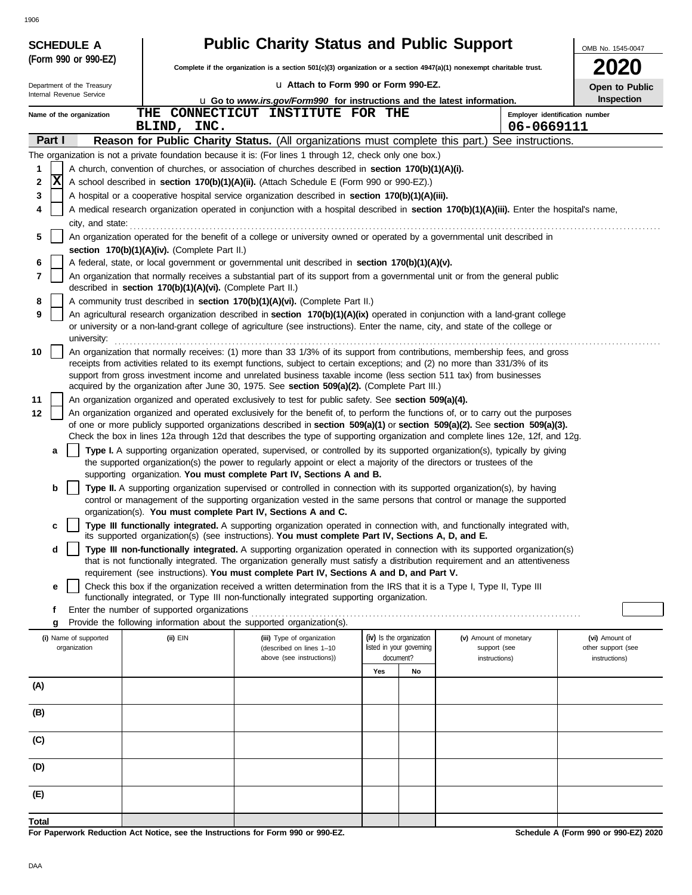| <b>SCHEDULE A</b>          |                                                            | <b>Public Charity Status and Public Support</b>                                                                                                                                                                                                                 |                                       |    |                                              | OMB No. 1545-0047                   |
|----------------------------|------------------------------------------------------------|-----------------------------------------------------------------------------------------------------------------------------------------------------------------------------------------------------------------------------------------------------------------|---------------------------------------|----|----------------------------------------------|-------------------------------------|
| (Form 990 or 990-EZ)       |                                                            | Complete if the organization is a section $501(c)(3)$ organization or a section $4947(a)(1)$ nonexempt charitable trust.                                                                                                                                        |                                       |    |                                              | 2020                                |
| Department of the Treasury |                                                            | Lu Attach to Form 990 or Form 990-EZ.                                                                                                                                                                                                                           |                                       |    |                                              | Open to Public                      |
| Internal Revenue Service   |                                                            | <b>u</b> Go to www.irs.gov/Form990 for instructions and the latest information.                                                                                                                                                                                 |                                       |    |                                              | <b>Inspection</b>                   |
| Name of the organization   | THE<br>BLIND, INC.                                         | CONNECTICUT INSTITUTE FOR THE                                                                                                                                                                                                                                   |                                       |    | Employer identification number<br>06-0669111 |                                     |
| Part I                     |                                                            | Reason for Public Charity Status. (All organizations must complete this part.) See instructions.                                                                                                                                                                |                                       |    |                                              |                                     |
|                            |                                                            | The organization is not a private foundation because it is: (For lines 1 through 12, check only one box.)                                                                                                                                                       |                                       |    |                                              |                                     |
| 1                          |                                                            | A church, convention of churches, or association of churches described in section 170(b)(1)(A)(i).                                                                                                                                                              |                                       |    |                                              |                                     |
| X<br>2<br>3                |                                                            | A school described in section 170(b)(1)(A)(ii). (Attach Schedule E (Form 990 or 990-EZ).)                                                                                                                                                                       |                                       |    |                                              |                                     |
| 4                          |                                                            | A hospital or a cooperative hospital service organization described in section 170(b)(1)(A)(iii).<br>A medical research organization operated in conjunction with a hospital described in section 170(b)(1)(A)(iii). Enter the hospital's name,                 |                                       |    |                                              |                                     |
| city, and state:           |                                                            |                                                                                                                                                                                                                                                                 |                                       |    |                                              |                                     |
| 5                          |                                                            | An organization operated for the benefit of a college or university owned or operated by a governmental unit described in                                                                                                                                       |                                       |    |                                              |                                     |
|                            | section 170(b)(1)(A)(iv). (Complete Part II.)              |                                                                                                                                                                                                                                                                 |                                       |    |                                              |                                     |
| 6<br>7                     |                                                            | A federal, state, or local government or governmental unit described in section 170(b)(1)(A)(v).<br>An organization that normally receives a substantial part of its support from a governmental unit or from the general public                                |                                       |    |                                              |                                     |
|                            | described in section 170(b)(1)(A)(vi). (Complete Part II.) |                                                                                                                                                                                                                                                                 |                                       |    |                                              |                                     |
| 8                          |                                                            | A community trust described in section 170(b)(1)(A)(vi). (Complete Part II.)                                                                                                                                                                                    |                                       |    |                                              |                                     |
| 9<br>university:           |                                                            | An agricultural research organization described in section 170(b)(1)(A)(ix) operated in conjunction with a land-grant college<br>or university or a non-land-grant college of agriculture (see instructions). Enter the name, city, and state of the college or |                                       |    |                                              |                                     |
| 10                         |                                                            | An organization that normally receives: (1) more than 33 1/3% of its support from contributions, membership fees, and gross                                                                                                                                     |                                       |    |                                              |                                     |
|                            |                                                            | receipts from activities related to its exempt functions, subject to certain exceptions; and (2) no more than 331/3% of its                                                                                                                                     |                                       |    |                                              |                                     |
|                            |                                                            | support from gross investment income and unrelated business taxable income (less section 511 tax) from businesses<br>acquired by the organization after June 30, 1975. See section 509(a)(2). (Complete Part III.)                                              |                                       |    |                                              |                                     |
| 11                         |                                                            | An organization organized and operated exclusively to test for public safety. See section 509(a)(4).                                                                                                                                                            |                                       |    |                                              |                                     |
| 12                         |                                                            | An organization organized and operated exclusively for the benefit of, to perform the functions of, or to carry out the purposes                                                                                                                                |                                       |    |                                              |                                     |
|                            |                                                            | of one or more publicly supported organizations described in section 509(a)(1) or section 509(a)(2). See section 509(a)(3).<br>Check the box in lines 12a through 12d that describes the type of supporting organization and complete lines 12e, 12f, and 12g.  |                                       |    |                                              |                                     |
| a                          |                                                            | Type I. A supporting organization operated, supervised, or controlled by its supported organization(s), typically by giving                                                                                                                                     |                                       |    |                                              |                                     |
|                            |                                                            | the supported organization(s) the power to regularly appoint or elect a majority of the directors or trustees of the                                                                                                                                            |                                       |    |                                              |                                     |
| b                          |                                                            | supporting organization. You must complete Part IV, Sections A and B.<br>Type II. A supporting organization supervised or controlled in connection with its supported organization(s), by having                                                                |                                       |    |                                              |                                     |
|                            |                                                            | control or management of the supporting organization vested in the same persons that control or manage the supported                                                                                                                                            |                                       |    |                                              |                                     |
|                            |                                                            | organization(s). You must complete Part IV, Sections A and C.                                                                                                                                                                                                   |                                       |    |                                              |                                     |
| c                          |                                                            | Type III functionally integrated. A supporting organization operated in connection with, and functionally integrated with,<br>its supported organization(s) (see instructions). You must complete Part IV, Sections A, D, and E.                                |                                       |    |                                              |                                     |
| d                          |                                                            | Type III non-functionally integrated. A supporting organization operated in connection with its supported organization(s)                                                                                                                                       |                                       |    |                                              |                                     |
|                            |                                                            | that is not functionally integrated. The organization generally must satisfy a distribution requirement and an attentiveness<br>requirement (see instructions). You must complete Part IV, Sections A and D, and Part V.                                        |                                       |    |                                              |                                     |
| е                          |                                                            | Check this box if the organization received a written determination from the IRS that it is a Type I, Type II, Type III                                                                                                                                         |                                       |    |                                              |                                     |
|                            |                                                            | functionally integrated, or Type III non-functionally integrated supporting organization.                                                                                                                                                                       |                                       |    |                                              |                                     |
| f<br>g                     | Enter the number of supported organizations                | Provide the following information about the supported organization(s).                                                                                                                                                                                          |                                       |    |                                              |                                     |
| (i) Name of supported      | (ii) EIN                                                   | (iii) Type of organization                                                                                                                                                                                                                                      | (iv) Is the organization              |    | (v) Amount of monetary                       | (vi) Amount of                      |
| organization               |                                                            | (described on lines 1-10<br>above (see instructions))                                                                                                                                                                                                           | listed in your governing<br>document? |    | support (see<br>instructions)                | other support (see<br>instructions) |
|                            |                                                            |                                                                                                                                                                                                                                                                 | Yes                                   | No |                                              |                                     |
| (A)                        |                                                            |                                                                                                                                                                                                                                                                 |                                       |    |                                              |                                     |
| (B)                        |                                                            |                                                                                                                                                                                                                                                                 |                                       |    |                                              |                                     |
| (C)                        |                                                            |                                                                                                                                                                                                                                                                 |                                       |    |                                              |                                     |
| (D)                        |                                                            |                                                                                                                                                                                                                                                                 |                                       |    |                                              |                                     |
|                            |                                                            |                                                                                                                                                                                                                                                                 |                                       |    |                                              |                                     |
| (E)                        |                                                            |                                                                                                                                                                                                                                                                 |                                       |    |                                              |                                     |
| Total                      |                                                            |                                                                                                                                                                                                                                                                 |                                       |    |                                              |                                     |

**For Paperwork Reduction Act Notice, see the Instructions for Form 990 or 990-EZ.**

**Schedule A (Form 990 or 990-EZ) 2020**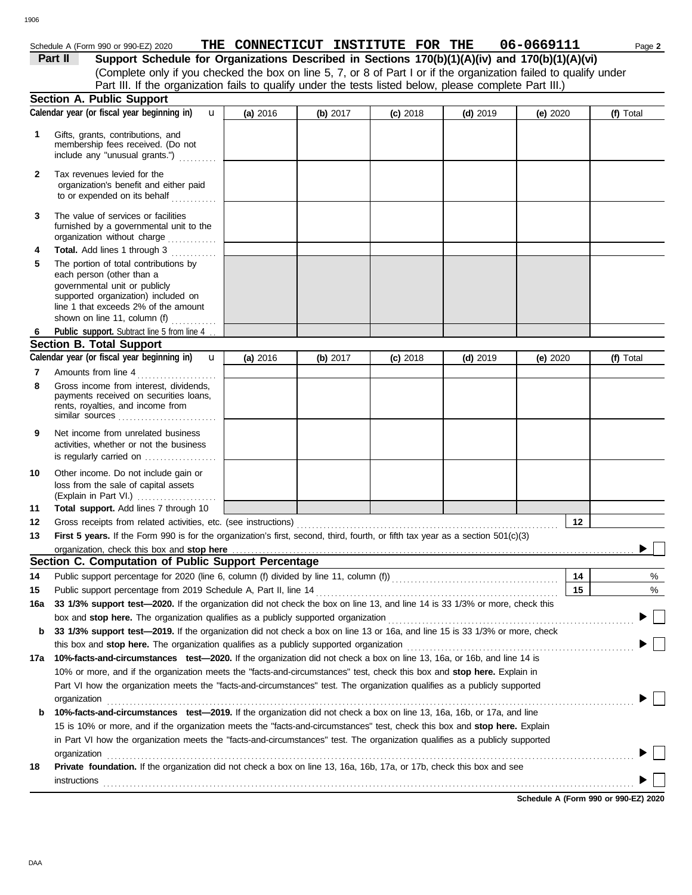$\blacktriangleright \Box$ 

| 1906         |                                                                                                                                                                                                                                                            |          |            |                                   |            |            |           |
|--------------|------------------------------------------------------------------------------------------------------------------------------------------------------------------------------------------------------------------------------------------------------------|----------|------------|-----------------------------------|------------|------------|-----------|
|              |                                                                                                                                                                                                                                                            |          |            |                                   |            |            |           |
|              | Schedule A (Form 990 or 990-EZ) 2020                                                                                                                                                                                                                       |          |            | THE CONNECTICUT INSTITUTE FOR THE |            | 06-0669111 | Page 2    |
|              | Support Schedule for Organizations Described in Sections 170(b)(1)(A)(iv) and 170(b)(1)(A)(vi)<br>Part II                                                                                                                                                  |          |            |                                   |            |            |           |
|              | (Complete only if you checked the box on line 5, 7, or 8 of Part I or if the organization failed to qualify under<br>Part III. If the organization fails to qualify under the tests listed below, please complete Part III.)                               |          |            |                                   |            |            |           |
|              | Section A. Public Support                                                                                                                                                                                                                                  |          |            |                                   |            |            |           |
|              | Calendar year (or fiscal year beginning in)<br>$\mathbf{u}$                                                                                                                                                                                                | (a) 2016 | (b) 2017   | $(c)$ 2018                        | $(d)$ 2019 | (e) $2020$ | (f) Total |
|              |                                                                                                                                                                                                                                                            |          |            |                                   |            |            |           |
| 1            | Gifts, grants, contributions, and<br>membership fees received. (Do not<br>include any "unusual grants.")                                                                                                                                                   |          |            |                                   |            |            |           |
| $\mathbf{2}$ | Tax revenues levied for the<br>organization's benefit and either paid<br>to or expended on its behalf                                                                                                                                                      |          |            |                                   |            |            |           |
| 3            | The value of services or facilities<br>furnished by a governmental unit to the<br>organization without charge                                                                                                                                              |          |            |                                   |            |            |           |
| 4            | Total. Add lines 1 through 3<br>.                                                                                                                                                                                                                          |          |            |                                   |            |            |           |
| 5            | The portion of total contributions by<br>each person (other than a<br>governmental unit or publicly<br>supported organization) included on<br>line 1 that exceeds 2% of the amount                                                                         |          |            |                                   |            |            |           |
|              | shown on line 11, column (f) $\ldots$                                                                                                                                                                                                                      |          |            |                                   |            |            |           |
| 6            | Public support. Subtract line 5 from line 4                                                                                                                                                                                                                |          |            |                                   |            |            |           |
|              | <b>Section B. Total Support</b>                                                                                                                                                                                                                            |          |            |                                   |            |            |           |
|              | Calendar year (or fiscal year beginning in)<br>$\mathbf{u}$                                                                                                                                                                                                | (a) 2016 | (b) $2017$ | $(c)$ 2018                        | $(d)$ 2019 | (e) 2020   | (f) Total |
| 7<br>8       | Amounts from line 4<br>Gross income from interest, dividends,<br>payments received on securities loans,<br>rents, royalties, and income from<br>similar sources                                                                                            |          |            |                                   |            |            |           |
| 9            | Net income from unrelated business<br>activities, whether or not the business<br>is regularly carried on                                                                                                                                                   |          |            |                                   |            |            |           |
| 10           | Other income. Do not include gain or<br>loss from the sale of capital assets<br>(Explain in Part VI.)                                                                                                                                                      |          |            |                                   |            |            |           |
| 11           | Total support. Add lines 7 through 10                                                                                                                                                                                                                      |          |            |                                   |            |            |           |
| 12           | Gross receipts from related activities, etc. (see instructions)                                                                                                                                                                                            |          |            |                                   |            | 12         |           |
| 13           | First 5 years. If the Form 990 is for the organization's first, second, third, fourth, or fifth tax year as a section 501(c)(3)                                                                                                                            |          |            |                                   |            |            |           |
|              | organization, check this box and stop here<br>Section C. Computation of Public Support Percentage                                                                                                                                                          |          |            |                                   |            |            |           |
| 14           |                                                                                                                                                                                                                                                            |          |            |                                   |            | 14         |           |
| 15           | Public support percentage for 2020 (line 6, column (f) divided by line 11, column (f) [[[[[[[[[[[[[[[[[[[[[[[<br>Public support percentage from 2019 Schedule A, Part II, line 14                                                                          |          |            |                                   |            | 15         | %<br>%    |
| 16a          | 33 1/3% support test-2020. If the organization did not check the box on line 13, and line 14 is 33 1/3% or more, check this                                                                                                                                |          |            |                                   |            |            |           |
|              | box and stop here. The organization qualifies as a publicly supported organization [11] content content content content of the content of the state of the state of the state of the state of the state of the state of the st                             |          |            |                                   |            |            |           |
| b            | 33 1/3% support test-2019. If the organization did not check a box on line 13 or 16a, and line 15 is 33 1/3% or more, check                                                                                                                                |          |            |                                   |            |            |           |
|              | this box and stop here. The organization qualifies as a publicly supported organization                                                                                                                                                                    |          |            |                                   |            |            |           |
| 17а          | 10%-facts-and-circumstances test-2020. If the organization did not check a box on line 13, 16a, or 16b, and line 14 is                                                                                                                                     |          |            |                                   |            |            |           |
|              | 10% or more, and if the organization meets the "facts-and-circumstances" test, check this box and stop here. Explain in                                                                                                                                    |          |            |                                   |            |            |           |
|              | Part VI how the organization meets the "facts-and-circumstances" test. The organization qualifies as a publicly supported                                                                                                                                  |          |            |                                   |            |            |           |
|              | organization                                                                                                                                                                                                                                               |          |            |                                   |            |            |           |
| b            | 10%-facts-and-circumstances test-2019. If the organization did not check a box on line 13, 16a, 16b, or 17a, and line                                                                                                                                      |          |            |                                   |            |            |           |
|              | 15 is 10% or more, and if the organization meets the "facts-and-circumstances" test, check this box and stop here. Explain<br>in Part VI how the organization meets the "facts-and-circumstances" test. The organization qualifies as a publicly supported |          |            |                                   |            |            |           |
|              | organization                                                                                                                                                                                                                                               |          |            |                                   |            |            |           |
| 18           | Private foundation. If the organization did not check a box on line 13, 16a, 16b, 17a, or 17b, check this box and see                                                                                                                                      |          |            |                                   |            |            |           |

**Schedule A (Form 990 or 990-EZ) 2020** instructions . . . . . . . . . . . . . . . . . . . . . . . . . . . . . . . . . . . . . . . . . . . . . . . . . . . . . . . . . . . . . . . . . . . . . . . . . . . . . . . . . . . . . . . . . . . . . . . . . . . . . . . . . . . . . . . . . . . . . . . . . . . . . . . . . . . . . . . . . . . .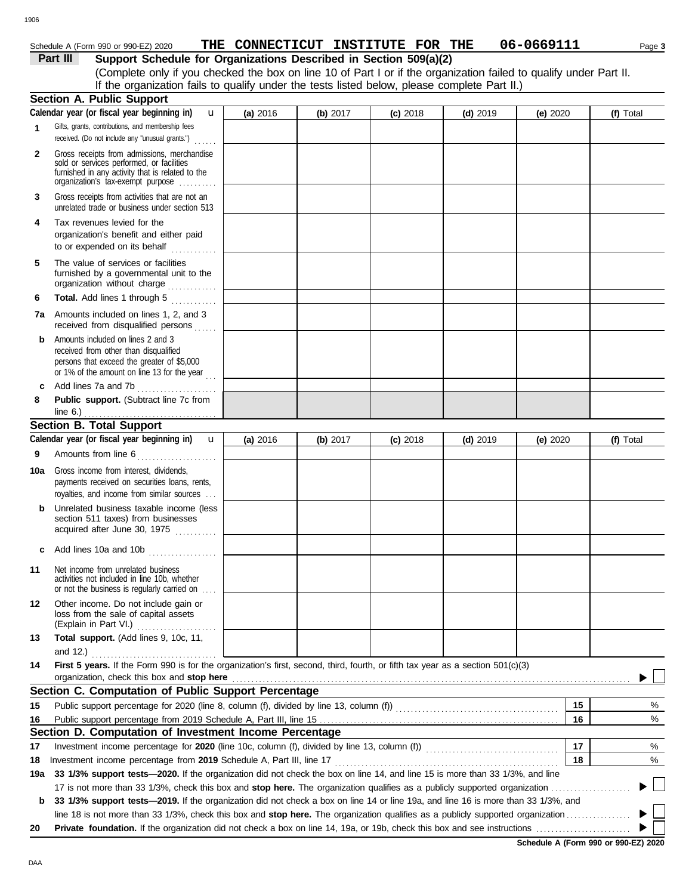### 1906

#### Schedule A (Form 990 or 990-EZ) 2020 **THE CONNECTICUT INSTITUTE FOR THE U6-U669IIII** Page **3 THE CONNECTICUT INSTITUTE FOR THE 06-0669111**

| OCUE ONE H (LOLIU AAN OL AAN-ET) SASA                                                                                                                          | TUR COMMRCITCOT TMDITIOIR LOV TUR |            |            |            | UU-UUUJ <del>III</del> |           |
|----------------------------------------------------------------------------------------------------------------------------------------------------------------|-----------------------------------|------------|------------|------------|------------------------|-----------|
| Part III<br>Support Schedule for Organizations Described in Section 509(a)(2)                                                                                  |                                   |            |            |            |                        |           |
| (Complete only if you checked the box on line 10 of Part I or if the organization failed to qualify under Part II.                                             |                                   |            |            |            |                        |           |
| If the organization fails to qualify under the tests listed below, please complete Part II.)                                                                   |                                   |            |            |            |                        |           |
| <b>Section A. Public Support</b>                                                                                                                               |                                   |            |            |            |                        |           |
| Calendar year (or fiscal year beginning in)<br>$\mathbf{u}$                                                                                                    | (a) 2016                          | $(b)$ 2017 | $(c)$ 2018 | $(d)$ 2019 | (e) $2020$             | (f) Total |
| Gifts, grants, contributions, and membership fees<br>received. (Do not include any "unusual grants.")                                                          |                                   |            |            |            |                        |           |
| Gross receipts from admissions, merchandise<br>$\overline{2}$<br>sold or services performed, or facilities<br>furnished in any activity that is related to the |                                   |            |            |            |                        |           |

|           | sold or services performed, or facilities<br>furnished in any activity that is related to the<br>organization's tax-exempt purpose                                                                      |          |            |            |            |            |    |           |  |
|-----------|---------------------------------------------------------------------------------------------------------------------------------------------------------------------------------------------------------|----------|------------|------------|------------|------------|----|-----------|--|
| 3         | Gross receipts from activities that are not an<br>unrelated trade or business under section 513                                                                                                         |          |            |            |            |            |    |           |  |
| 4         | Tax revenues levied for the<br>organization's benefit and either paid<br>to or expended on its behalf                                                                                                   |          |            |            |            |            |    |           |  |
| 5         | The value of services or facilities<br>furnished by a governmental unit to the<br>organization without charge                                                                                           |          |            |            |            |            |    |           |  |
| 6         | Total. Add lines 1 through 5                                                                                                                                                                            |          |            |            |            |            |    |           |  |
|           | 7a Amounts included on lines 1, 2, and 3<br>received from disqualified persons                                                                                                                          |          |            |            |            |            |    |           |  |
| b<br>c    | Amounts included on lines 2 and 3<br>received from other than disqualified<br>persons that exceed the greater of \$5,000<br>or 1% of the amount on line 13 for the year $\ldots$<br>Add lines 7a and 7b |          |            |            |            |            |    |           |  |
| 8         | Public support. (Subtract line 7c from                                                                                                                                                                  |          |            |            |            |            |    |           |  |
|           | line $6.$ )                                                                                                                                                                                             |          |            |            |            |            |    |           |  |
|           | <b>Section B. Total Support</b>                                                                                                                                                                         |          |            |            |            |            |    |           |  |
|           | Calendar year (or fiscal year beginning in)<br>$\mathbf{u}$                                                                                                                                             | (a) 2016 | (b) $2017$ | $(c)$ 2018 | $(d)$ 2019 | (e) $2020$ |    | (f) Total |  |
| 9         | Amounts from line 6                                                                                                                                                                                     |          |            |            |            |            |    |           |  |
| 10a       | Gross income from interest, dividends,<br>payments received on securities loans, rents,<br>royalties, and income from similar sources                                                                   |          |            |            |            |            |    |           |  |
| b         | Unrelated business taxable income (less<br>section 511 taxes) from businesses<br>acquired after June 30, 1975                                                                                           |          |            |            |            |            |    |           |  |
| c         | Add lines 10a and 10b $\ldots$                                                                                                                                                                          |          |            |            |            |            |    |           |  |
| 11        | Net income from unrelated business<br>activities not included in line 10b, whether<br>or not the business is regularly carried on                                                                       |          |            |            |            |            |    |           |  |
| 12        | Other income. Do not include gain or<br>loss from the sale of capital assets<br>(Explain in Part VI.)                                                                                                   |          |            |            |            |            |    |           |  |
| 13        | Total support. (Add lines 9, 10c, 11,                                                                                                                                                                   |          |            |            |            |            |    |           |  |
|           | and 12.) $\ldots$ . $\ldots$ . $\ldots$ . $\ldots$                                                                                                                                                      |          |            |            |            |            |    |           |  |
| 14        | <b>First 5 years.</b> If the Form 990 is for the organization's first, second, third, fourth, or fifth tax year as a section 501(c)(3)                                                                  |          |            |            |            |            |    |           |  |
|           |                                                                                                                                                                                                         |          |            |            |            |            |    |           |  |
|           | Section C. Computation of Public Support Percentage                                                                                                                                                     |          |            |            |            |            |    |           |  |
| 15        | Public support percentage for 2020 (line 8, column (f), divided by line 13, column (f)) [[[[[[[[[[[[[[[[[[[[[                                                                                           |          |            |            |            |            | 15 | %         |  |
| 16        |                                                                                                                                                                                                         |          |            |            |            |            | 16 | %         |  |
|           | Section D. Computation of Investment Income Percentage                                                                                                                                                  |          |            |            |            |            | 17 |           |  |
| 17        |                                                                                                                                                                                                         |          |            |            |            |            | 18 | %<br>%    |  |
| 18<br>19a | Investment income percentage from 2019 Schedule A, Part III, line 17<br>33 1/3% support tests-2020. If the organization did not check the box on line 14, and line 15 is more than 33 1/3%, and line    |          |            |            |            |            |    |           |  |
|           |                                                                                                                                                                                                         |          |            |            |            |            |    |           |  |
| b         | 33 1/3% support tests-2019. If the organization did not check a box on line 14 or line 19a, and line 16 is more than 33 1/3%, and                                                                       |          |            |            |            |            |    |           |  |
|           | line 18 is not more than 33 1/3%, check this box and stop here. The organization qualifies as a publicly supported organization                                                                         |          |            |            |            |            |    |           |  |

▶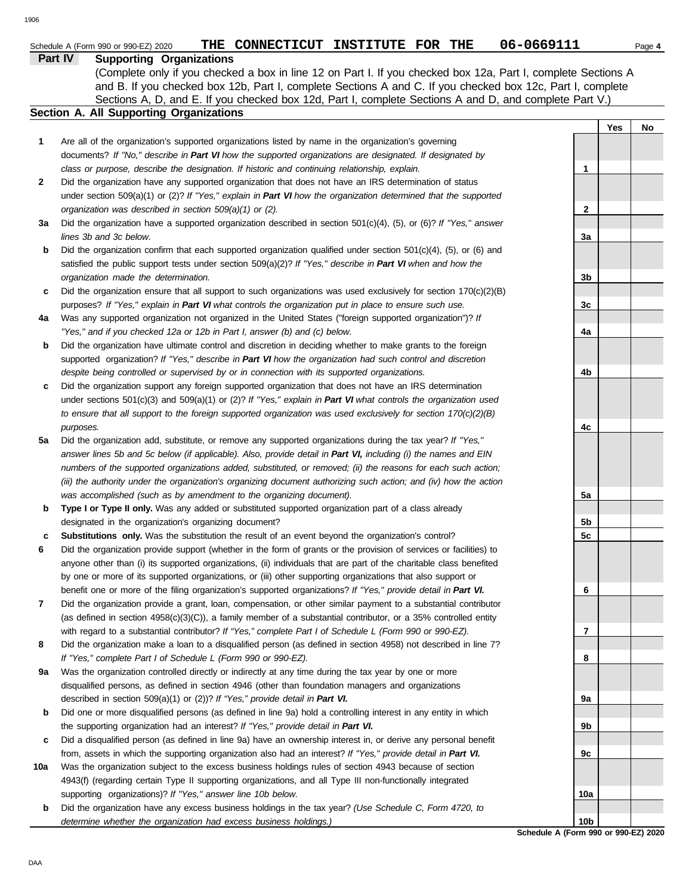|              | Part IV<br><b>Supporting Organizations</b>                                                                               |                 |     |    |
|--------------|--------------------------------------------------------------------------------------------------------------------------|-----------------|-----|----|
|              | (Complete only if you checked a box in line 12 on Part I. If you checked box 12a, Part I, complete Sections A            |                 |     |    |
|              | and B. If you checked box 12b, Part I, complete Sections A and C. If you checked box 12c, Part I, complete               |                 |     |    |
|              | Sections A, D, and E. If you checked box 12d, Part I, complete Sections A and D, and complete Part V.)                   |                 |     |    |
|              | Section A. All Supporting Organizations                                                                                  |                 |     |    |
|              |                                                                                                                          |                 | Yes | No |
| 1            | Are all of the organization's supported organizations listed by name in the organization's governing                     |                 |     |    |
|              | documents? If "No," describe in Part VI how the supported organizations are designated. If designated by                 |                 |     |    |
|              | class or purpose, describe the designation. If historic and continuing relationship, explain.                            | $\mathbf{1}$    |     |    |
| $\mathbf{2}$ | Did the organization have any supported organization that does not have an IRS determination of status                   |                 |     |    |
|              | under section 509(a)(1) or (2)? If "Yes," explain in Part VI how the organization determined that the supported          |                 |     |    |
|              | organization was described in section 509(a)(1) or (2).                                                                  | 2               |     |    |
| За           | Did the organization have a supported organization described in section $501(c)(4)$ , (5), or (6)? If "Yes," answer      |                 |     |    |
|              | lines 3b and 3c below.                                                                                                   | За              |     |    |
| b            | Did the organization confirm that each supported organization qualified under section $501(c)(4)$ , $(5)$ , or $(6)$ and |                 |     |    |
|              | satisfied the public support tests under section 509(a)(2)? If "Yes," describe in Part VI when and how the               |                 |     |    |
|              | organization made the determination.                                                                                     | 3b              |     |    |
| c            | Did the organization ensure that all support to such organizations was used exclusively for section $170(c)(2)(B)$       |                 |     |    |
|              | purposes? If "Yes," explain in Part VI what controls the organization put in place to ensure such use.                   | 3c              |     |    |
| 4a           | Was any supported organization not organized in the United States ("foreign supported organization")? If                 |                 |     |    |
|              | "Yes," and if you checked 12a or 12b in Part I, answer (b) and (c) below.                                                | 4a              |     |    |
| b            | Did the organization have ultimate control and discretion in deciding whether to make grants to the foreign              |                 |     |    |
|              | supported organization? If "Yes," describe in Part VI how the organization had such control and discretion               |                 |     |    |
|              | despite being controlled or supervised by or in connection with its supported organizations.                             | 4b              |     |    |
| c            | Did the organization support any foreign supported organization that does not have an IRS determination                  |                 |     |    |
|              | under sections $501(c)(3)$ and $509(a)(1)$ or (2)? If "Yes," explain in Part VI what controls the organization used      |                 |     |    |
|              | to ensure that all support to the foreign supported organization was used exclusively for section $170(c)(2)(B)$         |                 |     |    |
|              | purposes.                                                                                                                | 4c              |     |    |
| 5а           | Did the organization add, substitute, or remove any supported organizations during the tax year? If "Yes,"               |                 |     |    |
|              | answer lines 5b and 5c below (if applicable). Also, provide detail in Part VI, including (i) the names and EIN           |                 |     |    |
|              | numbers of the supported organizations added, substituted, or removed; (ii) the reasons for each such action;            |                 |     |    |
|              | (iii) the authority under the organization's organizing document authorizing such action; and (iv) how the action        |                 |     |    |
|              | was accomplished (such as by amendment to the organizing document).                                                      | 5a              |     |    |
| b            | Type I or Type II only. Was any added or substituted supported organization part of a class already                      |                 |     |    |
|              | designated in the organization's organizing document?                                                                    | 5b              |     |    |
| с            | Substitutions only. Was the substitution the result of an event beyond the organization's control?                       | 5c              |     |    |
| 6            | Did the organization provide support (whether in the form of grants or the provision of services or facilities) to       |                 |     |    |
|              | anyone other than (i) its supported organizations, (ii) individuals that are part of the charitable class benefited      |                 |     |    |
|              | by one or more of its supported organizations, or (iii) other supporting organizations that also support or              |                 |     |    |
|              | benefit one or more of the filing organization's supported organizations? If "Yes," provide detail in Part VI.           | 6               |     |    |
| 7            | Did the organization provide a grant, loan, compensation, or other similar payment to a substantial contributor          |                 |     |    |
|              | (as defined in section 4958(c)(3)(C)), a family member of a substantial contributor, or a 35% controlled entity          |                 |     |    |
|              | with regard to a substantial contributor? If "Yes," complete Part I of Schedule L (Form 990 or 990-EZ).                  | 7               |     |    |
| 8            | Did the organization make a loan to a disqualified person (as defined in section 4958) not described in line 7?          |                 |     |    |
|              | If "Yes," complete Part I of Schedule L (Form 990 or 990-EZ).                                                            | 8               |     |    |
| 9a           | Was the organization controlled directly or indirectly at any time during the tax year by one or more                    |                 |     |    |
|              | disqualified persons, as defined in section 4946 (other than foundation managers and organizations                       |                 |     |    |
|              | described in section 509(a)(1) or (2))? If "Yes," provide detail in Part VI.                                             | 9a              |     |    |
| b            | Did one or more disqualified persons (as defined in line 9a) hold a controlling interest in any entity in which          |                 |     |    |
|              | the supporting organization had an interest? If "Yes," provide detail in Part VI.                                        | 9b              |     |    |
| c            | Did a disqualified person (as defined in line 9a) have an ownership interest in, or derive any personal benefit          |                 |     |    |
|              | from, assets in which the supporting organization also had an interest? If "Yes," provide detail in Part VI.             | 9с              |     |    |
| 10a          | Was the organization subject to the excess business holdings rules of section 4943 because of section                    |                 |     |    |
|              | 4943(f) (regarding certain Type II supporting organizations, and all Type III non-functionally integrated                |                 |     |    |
|              | supporting organizations)? If "Yes," answer line 10b below.                                                              | 10a             |     |    |
| b            | Did the organization have any excess business holdings in the tax year? (Use Schedule C, Form 4720, to                   |                 |     |    |
|              | determine whether the organization had excess business holdings.)                                                        | 10 <sub>b</sub> |     |    |

**Schedule A (Form 990 or 990-EZ) 2020 10b**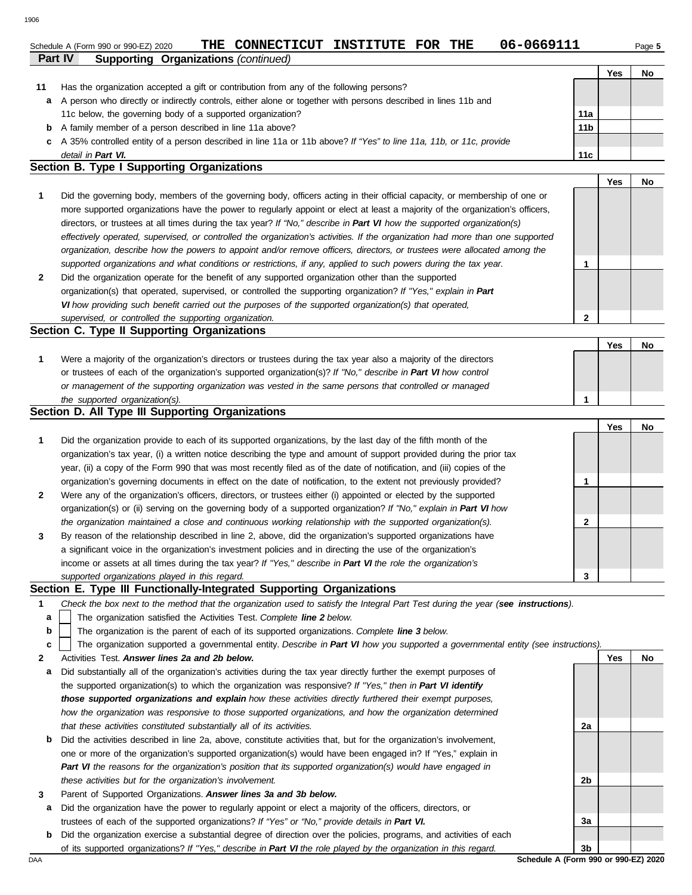### **Part IV Supporting Organizations** *(continued)* Schedule A (Form 990 or 990-EZ) 2020 **THE CONNECTICUT INSTITUTE FOR THE** 06-0669111 Page 5

| .  | $\sim$                                                                                                               |                 |     |    |
|----|----------------------------------------------------------------------------------------------------------------------|-----------------|-----|----|
|    |                                                                                                                      |                 | Yes | No |
| 11 | Has the organization accepted a gift or contribution from any of the following persons?                              |                 |     |    |
| a  | A person who directly or indirectly controls, either alone or together with persons described in lines 11b and       |                 |     |    |
|    | 11c below, the governing body of a supported organization?                                                           | 11a             |     |    |
|    | <b>b</b> A family member of a person described in line 11a above?                                                    | 11 <sub>b</sub> |     |    |
|    | c A 35% controlled entity of a person described in line 11a or 11b above? If "Yes" to line 11a, 11b, or 11c, provide |                 |     |    |
|    | detail in Part VI.                                                                                                   | 11c             |     |    |

### **Section B. Type I Supporting Organizations**

**2 1** *supported organizations and what conditions or restrictions, if any, applied to such powers during the tax year. organization, describe how the powers to appoint and/or remove officers, directors, or trustees were allocated among the effectively operated, supervised, or controlled the organization's activities. If the organization had more than one supported* directors, or trustees at all times during the tax year? *If "No," describe in Part VI how the supported organization(s)* more supported organizations have the power to regularly appoint or elect at least a majority of the organization's officers, Did the governing body, members of the governing body, officers acting in their official capacity, or membership of one or Did the organization operate for the benefit of any supported organization other than the supported **1**

organization(s) that operated, supervised, or controlled the supporting organization? *If "Yes," explain in Part VI how providing such benefit carried out the purposes of the supported organization(s) that operated, supervised, or controlled the supporting organization.*

## **Section C. Type II Supporting Organizations**

Were a majority of the organization's directors or trustees during the tax year also a majority of the directors or trustees of each of the organization's supported organization(s)? *If "No," describe in Part VI how control* **1** *or management of the supporting organization was vested in the same persons that controlled or managed the supported organization(s).* **Yes No 1**

### **Section D. All Type III Supporting Organizations**

|                      |                                                                                                                        | Yes | No |
|----------------------|------------------------------------------------------------------------------------------------------------------------|-----|----|
| $\blacktriangleleft$ | Did the organization provide to each of its supported organizations, by the last day of the fifth month of the         |     |    |
|                      | organization's tax year, (i) a written notice describing the type and amount of support provided during the prior tax  |     |    |
|                      | year, (ii) a copy of the Form 990 that was most recently filed as of the date of notification, and (iii) copies of the |     |    |
|                      | organization's governing documents in effect on the date of notification, to the extent not previously provided?       |     |    |
| $\overline{2}$       | Were any of the organization's officers, directors, or trustees either (i) appointed or elected by the supported       |     |    |
|                      | organization(s) or (ii) serving on the governing body of a supported organization? If "No," explain in Part VI how     |     |    |
|                      | the organization maintained a close and continuous working relationship with the supported organization(s).            |     |    |
| $\mathbf{3}$         | By reason of the relationship described in line 2, above, did the organization's supported organizations have          |     |    |
|                      | a significant voice in the organization's investment policies and in directing the use of the organization's           |     |    |
|                      | income or assets at all times during the tax year? If "Yes," describe in Part VI the role the organization's           |     |    |
|                      | supported organizations played in this regard.                                                                         |     |    |

### **Section E. Type III Functionally-Integrated Supporting Organizations**

- **1** *Check the box next to the method that the organization used to satisfy the Integral Part Test during the year (see instructions).*
	- The organization satisfied the Activities Test. *Complete line 2 below.* **a**
	- The organization is the parent of each of its supported organizations. *Complete line 3 below.* **b**

The organization supported a governmental entity. *Describe in Part VI how you supported a governmental entity (see instructions).* **c**

- **2** Activities Test. *Answer lines 2a and 2b below.*
	- **a** Did substantially all of the organization's activities during the tax year directly further the exempt purposes of the supported organization(s) to which the organization was responsive? *If "Yes," then in Part VI identify those supported organizations and explain how these activities directly furthered their exempt purposes,*  how the organization was responsive to those supported organizations, and how the organization determined *that these activities constituted substantially all of its activities.*
	- **b** Did the activities described in line 2a, above, constitute activities that, but for the organization's involvement, one or more of the organization's supported organization(s) would have been engaged in? If "Yes," explain in *Part VI the reasons for the organization's position that its supported organization(s) would have engaged in these activities but for the organization's involvement.*
- **3** Parent of Supported Organizations. *Answer lines 3a and 3b below.*
- **a** Did the organization have the power to regularly appoint or elect a majority of the officers, directors, or trustees of each of the supported organizations? *If "Yes" or "No," provide details in Part VI.*
- **b** Did the organization exercise a substantial degree of direction over the policies, programs, and activities of each of its supported organizations? *If "Yes," describe in Part VI the role played by the organization in this regard.*

DAA **Schedule A (Form 990 or 990-EZ) 2020 3b**

**2a**

**2b**

**3a**

**Yes No**

**2**

**Yes No**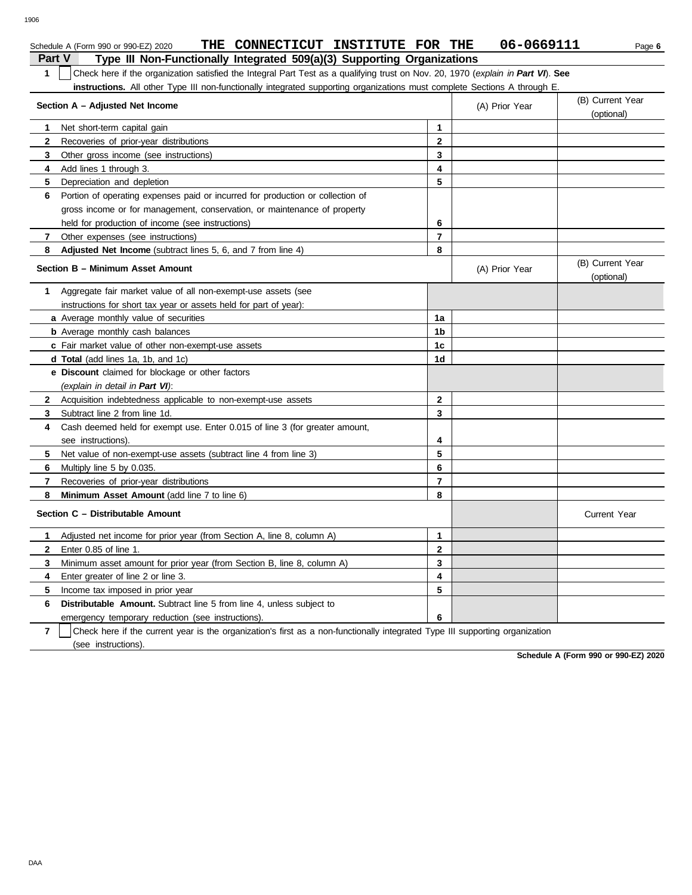| ٦F<br>ΉС |
|----------|

|                | THE CONNECTICUT INSTITUTE FOR THE<br>Schedule A (Form 990 or 990-EZ) 2020                                                        |                | 06-0669111     | Page 6                         |
|----------------|----------------------------------------------------------------------------------------------------------------------------------|----------------|----------------|--------------------------------|
| <b>Part V</b>  | Type III Non-Functionally Integrated 509(a)(3) Supporting Organizations                                                          |                |                |                                |
| $\mathbf{1}$   | Check here if the organization satisfied the Integral Part Test as a qualifying trust on Nov. 20, 1970 (explain in Part VI). See |                |                |                                |
|                | instructions. All other Type III non-functionally integrated supporting organizations must complete Sections A through E.        |                |                |                                |
|                | Section A - Adjusted Net Income                                                                                                  |                | (A) Prior Year | (B) Current Year               |
|                |                                                                                                                                  |                |                | (optional)                     |
| 1              | Net short-term capital gain                                                                                                      | $\mathbf{1}$   |                |                                |
| 2              | Recoveries of prior-year distributions                                                                                           | 2              |                |                                |
| 3              | Other gross income (see instructions)                                                                                            | 3              |                |                                |
| 4              | Add lines 1 through 3.                                                                                                           | 4              |                |                                |
| 5              | Depreciation and depletion                                                                                                       | 5              |                |                                |
| 6              | Portion of operating expenses paid or incurred for production or collection of                                                   |                |                |                                |
|                | gross income or for management, conservation, or maintenance of property                                                         |                |                |                                |
|                | held for production of income (see instructions)                                                                                 | 6              |                |                                |
| 7              | Other expenses (see instructions)                                                                                                | 7              |                |                                |
| 8              | Adjusted Net Income (subtract lines 5, 6, and 7 from line 4)                                                                     | 8              |                |                                |
|                | Section B - Minimum Asset Amount                                                                                                 |                | (A) Prior Year | (B) Current Year<br>(optional) |
| $\mathbf{1}$   | Aggregate fair market value of all non-exempt-use assets (see                                                                    |                |                |                                |
|                | instructions for short tax year or assets held for part of year):                                                                |                |                |                                |
|                | a Average monthly value of securities                                                                                            | 1a             |                |                                |
|                | <b>b</b> Average monthly cash balances                                                                                           | 1b             |                |                                |
|                | c Fair market value of other non-exempt-use assets                                                                               | 1c             |                |                                |
|                | d Total (add lines 1a, 1b, and 1c)                                                                                               | 1d             |                |                                |
|                | e Discount claimed for blockage or other factors                                                                                 |                |                |                                |
|                | (explain in detail in Part VI):                                                                                                  |                |                |                                |
| 2              | Acquisition indebtedness applicable to non-exempt-use assets                                                                     | $\mathbf 2$    |                |                                |
| 3              | Subtract line 2 from line 1d.                                                                                                    | 3              |                |                                |
| 4              | Cash deemed held for exempt use. Enter 0.015 of line 3 (for greater amount,                                                      |                |                |                                |
|                | see instructions).                                                                                                               | 4              |                |                                |
| 5              | Net value of non-exempt-use assets (subtract line 4 from line 3)                                                                 | 5              |                |                                |
| 6              | Multiply line 5 by 0.035.                                                                                                        | 6              |                |                                |
| $\overline{7}$ | Recoveries of prior-year distributions                                                                                           | $\overline{7}$ |                |                                |
| 8              | <b>Minimum Asset Amount</b> (add line 7 to line 6)                                                                               | 8              |                |                                |
|                | Section C - Distributable Amount                                                                                                 |                |                | <b>Current Year</b>            |
| $\mathbf 1$    | Adjusted net income for prior year (from Section A, line 8, column A)                                                            | 1              |                |                                |
| $\mathbf{2}$   | Enter 0.85 of line 1.                                                                                                            | $\mathbf{2}$   |                |                                |
| 3              | Minimum asset amount for prior year (from Section B, line 8, column A)                                                           | 3              |                |                                |
| 4              | Enter greater of line 2 or line 3.                                                                                               | 4              |                |                                |
| 5              | Income tax imposed in prior year                                                                                                 | 5              |                |                                |
| 6              | <b>Distributable Amount.</b> Subtract line 5 from line 4, unless subject to                                                      |                |                |                                |
|                | emergency temporary reduction (see instructions)                                                                                 | 6              |                |                                |

**7** | Check here if the current year is the organization's first as a non-functionally integrated Type III supporting organization (see instructions).

**Schedule A (Form 990 or 990-EZ) 2020**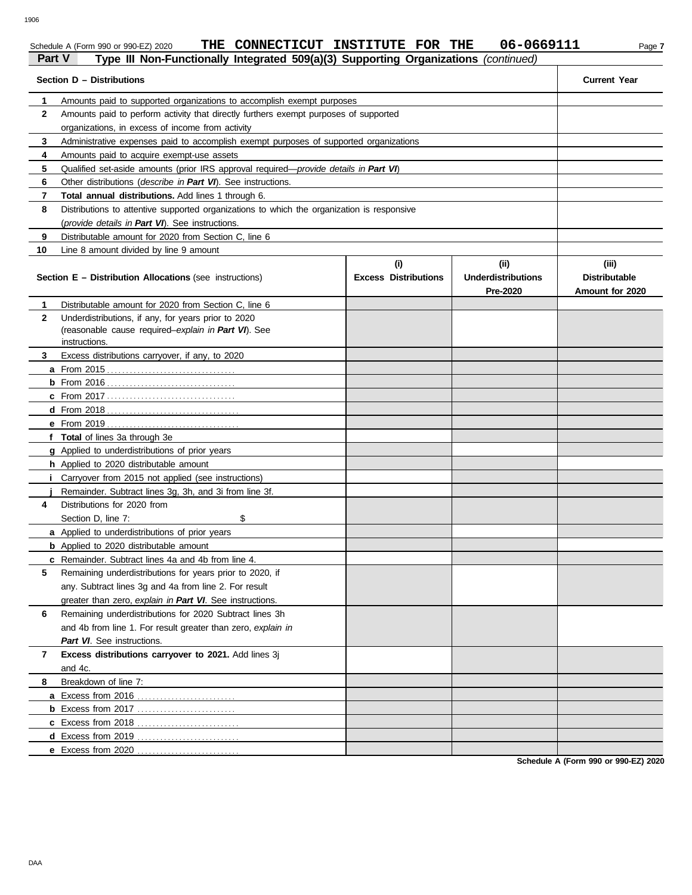Schedule A (Form 990 or 990-EZ) 2020 **THE CONNECTICUT INSTITUTE FOR THE 06-0669111** Page 7

#### **Part V Type III Non-Functionally Integrated 509(a)(3) Supporting Organizations** *(continued)* **Section D – Distributions Current Year 1 2 3 4 5 6 7 8 9 10** Amounts paid to supported organizations to accomplish exempt purposes Amounts paid to perform activity that directly furthers exempt purposes of supported organizations, in excess of income from activity Administrative expenses paid to accomplish exempt purposes of supported organizations Amounts paid to acquire exempt-use assets Qualified set-aside amounts (prior IRS approval required—*provide details in Part VI*) Other distributions (*describe in Part VI*). See instructions. **Total annual distributions.** Add lines 1 through 6. Distributions to attentive supported organizations to which the organization is responsive (*provide details in Part VI*). See instructions. Distributable amount for 2020 from Section C, line 6 Line 8 amount divided by line 9 amount **Section E – Distribution Allocations** (see instructions) **Excess Distributions (i) (ii) Underdistributions Pre-2020 (iii) Distributable Amount for 2020 8 7 6 5 4 3 2 1 a** From 2015 . . . . . . . . . . . . . . . . . . . . . . . . . . . . . . . . . . **b** From 2016 . . . . . . . . . . . . . . . . . . . . . . . . . . . . . . . . . . **c** From 2017 . . . . . . . . . . . . . . . . . . . . . . . . . . . . . . . . . . **d** From 2018 . . . . . . . . . . . . . . . . . . . . . . . . . . . . . . . . . . . **e** From 2019 . . . . . . . . . . . . . . . . . . . . . . . . . . . . . . . . . . . **f Total** of lines 3a through 3e **g** Applied to underdistributions of prior years **h** Applied to 2020 distributable amount **i** Carryover from 2015 not applied (see instructions) **j** Remainder. Subtract lines 3g, 3h, and 3i from line 3f. **a** Applied to underdistributions of prior years **b** Applied to 2020 distributable amount **c** Remainder. Subtract lines 4a and 4b from line 4. **a** Excess from 2016 . . . . . . . . . . . . . . . . . . . . . . . . . . **b** Excess from 2017 . . . . . . . . . . . . . . . . . . . . . . . . . . **c** Excess from 2018 . . . . . . . . . . . . . . . . . . . . . . . . . . . **d** Excess from 2019 . . . . . . . . . . . . . . . . . . . . . . . . . . . **e** Excess from 2020 . . . . . . . . . . . . . . . . . . . . . . . . . . . Distributable amount for 2020 from Section C, line 6 Underdistributions, if any, for years prior to 2020 (reasonable cause required–*explain in Part VI*). See Excess distributions carryover, if any, to 2020 Distributions for 2020 from Section D, line 7: \$ Remaining underdistributions for years prior to 2020, if any. Subtract lines 3g and 4a from line 2. For result greater than zero, *explain in Part VI*. See instructions. Remaining underdistributions for 2020 Subtract lines 3h and 4b from line 1. For result greater than zero, *explain in Part VI*. See instructions. **Excess distributions carryover to 2021.** Add lines 3j and 4c. Breakdown of line 7: instructions.

**Schedule A (Form 990 or 990-EZ) 2020**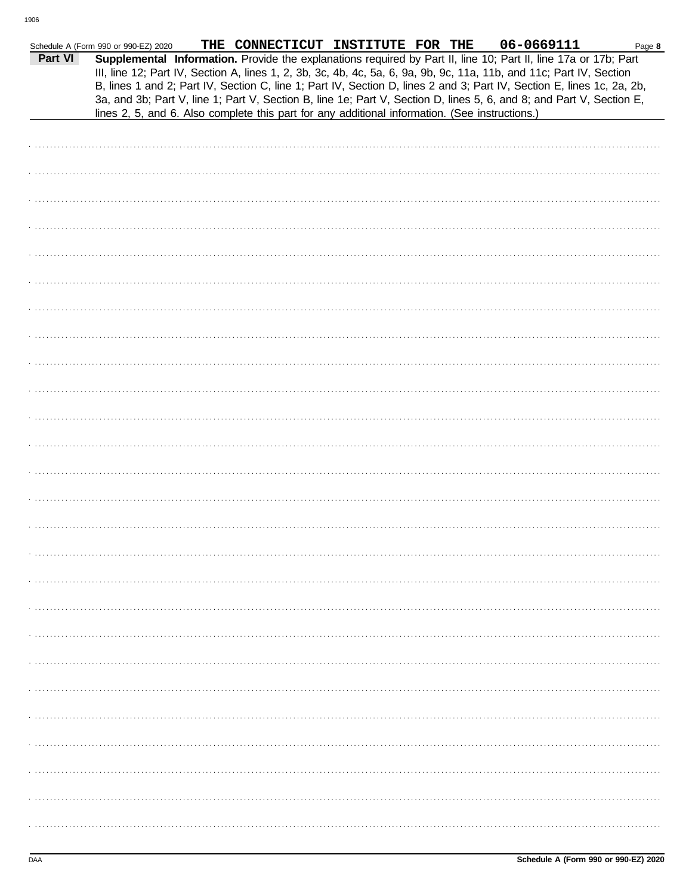|         | Schedule A (Form 990 or 990-EZ) 2020                                                           | THE CONNECTICUT INSTITUTE FOR THE |  | 06-0669111                                                                                                                                                                                                                                                                                                                                                                                                                                                                                | Page 8 |
|---------|------------------------------------------------------------------------------------------------|-----------------------------------|--|-------------------------------------------------------------------------------------------------------------------------------------------------------------------------------------------------------------------------------------------------------------------------------------------------------------------------------------------------------------------------------------------------------------------------------------------------------------------------------------------|--------|
| Part VI |                                                                                                |                                   |  | Supplemental Information. Provide the explanations required by Part II, line 10; Part II, line 17a or 17b; Part<br>III, line 12; Part IV, Section A, lines 1, 2, 3b, 3c, 4b, 4c, 5a, 6, 9a, 9b, 9c, 11a, 11b, and 11c; Part IV, Section<br>B, lines 1 and 2; Part IV, Section C, line 1; Part IV, Section D, lines 2 and 3; Part IV, Section E, lines 1c, 2a, 2b,<br>3a, and 3b; Part V, line 1; Part V, Section B, line 1e; Part V, Section D, lines 5, 6, and 8; and Part V, Section E, |        |
|         | lines 2, 5, and 6. Also complete this part for any additional information. (See instructions.) |                                   |  |                                                                                                                                                                                                                                                                                                                                                                                                                                                                                           |        |
|         |                                                                                                |                                   |  |                                                                                                                                                                                                                                                                                                                                                                                                                                                                                           |        |
|         |                                                                                                |                                   |  |                                                                                                                                                                                                                                                                                                                                                                                                                                                                                           |        |
|         |                                                                                                |                                   |  |                                                                                                                                                                                                                                                                                                                                                                                                                                                                                           |        |
|         |                                                                                                |                                   |  |                                                                                                                                                                                                                                                                                                                                                                                                                                                                                           |        |
|         |                                                                                                |                                   |  |                                                                                                                                                                                                                                                                                                                                                                                                                                                                                           |        |
|         |                                                                                                |                                   |  |                                                                                                                                                                                                                                                                                                                                                                                                                                                                                           |        |
|         |                                                                                                |                                   |  |                                                                                                                                                                                                                                                                                                                                                                                                                                                                                           |        |
|         |                                                                                                |                                   |  |                                                                                                                                                                                                                                                                                                                                                                                                                                                                                           |        |
|         |                                                                                                |                                   |  |                                                                                                                                                                                                                                                                                                                                                                                                                                                                                           |        |
|         |                                                                                                |                                   |  |                                                                                                                                                                                                                                                                                                                                                                                                                                                                                           |        |
|         |                                                                                                |                                   |  |                                                                                                                                                                                                                                                                                                                                                                                                                                                                                           |        |
|         |                                                                                                |                                   |  |                                                                                                                                                                                                                                                                                                                                                                                                                                                                                           |        |
|         |                                                                                                |                                   |  |                                                                                                                                                                                                                                                                                                                                                                                                                                                                                           |        |
|         |                                                                                                |                                   |  |                                                                                                                                                                                                                                                                                                                                                                                                                                                                                           |        |
|         |                                                                                                |                                   |  |                                                                                                                                                                                                                                                                                                                                                                                                                                                                                           |        |
|         |                                                                                                |                                   |  |                                                                                                                                                                                                                                                                                                                                                                                                                                                                                           |        |
|         |                                                                                                |                                   |  |                                                                                                                                                                                                                                                                                                                                                                                                                                                                                           |        |
|         |                                                                                                |                                   |  |                                                                                                                                                                                                                                                                                                                                                                                                                                                                                           |        |
|         |                                                                                                |                                   |  |                                                                                                                                                                                                                                                                                                                                                                                                                                                                                           |        |
|         |                                                                                                |                                   |  |                                                                                                                                                                                                                                                                                                                                                                                                                                                                                           |        |
|         |                                                                                                |                                   |  |                                                                                                                                                                                                                                                                                                                                                                                                                                                                                           |        |
|         |                                                                                                |                                   |  |                                                                                                                                                                                                                                                                                                                                                                                                                                                                                           |        |
|         |                                                                                                |                                   |  |                                                                                                                                                                                                                                                                                                                                                                                                                                                                                           |        |
|         |                                                                                                |                                   |  |                                                                                                                                                                                                                                                                                                                                                                                                                                                                                           |        |
|         |                                                                                                |                                   |  |                                                                                                                                                                                                                                                                                                                                                                                                                                                                                           |        |
|         |                                                                                                |                                   |  |                                                                                                                                                                                                                                                                                                                                                                                                                                                                                           |        |
|         |                                                                                                |                                   |  |                                                                                                                                                                                                                                                                                                                                                                                                                                                                                           |        |
|         |                                                                                                |                                   |  |                                                                                                                                                                                                                                                                                                                                                                                                                                                                                           |        |
|         |                                                                                                |                                   |  |                                                                                                                                                                                                                                                                                                                                                                                                                                                                                           |        |
|         |                                                                                                |                                   |  |                                                                                                                                                                                                                                                                                                                                                                                                                                                                                           |        |
|         |                                                                                                |                                   |  |                                                                                                                                                                                                                                                                                                                                                                                                                                                                                           |        |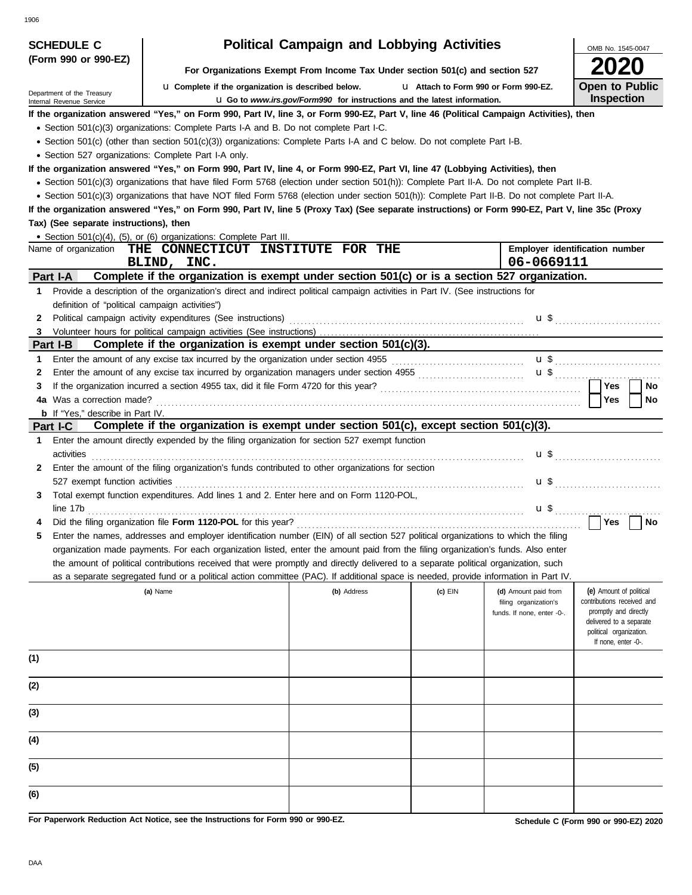| 906                                                    |                                                                                                                                                                                                                                                                                                     |                                                                                 |                                       |                                                     |                                                     |
|--------------------------------------------------------|-----------------------------------------------------------------------------------------------------------------------------------------------------------------------------------------------------------------------------------------------------------------------------------------------------|---------------------------------------------------------------------------------|---------------------------------------|-----------------------------------------------------|-----------------------------------------------------|
| <b>SCHEDULE C</b>                                      |                                                                                                                                                                                                                                                                                                     | <b>Political Campaign and Lobbying Activities</b>                               |                                       |                                                     | OMB No. 1545-0047                                   |
| (Form 990 or 990-EZ)                                   |                                                                                                                                                                                                                                                                                                     | For Organizations Exempt From Income Tax Under section 501(c) and section 527   |                                       |                                                     |                                                     |
|                                                        | <b>u</b> Complete if the organization is described below.                                                                                                                                                                                                                                           |                                                                                 | L1 Attach to Form 990 or Form 990-EZ. |                                                     | <b>Open to Public</b>                               |
| Department of the Treasury<br>Internal Revenue Service |                                                                                                                                                                                                                                                                                                     | <b>u</b> Go to www.irs.gov/Form990 for instructions and the latest information. |                                       |                                                     | <b>Inspection</b>                                   |
|                                                        | If the organization answered "Yes," on Form 990, Part IV, line 3, or Form 990-EZ, Part V, line 46 (Political Campaign Activities), then                                                                                                                                                             |                                                                                 |                                       |                                                     |                                                     |
|                                                        | • Section 501(c)(3) organizations: Complete Parts I-A and B. Do not complete Part I-C.                                                                                                                                                                                                              |                                                                                 |                                       |                                                     |                                                     |
|                                                        | • Section 501(c) (other than section 501(c)(3)) organizations: Complete Parts I-A and C below. Do not complete Part I-B.                                                                                                                                                                            |                                                                                 |                                       |                                                     |                                                     |
| • Section 527 organizations: Complete Part I-A only.   |                                                                                                                                                                                                                                                                                                     |                                                                                 |                                       |                                                     |                                                     |
|                                                        | If the organization answered "Yes," on Form 990, Part IV, line 4, or Form 990-EZ, Part VI, line 47 (Lobbying Activities), then                                                                                                                                                                      |                                                                                 |                                       |                                                     |                                                     |
|                                                        | • Section 501(c)(3) organizations that have filed Form 5768 (election under section 501(h)): Complete Part II-A. Do not complete Part II-B.                                                                                                                                                         |                                                                                 |                                       |                                                     |                                                     |
|                                                        | • Section 501(c)(3) organizations that have NOT filed Form 5768 (election under section 501(h)): Complete Part II-B. Do not complete Part II-A.<br>If the organization answered "Yes," on Form 990, Part IV, line 5 (Proxy Tax) (See separate instructions) or Form 990-EZ, Part V, line 35c (Proxy |                                                                                 |                                       |                                                     |                                                     |
| Tax) (See separate instructions), then                 |                                                                                                                                                                                                                                                                                                     |                                                                                 |                                       |                                                     |                                                     |
|                                                        | • Section 501(c)(4), (5), or (6) organizations: Complete Part III.                                                                                                                                                                                                                                  |                                                                                 |                                       |                                                     |                                                     |
|                                                        | Name of organization THE CONNECTICUT INSTITUTE FOR THE                                                                                                                                                                                                                                              |                                                                                 |                                       |                                                     | Employer identification number                      |
|                                                        | BLIND, INC.                                                                                                                                                                                                                                                                                         |                                                                                 |                                       | 06-0669111                                          |                                                     |
| Part I-A                                               | Complete if the organization is exempt under section 501(c) or is a section 527 organization.                                                                                                                                                                                                       |                                                                                 |                                       |                                                     |                                                     |
|                                                        | 1 Provide a description of the organization's direct and indirect political campaign activities in Part IV. (See instructions for                                                                                                                                                                   |                                                                                 |                                       |                                                     |                                                     |
| definition of "political campaign activities")         |                                                                                                                                                                                                                                                                                                     |                                                                                 |                                       |                                                     |                                                     |
| 2                                                      | Political campaign activity expenditures (See instructions) material control control control control control control control control control control control control control control control control control control control c                                                                      |                                                                                 |                                       |                                                     |                                                     |
| 3                                                      |                                                                                                                                                                                                                                                                                                     |                                                                                 |                                       |                                                     |                                                     |
| Part I-B                                               | Complete if the organization is exempt under section 501(c)(3).<br>Enter the amount of any excise tax incurred by the organization under section 4955 [[[[[[[[[[[[[[[[[[[[[[[[[[[                                                                                                                   |                                                                                 |                                       |                                                     |                                                     |
| 1<br>2                                                 | Enter the amount of any excise tax incurred by organization managers under section 4955 [[[[[[[[[[[[[[[[[[[[[                                                                                                                                                                                       |                                                                                 |                                       |                                                     | $\mathbf{u}$ \$                                     |
| 3                                                      |                                                                                                                                                                                                                                                                                                     |                                                                                 |                                       |                                                     | $\mathbf{u}$ \$<br><b>Yes</b><br>No                 |
| 4a Was a correction made?                              |                                                                                                                                                                                                                                                                                                     |                                                                                 |                                       |                                                     | Yes<br>No                                           |
| <b>b</b> If "Yes," describe in Part IV.                |                                                                                                                                                                                                                                                                                                     |                                                                                 |                                       |                                                     |                                                     |
| Part I-C                                               | Complete if the organization is exempt under section 501(c), except section 501(c)(3).                                                                                                                                                                                                              |                                                                                 |                                       |                                                     |                                                     |
| 1.                                                     | Enter the amount directly expended by the filing organization for section 527 exempt function                                                                                                                                                                                                       |                                                                                 |                                       |                                                     |                                                     |
| activities                                             |                                                                                                                                                                                                                                                                                                     |                                                                                 |                                       |                                                     |                                                     |
| 2                                                      | Enter the amount of the filing organization's funds contributed to other organizations for section                                                                                                                                                                                                  |                                                                                 |                                       |                                                     |                                                     |
|                                                        |                                                                                                                                                                                                                                                                                                     |                                                                                 |                                       |                                                     |                                                     |
| 3.                                                     | Total exempt function expenditures. Add lines 1 and 2. Enter here and on Form 1120-POL,                                                                                                                                                                                                             |                                                                                 |                                       |                                                     |                                                     |
|                                                        | line 17b<br>Did the filing organization file Form 1120-POL for this year?                                                                                                                                                                                                                           |                                                                                 |                                       |                                                     | $\bigcap$ Yes<br>$\Box$ No                          |
| 5                                                      | Enter the names, addresses and employer identification number (EIN) of all section 527 political organizations to which the filing                                                                                                                                                                  |                                                                                 |                                       |                                                     |                                                     |
|                                                        | organization made payments. For each organization listed, enter the amount paid from the filing organization's funds. Also enter                                                                                                                                                                    |                                                                                 |                                       |                                                     |                                                     |
|                                                        | the amount of political contributions received that were promptly and directly delivered to a separate political organization, such                                                                                                                                                                 |                                                                                 |                                       |                                                     |                                                     |
|                                                        | as a separate segregated fund or a political action committee (PAC). If additional space is needed, provide information in Part IV.                                                                                                                                                                 |                                                                                 |                                       |                                                     |                                                     |
|                                                        | (a) Name                                                                                                                                                                                                                                                                                            | (b) Address                                                                     | (c) EIN                               | (d) Amount paid from                                | (e) Amount of political                             |
|                                                        |                                                                                                                                                                                                                                                                                                     |                                                                                 |                                       | filing organization's<br>funds. If none, enter -0-. | contributions received and<br>promptly and directly |
|                                                        |                                                                                                                                                                                                                                                                                                     |                                                                                 |                                       |                                                     | delivered to a separate                             |
|                                                        |                                                                                                                                                                                                                                                                                                     |                                                                                 |                                       |                                                     | political organization.<br>If none, enter -0-.      |
|                                                        |                                                                                                                                                                                                                                                                                                     |                                                                                 |                                       |                                                     |                                                     |
| (1)                                                    |                                                                                                                                                                                                                                                                                                     |                                                                                 |                                       |                                                     |                                                     |
| (2)                                                    |                                                                                                                                                                                                                                                                                                     |                                                                                 |                                       |                                                     |                                                     |
|                                                        |                                                                                                                                                                                                                                                                                                     |                                                                                 |                                       |                                                     |                                                     |
| (3)                                                    |                                                                                                                                                                                                                                                                                                     |                                                                                 |                                       |                                                     |                                                     |
|                                                        |                                                                                                                                                                                                                                                                                                     |                                                                                 |                                       |                                                     |                                                     |
| (4)                                                    |                                                                                                                                                                                                                                                                                                     |                                                                                 |                                       |                                                     |                                                     |
|                                                        |                                                                                                                                                                                                                                                                                                     |                                                                                 |                                       |                                                     |                                                     |
| (5)                                                    |                                                                                                                                                                                                                                                                                                     |                                                                                 |                                       |                                                     |                                                     |
| (6)                                                    |                                                                                                                                                                                                                                                                                                     |                                                                                 |                                       |                                                     |                                                     |

**For Paperwork Reduction Act Notice, see the Instructions for Form 990 or 990-EZ.**

**Schedule C (Form 990 or 990-EZ) 2020**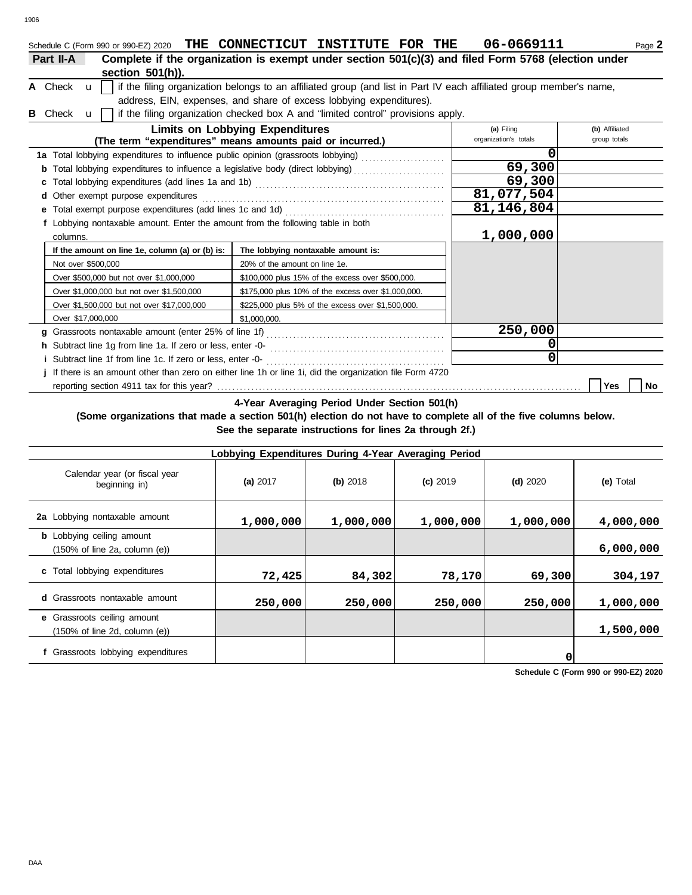| Schedule C (Form 990 or 990-EZ) 2020 THE CONNECTICUT                                                               | <b>INSTITUTE FOR THE</b>                                                                                            |  |  | 06-0669111            | Page 2         |  |  |  |
|--------------------------------------------------------------------------------------------------------------------|---------------------------------------------------------------------------------------------------------------------|--|--|-----------------------|----------------|--|--|--|
| Part II-A                                                                                                          | Complete if the organization is exempt under section 501(c)(3) and filed Form 5768 (election under                  |  |  |                       |                |  |  |  |
| section $501(h)$ ).                                                                                                |                                                                                                                     |  |  |                       |                |  |  |  |
| A Check<br>$\mathbf{u}$                                                                                            | if the filing organization belongs to an affiliated group (and list in Part IV each affiliated group member's name, |  |  |                       |                |  |  |  |
|                                                                                                                    | address, EIN, expenses, and share of excess lobbying expenditures).                                                 |  |  |                       |                |  |  |  |
| if the filing organization checked box A and "limited control" provisions apply.<br><b>B</b> Check<br>$\mathbf{u}$ |                                                                                                                     |  |  |                       |                |  |  |  |
|                                                                                                                    | <b>Limits on Lobbying Expenditures</b>                                                                              |  |  | (a) Filing            | (b) Affiliated |  |  |  |
|                                                                                                                    | (The term "expenditures" means amounts paid or incurred.)                                                           |  |  | organization's totals | group totals   |  |  |  |
| 1a Total lobbying expenditures to influence public opinion (grassroots lobbying)                                   |                                                                                                                     |  |  |                       |                |  |  |  |
| Total lobbying expenditures to influence a legislative body (direct lobbying) [11] Total lobbying                  |                                                                                                                     |  |  | 69,300                |                |  |  |  |
|                                                                                                                    |                                                                                                                     |  |  | 69,300                |                |  |  |  |
| <b>d</b> Other exempt purpose expenditures                                                                         |                                                                                                                     |  |  | 81,077,504            |                |  |  |  |
| e Total exempt purpose expenditures (add lines 1c and 1d)                                                          |                                                                                                                     |  |  | 81, 146, 804          |                |  |  |  |
| f Lobbying nontaxable amount. Enter the amount from the following table in both                                    |                                                                                                                     |  |  |                       |                |  |  |  |
| columns.                                                                                                           |                                                                                                                     |  |  | 1,000,000             |                |  |  |  |
| If the amount on line 1e, column (a) or (b) is:                                                                    | The lobbying nontaxable amount is:                                                                                  |  |  |                       |                |  |  |  |
| Not over \$500,000                                                                                                 | 20% of the amount on line 1e.                                                                                       |  |  |                       |                |  |  |  |
| Over \$500,000 but not over \$1,000,000                                                                            | \$100,000 plus 15% of the excess over \$500,000.                                                                    |  |  |                       |                |  |  |  |
| Over \$1,000,000 but not over \$1,500,000                                                                          | \$175,000 plus 10% of the excess over \$1,000,000.                                                                  |  |  |                       |                |  |  |  |

| Over \$1,500,000 but not over \$17,000,000                                                              | \$225,000 plus 5% of the excess over \$1,500,000. |         |  |            |    |  |  |
|---------------------------------------------------------------------------------------------------------|---------------------------------------------------|---------|--|------------|----|--|--|
| Over \$17,000,000                                                                                       | \$1,000,000.                                      |         |  |            |    |  |  |
| g Grassroots nontaxable amount (enter 25% of line 1f)                                                   |                                                   | 250,000 |  |            |    |  |  |
| h Subtract line 1g from line 1a. If zero or less, enter -0-                                             |                                                   |         |  |            |    |  |  |
| <i>i</i> Subtract line 1f from line 1c. If zero or less, enter -0-                                      |                                                   |         |  |            |    |  |  |
| If there is an amount other than zero on either line 1h or line 1i, did the organization file Form 4720 |                                                   |         |  |            |    |  |  |
|                                                                                                         |                                                   |         |  | <b>Yes</b> | No |  |  |

**4-Year Averaging Period Under Section 501(h)**

**(Some organizations that made a section 501(h) election do not have to complete all of the five columns below.**

**See the separate instructions for lines 2a through 2f.)**

| Lobbying Expenditures During 4-Year Averaging Period                                   |            |           |            |            |           |  |  |  |  |  |  |
|----------------------------------------------------------------------------------------|------------|-----------|------------|------------|-----------|--|--|--|--|--|--|
| Calendar year (or fiscal year<br>beginning in)                                         | (a) $2017$ | (b) 2018  | $(c)$ 2019 | $(d)$ 2020 | (e) Total |  |  |  |  |  |  |
| 2a Lobbying nontaxable amount                                                          | 1,000,000  | 1,000,000 | 1,000,000  | 1,000,000  | 4,000,000 |  |  |  |  |  |  |
| <b>b</b> Lobbying ceiling amount<br>$(150\% \text{ of line } 2a, \text{ column } (e))$ |            |           |            |            | 6,000,000 |  |  |  |  |  |  |
| c Total lobbying expenditures                                                          | 72,425     | 84,302    | 78,170     | 69,300     | 304,197   |  |  |  |  |  |  |
| <b>d</b> Grassroots nontaxable amount                                                  | 250,000    | 250,000   | 250,000    | 250,000    | 1,000,000 |  |  |  |  |  |  |
| e Grassroots ceiling amount<br>$(150\% \text{ of line } 2d, \text{ column } (e))$      |            |           |            |            | 1,500,000 |  |  |  |  |  |  |
| f Grassroots lobbying expenditures                                                     |            |           |            |            |           |  |  |  |  |  |  |

**Schedule C (Form 990 or 990-EZ) 2020**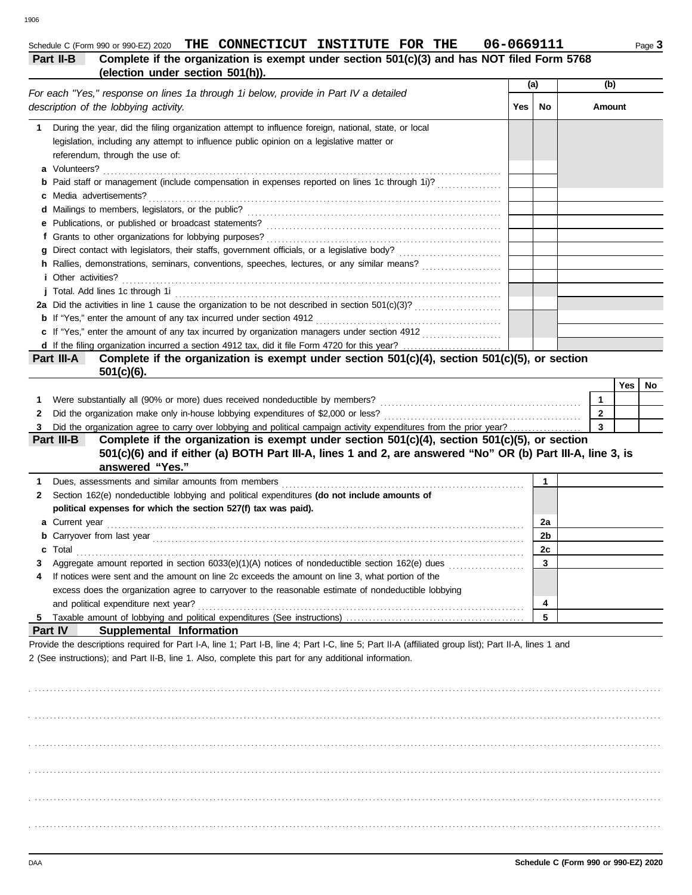### 1906

## Schedule C (Form 990 or 990-EZ) 2020 THE CONNECTICUT INSTITUTE FOR THE 06-0669111 Page 3

| Part II-B                                                                           | Complete if the organization is exempt under section 501(c)(3) and has NOT filed Form 5768 |  |  |
|-------------------------------------------------------------------------------------|--------------------------------------------------------------------------------------------|--|--|
|                                                                                     | (election under section 501(h)).                                                           |  |  |
| Ear soop "Vee" represses on lines 10 through 1i holew provide in Dart IV a detailed | (a)                                                                                        |  |  |

|  | For each "Yes," response on lines 1a through 1i below, provide in Part IV a detailed<br>description of the lobbying activity. | Yes | No. | Amount |  |
|--|-------------------------------------------------------------------------------------------------------------------------------|-----|-----|--------|--|
|  | During the year, did the filing organization attempt to influence foreign, national, state, or local                          |     |     |        |  |
|  | legislation, including any attempt to influence public opinion on a legislative matter or                                     |     |     |        |  |
|  | referendum, through the use of:                                                                                               |     |     |        |  |
|  | a Volunteers?                                                                                                                 |     |     |        |  |
|  | <b>b</b> Paid staff or management (include compensation in expenses reported on lines 1c through 1i)?                         |     |     |        |  |
|  | c Media advertisements?                                                                                                       |     |     |        |  |
|  |                                                                                                                               |     |     |        |  |
|  |                                                                                                                               |     |     |        |  |
|  |                                                                                                                               |     |     |        |  |
|  |                                                                                                                               |     |     |        |  |
|  | h Rallies, demonstrations, seminars, conventions, speeches, lectures, or any similar means?                                   |     |     |        |  |
|  | <i>i</i> Other activities?                                                                                                    |     |     |        |  |
|  | j Total. Add lines 1c through 1i                                                                                              |     |     |        |  |
|  |                                                                                                                               |     |     |        |  |
|  |                                                                                                                               |     |     |        |  |
|  | c If "Yes," enter the amount of any tax incurred by organization managers under section 4912                                  |     |     |        |  |
|  |                                                                                                                               |     |     |        |  |
|  |                                                                                                                               |     |     |        |  |

| Part III-A | Complete if the organization is exempt under section $501(c)(4)$ , section $501(c)(5)$ , or section |
|------------|-----------------------------------------------------------------------------------------------------|
|            | $501(c)(6)$ .                                                                                       |

|                                                                                                                        | Yes l | No |
|------------------------------------------------------------------------------------------------------------------------|-------|----|
| Were substantially all (90% or more) dues received nondeductible by members?                                           |       |    |
| 2 Did the organization make only in-house lobbying expenditures of \$2,000 or less?                                    |       |    |
| 3. Did the organization agree to carry over lobbying and political campaign activity expenditures from the prior vear? |       |    |

| 3            |                                                                                                                   |                |  |
|--------------|-------------------------------------------------------------------------------------------------------------------|----------------|--|
|              | Complete if the organization is exempt under section $501(c)(4)$ , section $501(c)(5)$ , or section<br>Part III-B |                |  |
|              | 501(c)(6) and if either (a) BOTH Part III-A, lines 1 and 2, are answered "No" OR (b) Part III-A, line 3, is       |                |  |
|              | answered "Yes."                                                                                                   |                |  |
|              |                                                                                                                   |                |  |
| $\mathbf{2}$ | Section 162(e) nondeductible lobbying and political expenditures (do not include amounts of                       |                |  |
|              | political expenses for which the section 527(f) tax was paid).                                                    |                |  |
|              |                                                                                                                   | 2a             |  |
|              |                                                                                                                   | 2 <sub>b</sub> |  |
|              | c Total                                                                                                           | 2c             |  |
|              | Aggregate amount reported in section 6033(e)(1)(A) notices of nondeductible section 162(e) dues                   | 3              |  |
| 4            | If notices were sent and the amount on line 2c exceeds the amount on line 3, what portion of the                  |                |  |
|              | excess does the organization agree to carryover to the reasonable estimate of nondeductible lobbying              |                |  |
|              | and political expenditure next year?                                                                              | 4              |  |
|              | 5 Taxable amount of lobbying and political expenditures (See instructions) enconversement contractions of the     | 5              |  |

## **Part IV Supplemental Information**

Provide the descriptions required for Part I-A, line 1; Part I-B, line 4; Part I-C, line 5; Part II-A (affiliated group list); Part II-A, lines 1 and 2 (See instructions); and Part II-B, line 1. Also, complete this part for any additional information.

. . . . . . . . . . . . . . . . . . . . . . . . . . . . . . . . . . . . . . . . . . . . . . . . . . . . . . . . . . . . . . . . . . . . . . . . . . . . . . . . . . . . . . . . . . . . . . . . . . . . . . . . . . . . . . . . . . . . . . . . . . . . . . . . . . . . . . . . . . . . . . . . . . . . . . . . . . . . . . . . . . . . . . . . . . . . . . . . . . . . . . . . . . . . . . . . . . . . . . . . . . . . . . . . . . . . . . . . . . . . . . . . . . . . . . . . . . . . . . . . . . . . . . . . . . . . . . . . . . . . . . . . . . . . . . . . . . . . . . . . . . . . . . . . . . . . . . . . . . . . . . . . . . . . . . . . . . . . . . . . . . . . . . . . . . . . . . . . . . . . . . . . . . . . . . . . . . . . . . . . . . . . . . . . . . . . . . . . . . . . . . . . . . . . . . . . . . . . . . . . . . . . . . . . . . . . . . . . . . . . . . . . . . . . . . . . . . . . . . . . . . . . . . . . . . . . . . . . . . . . . . . . . . . . . . . . . . . . . . . . . . . . . . . . . . . . . . . . . . . . . . . . . . . . . . . . . . . . . . . . . . . . . . . . . . . . . . . . . . . . . . . . . . . . . . . . . . . . . . . . . . . . . . . . . . . . . . . . . . . . . . . . . . . . . . . . . . . . . . . . . . . . . . . . . . . . . . . . . . . . . . . . . . . . . . . . . . . . . . . . . . . . . . . . . . . . . . . . . . . . . . . . . . . . . . . . . . . . . . . . . . . . . . . . . . . . . . . . . . . . . . . . . . . . . . . . . . . . . . . . . . . . . . . . . . . . . . . . . . . . . . . . . . . . . . . . . . . . . . . . . . . . . . . . . . . . . . . . . . . . . . . . . . . . . . . . . . . . . . . . . . . . . . . . . . . . . . . . . . . . . . . . . . . . . . . . . . . . . . . . . . . . . . . . . . . . . . . . . . . . . . . . . . . . . . . . . . . . . . . . . . . . . . . . . . . . . . . . . . . . . . . . . . . . . . . . . . . . . . . . . . . . . . . . . . . . . . . . . . . . . . . . . . . . . . . . . . . . . . . . . . . . . . . . . . . . . . . . . . . . . . . . . . . . . . . . . . . .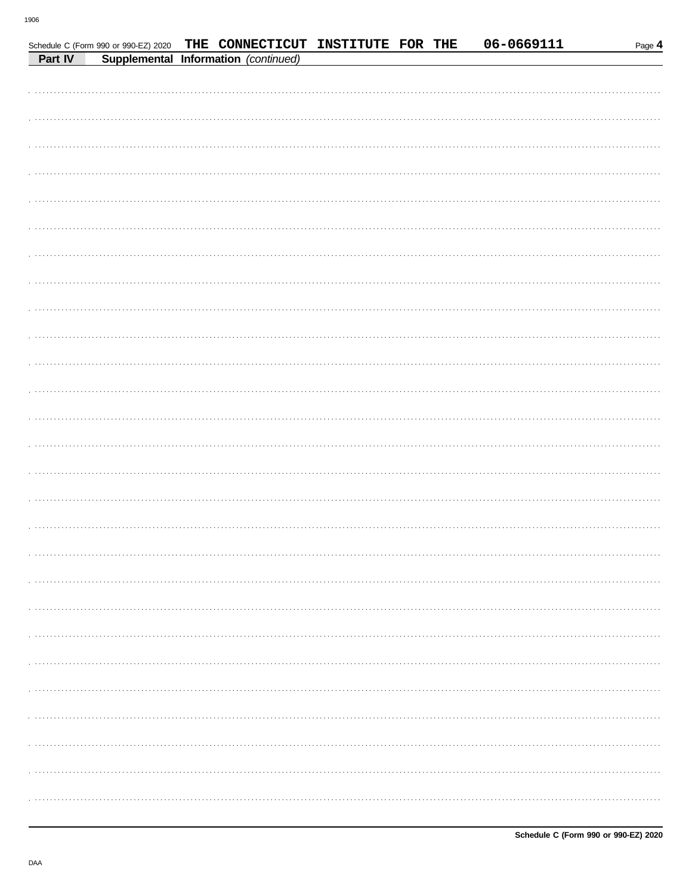|         | Schedule C (Form 990 or 990-EZ) 2020 THE CONNECTICUT INSTITUTE FOR THE |  |  |  | 06-0669111 | Page 4 |
|---------|------------------------------------------------------------------------|--|--|--|------------|--------|
| Part IV | Supplemental Information (continued)                                   |  |  |  |            |        |
|         |                                                                        |  |  |  |            |        |
|         |                                                                        |  |  |  |            |        |
|         |                                                                        |  |  |  |            |        |
|         |                                                                        |  |  |  |            |        |
|         |                                                                        |  |  |  |            |        |
|         |                                                                        |  |  |  |            |        |
|         |                                                                        |  |  |  |            |        |
|         |                                                                        |  |  |  |            |        |
|         |                                                                        |  |  |  |            |        |
|         |                                                                        |  |  |  |            |        |
|         |                                                                        |  |  |  |            |        |
|         |                                                                        |  |  |  |            |        |
|         |                                                                        |  |  |  |            |        |
|         |                                                                        |  |  |  |            |        |
|         |                                                                        |  |  |  |            |        |
|         |                                                                        |  |  |  |            |        |
|         |                                                                        |  |  |  |            |        |
|         |                                                                        |  |  |  |            |        |
|         |                                                                        |  |  |  |            |        |
|         |                                                                        |  |  |  |            |        |
|         |                                                                        |  |  |  |            |        |
|         |                                                                        |  |  |  |            |        |
|         |                                                                        |  |  |  |            |        |
|         |                                                                        |  |  |  |            |        |
|         |                                                                        |  |  |  |            |        |
|         |                                                                        |  |  |  |            |        |
|         |                                                                        |  |  |  |            |        |
|         |                                                                        |  |  |  |            |        |
|         |                                                                        |  |  |  |            |        |
|         |                                                                        |  |  |  |            |        |
|         |                                                                        |  |  |  |            |        |
|         |                                                                        |  |  |  |            |        |
|         |                                                                        |  |  |  |            |        |
|         |                                                                        |  |  |  |            |        |
|         |                                                                        |  |  |  |            |        |
|         |                                                                        |  |  |  |            |        |
|         |                                                                        |  |  |  |            |        |
|         |                                                                        |  |  |  |            |        |
|         |                                                                        |  |  |  |            |        |
|         |                                                                        |  |  |  |            |        |
|         |                                                                        |  |  |  |            |        |
|         |                                                                        |  |  |  |            |        |
|         |                                                                        |  |  |  |            |        |
|         |                                                                        |  |  |  |            |        |
|         |                                                                        |  |  |  |            |        |
|         |                                                                        |  |  |  |            |        |
|         |                                                                        |  |  |  |            |        |
|         |                                                                        |  |  |  |            |        |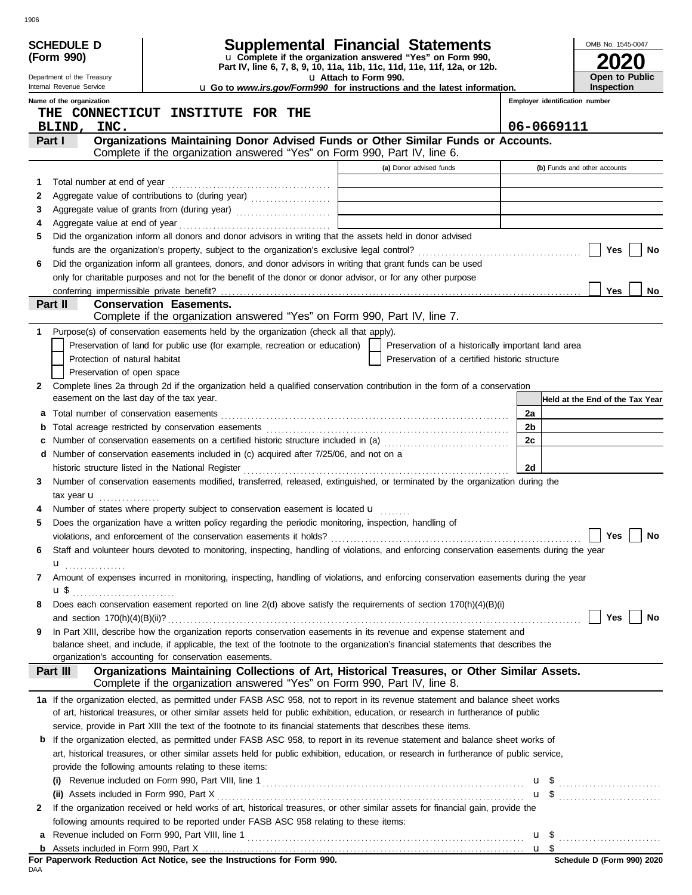|        | <b>SCHEDULE D</b>                                    | <b>Supplemental Financial Statements</b>                                                                                                                                                                                                                             |                                | OMB No. 1545-0047               |
|--------|------------------------------------------------------|----------------------------------------------------------------------------------------------------------------------------------------------------------------------------------------------------------------------------------------------------------------------|--------------------------------|---------------------------------|
|        | (Form 990)                                           | u Complete if the organization answered "Yes" on Form 990,<br>Part IV, line 6, 7, 8, 9, 10, 11a, 11b, 11c, 11d, 11e, 11f, 12a, or 12b.                                                                                                                               |                                |                                 |
|        | Department of the Treasury                           | u Attach to Form 990.                                                                                                                                                                                                                                                |                                | Open to Public                  |
|        | Internal Revenue Service                             | <b>u</b> Go to www.irs.gov/Form990 for instructions and the latest information.                                                                                                                                                                                      |                                | Inspection                      |
|        | Name of the organization                             | THE CONNECTICUT INSTITUTE FOR THE                                                                                                                                                                                                                                    | Employer identification number |                                 |
|        | INC.<br>BLIND,                                       |                                                                                                                                                                                                                                                                      | 06-0669111                     |                                 |
|        | Part I                                               | Organizations Maintaining Donor Advised Funds or Other Similar Funds or Accounts.                                                                                                                                                                                    |                                |                                 |
|        |                                                      | Complete if the organization answered "Yes" on Form 990, Part IV, line 6.<br>(a) Donor advised funds                                                                                                                                                                 |                                |                                 |
|        | Total number at end of year                          |                                                                                                                                                                                                                                                                      |                                | (b) Funds and other accounts    |
| 1<br>2 |                                                      | Aggregate value of contributions to (during year)                                                                                                                                                                                                                    |                                |                                 |
| 3      |                                                      |                                                                                                                                                                                                                                                                      |                                |                                 |
| 4      |                                                      |                                                                                                                                                                                                                                                                      |                                |                                 |
| 5      |                                                      | Did the organization inform all donors and donor advisors in writing that the assets held in donor advised                                                                                                                                                           |                                |                                 |
|        |                                                      |                                                                                                                                                                                                                                                                      |                                | Yes<br>No                       |
| 6      |                                                      | Did the organization inform all grantees, donors, and donor advisors in writing that grant funds can be used                                                                                                                                                         |                                |                                 |
|        |                                                      | only for charitable purposes and not for the benefit of the donor or donor advisor, or for any other purpose                                                                                                                                                         |                                |                                 |
|        | conferring impermissible private benefit?<br>Part II | <b>Conservation Easements.</b>                                                                                                                                                                                                                                       |                                | <b>Yes</b><br>No                |
|        |                                                      | Complete if the organization answered "Yes" on Form 990, Part IV, line 7.                                                                                                                                                                                            |                                |                                 |
| 1.     |                                                      | Purpose(s) of conservation easements held by the organization (check all that apply).                                                                                                                                                                                |                                |                                 |
|        |                                                      | Preservation of land for public use (for example, recreation or education)<br>Preservation of a historically important land area                                                                                                                                     |                                |                                 |
|        | Protection of natural habitat                        | Preservation of a certified historic structure                                                                                                                                                                                                                       |                                |                                 |
|        | Preservation of open space                           |                                                                                                                                                                                                                                                                      |                                |                                 |
| 2      |                                                      | Complete lines 2a through 2d if the organization held a qualified conservation contribution in the form of a conservation                                                                                                                                            |                                |                                 |
|        | easement on the last day of the tax year.            |                                                                                                                                                                                                                                                                      |                                | Held at the End of the Tax Year |
| а      |                                                      |                                                                                                                                                                                                                                                                      | 2a                             |                                 |
| b      |                                                      | Number of conservation easements on a certified historic structure included in (a) [[[[[ [ [ ]]]                                                                                                                                                                     | 2 <sub>b</sub><br>2c           |                                 |
| c<br>d |                                                      | Number of conservation easements included in (c) acquired after 7/25/06, and not on a                                                                                                                                                                                |                                |                                 |
|        |                                                      |                                                                                                                                                                                                                                                                      | 2d                             |                                 |
| 3      |                                                      | Number of conservation easements modified, transferred, released, extinguished, or terminated by the organization during the                                                                                                                                         |                                |                                 |
|        | tax year <b>u</b>                                    |                                                                                                                                                                                                                                                                      |                                |                                 |
| 4      |                                                      | Number of states where property subject to conservation easement is located u                                                                                                                                                                                        |                                |                                 |
| 5      |                                                      | Does the organization have a written policy regarding the periodic monitoring, inspection, handling of                                                                                                                                                               |                                |                                 |
|        |                                                      |                                                                                                                                                                                                                                                                      |                                | Yes $\boxed{\phantom{0}}$ No    |
| 6      |                                                      | Staff and volunteer hours devoted to monitoring, inspecting, handling of violations, and enforcing conservation easements during the year                                                                                                                            |                                |                                 |
|        | $\mathbf{u}$                                         |                                                                                                                                                                                                                                                                      |                                |                                 |
| 7      |                                                      | Amount of expenses incurred in monitoring, inspecting, handling of violations, and enforcing conservation easements during the year                                                                                                                                  |                                |                                 |
| 8      | $\mathbf{u}$ \$                                      | Does each conservation easement reported on line 2(d) above satisfy the requirements of section 170(h)(4)(B)(i)                                                                                                                                                      |                                |                                 |
|        |                                                      |                                                                                                                                                                                                                                                                      |                                | Yes<br>No                       |
| 9      |                                                      | In Part XIII, describe how the organization reports conservation easements in its revenue and expense statement and                                                                                                                                                  |                                |                                 |
|        |                                                      | balance sheet, and include, if applicable, the text of the footnote to the organization's financial statements that describes the                                                                                                                                    |                                |                                 |
|        |                                                      | organization's accounting for conservation easements.                                                                                                                                                                                                                |                                |                                 |
|        | Part III                                             | Organizations Maintaining Collections of Art, Historical Treasures, or Other Similar Assets.<br>Complete if the organization answered "Yes" on Form 990, Part IV, line 8.                                                                                            |                                |                                 |
|        |                                                      |                                                                                                                                                                                                                                                                      |                                |                                 |
|        |                                                      | 1a If the organization elected, as permitted under FASB ASC 958, not to report in its revenue statement and balance sheet works<br>of art, historical treasures, or other similar assets held for public exhibition, education, or research in furtherance of public |                                |                                 |
|        |                                                      | service, provide in Part XIII the text of the footnote to its financial statements that describes these items.                                                                                                                                                       |                                |                                 |
|        |                                                      | <b>b</b> If the organization elected, as permitted under FASB ASC 958, to report in its revenue statement and balance sheet works of                                                                                                                                 |                                |                                 |
|        |                                                      | art, historical treasures, or other similar assets held for public exhibition, education, or research in furtherance of public service,                                                                                                                              |                                |                                 |
|        |                                                      | provide the following amounts relating to these items:                                                                                                                                                                                                               |                                |                                 |
|        |                                                      |                                                                                                                                                                                                                                                                      |                                |                                 |
|        |                                                      |                                                                                                                                                                                                                                                                      |                                |                                 |
| 2      |                                                      | If the organization received or held works of art, historical treasures, or other similar assets for financial gain, provide the                                                                                                                                     |                                |                                 |
|        |                                                      | following amounts required to be reported under FASB ASC 958 relating to these items:                                                                                                                                                                                |                                |                                 |
| a      |                                                      |                                                                                                                                                                                                                                                                      | u <sup>s</sup>                 |                                 |
|        |                                                      | For Paperwork Reduction Act Notice, see the Instructions for Form 990.                                                                                                                                                                                               |                                | Schedule D (Form 990) 2020      |
| DAA    |                                                      |                                                                                                                                                                                                                                                                      |                                |                                 |

1906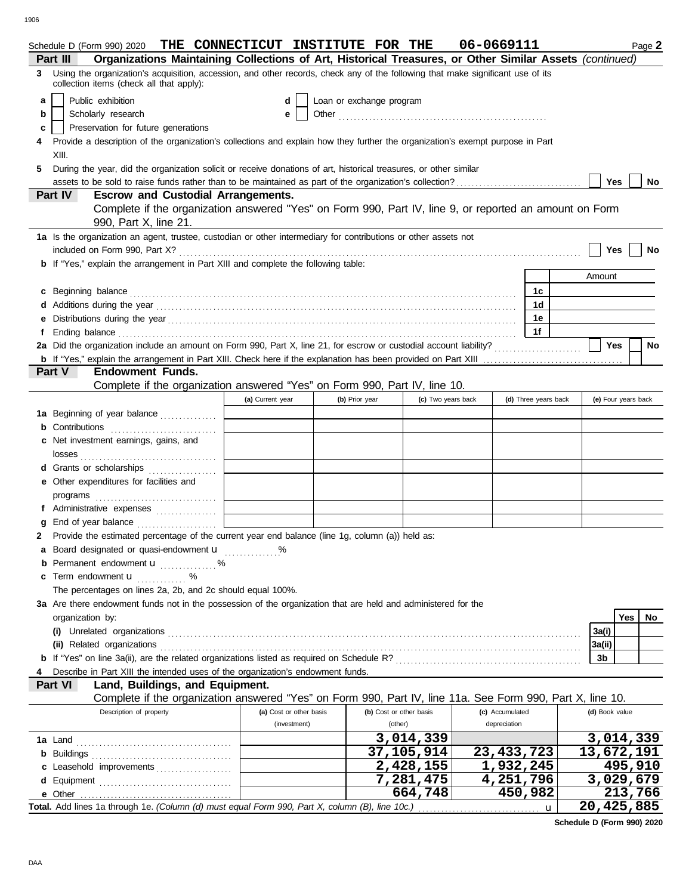|   |                            | Schedule D (Form 990) 2020 THE CONNECTICUT INSTITUTE FOR THE                                                                      |                         |                          |                           | 06-0669111      |                      |              |                |                     | Page 2 |
|---|----------------------------|-----------------------------------------------------------------------------------------------------------------------------------|-------------------------|--------------------------|---------------------------|-----------------|----------------------|--------------|----------------|---------------------|--------|
|   | Part III                   | Organizations Maintaining Collections of Art, Historical Treasures, or Other Similar Assets (continued)                           |                         |                          |                           |                 |                      |              |                |                     |        |
|   |                            | 3 Using the organization's acquisition, accession, and other records, check any of the following that make significant use of its |                         |                          |                           |                 |                      |              |                |                     |        |
|   |                            | collection items (check all that apply):                                                                                          |                         |                          |                           |                 |                      |              |                |                     |        |
| a | Public exhibition          |                                                                                                                                   | d                       | Loan or exchange program |                           |                 |                      |              |                |                     |        |
| b | Scholarly research         |                                                                                                                                   | е                       |                          |                           |                 |                      |              |                |                     |        |
| c |                            | Preservation for future generations                                                                                               |                         |                          |                           |                 |                      |              |                |                     |        |
|   |                            | Provide a description of the organization's collections and explain how they further the organization's exempt purpose in Part    |                         |                          |                           |                 |                      |              |                |                     |        |
|   | XIII.                      |                                                                                                                                   |                         |                          |                           |                 |                      |              |                |                     |        |
| 5 |                            | During the year, did the organization solicit or receive donations of art, historical treasures, or other similar                 |                         |                          |                           |                 |                      |              |                |                     |        |
|   |                            |                                                                                                                                   |                         |                          |                           |                 |                      |              | Yes            |                     | No     |
|   | Part IV                    | <b>Escrow and Custodial Arrangements.</b>                                                                                         |                         |                          |                           |                 |                      |              |                |                     |        |
|   |                            | Complete if the organization answered "Yes" on Form 990, Part IV, line 9, or reported an amount on Form                           |                         |                          |                           |                 |                      |              |                |                     |        |
|   |                            | 990, Part X, line 21.                                                                                                             |                         |                          |                           |                 |                      |              |                |                     |        |
|   |                            | 1a Is the organization an agent, trustee, custodian or other intermediary for contributions or other assets not                   |                         |                          |                           |                 |                      |              |                |                     |        |
|   |                            |                                                                                                                                   |                         |                          |                           |                 |                      |              | Yes            |                     | No     |
|   |                            | <b>b</b> If "Yes," explain the arrangement in Part XIII and complete the following table:                                         |                         |                          |                           |                 |                      |              |                |                     |        |
|   |                            |                                                                                                                                   |                         |                          |                           |                 |                      |              | Amount         |                     |        |
|   | c Beginning balance        |                                                                                                                                   |                         |                          |                           |                 | 1c                   |              |                |                     |        |
|   |                            | Additions during the year manufactured and contact the year manufactured with the year manufactured with the year                 |                         |                          |                           |                 | 1 <sub>d</sub>       |              |                |                     |        |
|   |                            |                                                                                                                                   |                         |                          |                           |                 | 1e                   |              |                |                     |        |
|   |                            |                                                                                                                                   |                         |                          |                           |                 | 1f                   |              |                |                     |        |
|   |                            |                                                                                                                                   |                         |                          |                           |                 |                      |              | Yes            |                     | No     |
|   |                            |                                                                                                                                   |                         |                          |                           |                 |                      |              |                |                     |        |
|   | Part V                     | <b>Endowment Funds.</b>                                                                                                           |                         |                          |                           |                 |                      |              |                |                     |        |
|   |                            | Complete if the organization answered "Yes" on Form 990, Part IV, line 10.                                                        |                         |                          |                           |                 |                      |              |                |                     |        |
|   |                            |                                                                                                                                   | (a) Current year        | (b) Prior year           | (c) Two years back        |                 | (d) Three years back |              |                | (e) Four years back |        |
|   |                            |                                                                                                                                   |                         |                          |                           |                 |                      |              |                |                     |        |
|   |                            | 1a Beginning of year balance                                                                                                      |                         |                          |                           |                 |                      |              |                |                     |        |
|   | Contributions              |                                                                                                                                   |                         |                          |                           |                 |                      |              |                |                     |        |
|   |                            | c Net investment earnings, gains, and                                                                                             |                         |                          |                           |                 |                      |              |                |                     |        |
|   | losses                     |                                                                                                                                   |                         |                          |                           |                 |                      |              |                |                     |        |
|   |                            | Grants or scholarships                                                                                                            |                         |                          |                           |                 |                      |              |                |                     |        |
| е |                            | Other expenditures for facilities and                                                                                             |                         |                          |                           |                 |                      |              |                |                     |        |
|   | programs                   |                                                                                                                                   |                         |                          |                           |                 |                      |              |                |                     |        |
|   |                            |                                                                                                                                   |                         |                          |                           |                 |                      |              |                |                     |        |
|   |                            |                                                                                                                                   |                         |                          |                           |                 |                      |              |                |                     |        |
|   |                            | 2 Provide the estimated percentage of the current year end balance (line 1g, column (a)) held as:                                 |                         |                          |                           |                 |                      |              |                |                     |        |
|   |                            | a Board designated or quasi-endowment <b>u</b> %                                                                                  |                         |                          |                           |                 |                      |              |                |                     |        |
|   |                            | <b>b</b> Permanent endowment <b>u</b> %                                                                                           |                         |                          |                           |                 |                      |              |                |                     |        |
| c | Term endowment <b>u</b>    | . %                                                                                                                               |                         |                          |                           |                 |                      |              |                |                     |        |
|   |                            | The percentages on lines 2a, 2b, and 2c should equal 100%.                                                                        |                         |                          |                           |                 |                      |              |                |                     |        |
|   |                            | 3a Are there endowment funds not in the possession of the organization that are held and administered for the                     |                         |                          |                           |                 |                      |              |                |                     |        |
|   | organization by:           |                                                                                                                                   |                         |                          |                           |                 |                      |              |                | <b>Yes</b>          | No     |
|   |                            |                                                                                                                                   |                         |                          |                           |                 |                      |              | 3a(i)          |                     |        |
|   | (ii) Related organizations |                                                                                                                                   |                         |                          |                           |                 |                      |              | 3a(ii)         |                     |        |
|   |                            |                                                                                                                                   |                         |                          |                           |                 |                      |              | 3b             |                     |        |
|   |                            | Describe in Part XIII the intended uses of the organization's endowment funds.                                                    |                         |                          |                           |                 |                      |              |                |                     |        |
|   | Part VI                    | Land, Buildings, and Equipment.                                                                                                   |                         |                          |                           |                 |                      |              |                |                     |        |
|   |                            | Complete if the organization answered "Yes" on Form 990, Part IV, line 11a. See Form 990, Part X, line 10.                        |                         |                          |                           |                 |                      |              |                |                     |        |
|   |                            | Description of property                                                                                                           | (a) Cost or other basis | (b) Cost or other basis  |                           | (c) Accumulated |                      |              | (d) Book value |                     |        |
|   |                            |                                                                                                                                   | (investment)            | (other)                  |                           | depreciation    |                      |              |                |                     |        |
|   |                            |                                                                                                                                   |                         |                          | 3,014,339                 |                 |                      |              | 3,014,339      |                     |        |
|   |                            |                                                                                                                                   |                         |                          | 37, 105, 914              | 23, 433, 723    |                      |              | 13,672,191     |                     |        |
|   |                            | c Leasehold improvements                                                                                                          |                         |                          | $\overline{2}$ , 428, 155 | 1,932,245       |                      |              |                | 495,910             |        |
|   |                            |                                                                                                                                   |                         |                          | 7,281,475                 | 4,251,796       |                      |              | 3,029,679      |                     |        |
|   |                            |                                                                                                                                   |                         |                          | 664,748                   |                 | 450,982              |              |                | 213,766             |        |
|   |                            | Total. Add lines 1a through 1e. (Column (d) must equal Form 990, Part X, column (B), line 10c.)                                   |                         |                          |                           |                 |                      | $\mathbf{u}$ | 20,425,885     |                     |        |

**Schedule D (Form 990) 2020**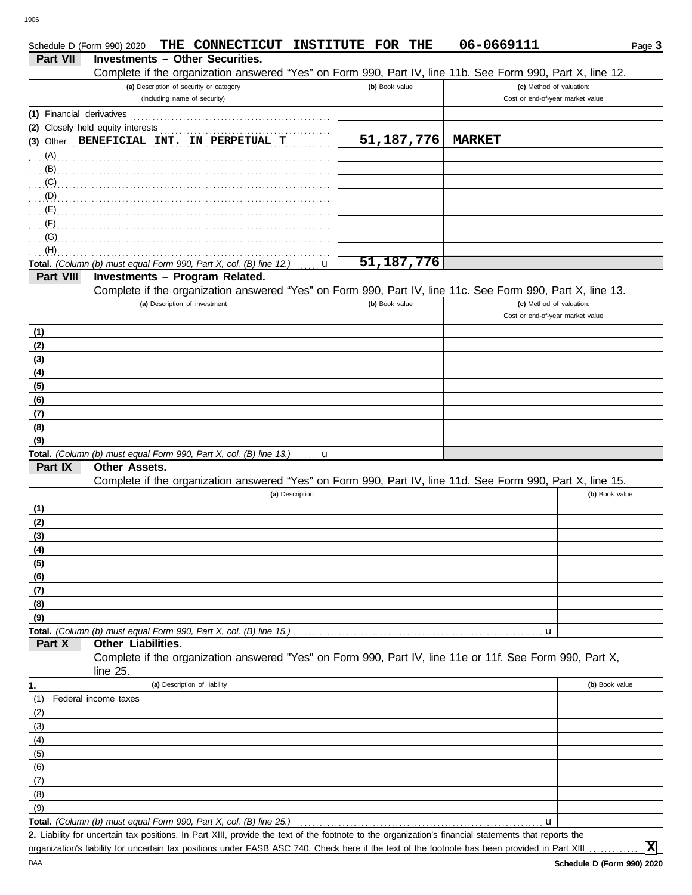|                 | THE CONNECTICUT INSTITUTE FOR THE<br>Schedule D (Form 990) 2020                                                                                      |                | 06-0669111                                                   | Page 3         |
|-----------------|------------------------------------------------------------------------------------------------------------------------------------------------------|----------------|--------------------------------------------------------------|----------------|
| <b>Part VII</b> | <b>Investments - Other Securities.</b>                                                                                                               |                |                                                              |                |
|                 | Complete if the organization answered "Yes" on Form 990, Part IV, line 11b. See Form 990, Part X, line 12.                                           |                |                                                              |                |
|                 | (a) Description of security or category<br>(including name of security)                                                                              | (b) Book value | (c) Method of valuation:<br>Cost or end-of-year market value |                |
|                 |                                                                                                                                                      |                |                                                              |                |
|                 | (2) Closely held equity interests                                                                                                                    |                |                                                              |                |
|                 | (3) Other BENEFICIAL INT. IN PERPETUAL T                                                                                                             | 51, 187, 776   | <b>MARKET</b>                                                |                |
| (A)             |                                                                                                                                                      |                |                                                              |                |
| (B)             |                                                                                                                                                      |                |                                                              |                |
| (C)             |                                                                                                                                                      |                |                                                              |                |
| (D)             |                                                                                                                                                      |                |                                                              |                |
| (E)             |                                                                                                                                                      |                |                                                              |                |
| (F)             |                                                                                                                                                      |                |                                                              |                |
| (G)             |                                                                                                                                                      |                |                                                              |                |
| (H)             |                                                                                                                                                      |                |                                                              |                |
|                 | Total. (Column (b) must equal Form 990, Part X, col. (B) line 12.)<br>u                                                                              | 51,187,776     |                                                              |                |
| Part VIII       | Investments - Program Related.<br>Complete if the organization answered "Yes" on Form 990, Part IV, line 11c. See Form 990, Part X, line 13.         |                |                                                              |                |
|                 | (a) Description of investment                                                                                                                        | (b) Book value | (c) Method of valuation:                                     |                |
|                 |                                                                                                                                                      |                | Cost or end-of-year market value                             |                |
| (1)             |                                                                                                                                                      |                |                                                              |                |
| (2)             |                                                                                                                                                      |                |                                                              |                |
| (3)             |                                                                                                                                                      |                |                                                              |                |
| (4)             |                                                                                                                                                      |                |                                                              |                |
| (5)             |                                                                                                                                                      |                |                                                              |                |
| (6)             |                                                                                                                                                      |                |                                                              |                |
| (7)             |                                                                                                                                                      |                |                                                              |                |
| (8)             |                                                                                                                                                      |                |                                                              |                |
| (9)             |                                                                                                                                                      |                |                                                              |                |
|                 | Total. (Column (b) must equal Form 990, Part X, col. (B) line 13.)<br>u                                                                              |                |                                                              |                |
| Part IX         | Other Assets.                                                                                                                                        |                |                                                              |                |
|                 | Complete if the organization answered "Yes" on Form 990, Part IV, line 11d. See Form 990, Part X, line 15.                                           |                |                                                              |                |
|                 | (a) Description                                                                                                                                      |                |                                                              | (b) Book value |
| (1)             |                                                                                                                                                      |                |                                                              |                |
| (2)<br>(3)      |                                                                                                                                                      |                |                                                              |                |
| (4)             |                                                                                                                                                      |                |                                                              |                |
| (5)             |                                                                                                                                                      |                |                                                              |                |
| (6)             |                                                                                                                                                      |                |                                                              |                |
| (7)             |                                                                                                                                                      |                |                                                              |                |
| (8)             |                                                                                                                                                      |                |                                                              |                |
| (9)             |                                                                                                                                                      |                |                                                              |                |
|                 | Total. (Column (b) must equal Form 990, Part X, col. (B) line 15.)                                                                                   |                | u                                                            |                |
| Part X          | <b>Other Liabilities.</b>                                                                                                                            |                |                                                              |                |
|                 | Complete if the organization answered "Yes" on Form 990, Part IV, line 11e or 11f. See Form 990, Part X,<br>line 25.                                 |                |                                                              |                |
| 1.              | (a) Description of liability                                                                                                                         |                |                                                              | (b) Book value |
| (1)             | Federal income taxes                                                                                                                                 |                |                                                              |                |
| (2)             |                                                                                                                                                      |                |                                                              |                |
| (3)             |                                                                                                                                                      |                |                                                              |                |
| (4)             |                                                                                                                                                      |                |                                                              |                |
| (5)             |                                                                                                                                                      |                |                                                              |                |
| (6)             |                                                                                                                                                      |                |                                                              |                |
| (7)             |                                                                                                                                                      |                |                                                              |                |
| (8)             |                                                                                                                                                      |                |                                                              |                |
| (9)             | Total. (Column (b) must equal Form 990, Part X, col. (B) line 25.)                                                                                   |                | u                                                            |                |
|                 | 2. Liability for uncertain tax positions. In Part XIII, provide the text of the footnote to the organization's financial statements that reports the |                |                                                              |                |

**Schedule D (Form 990) 2020** organization's liability for uncertain tax positions under FASB ASC 740. Check here if the text of the footnote has been provided in Part XIII

**X**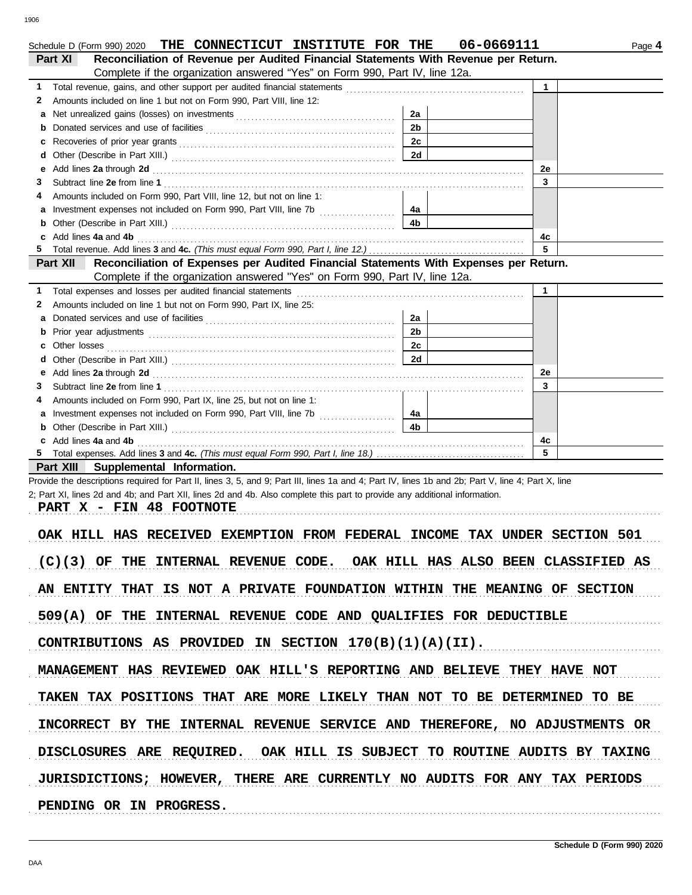| Reconciliation of Revenue per Audited Financial Statements With Revenue per Return.<br>Part XI                                                                                                                                                                                                                                                                                                               |                |              |  |
|--------------------------------------------------------------------------------------------------------------------------------------------------------------------------------------------------------------------------------------------------------------------------------------------------------------------------------------------------------------------------------------------------------------|----------------|--------------|--|
| Complete if the organization answered "Yes" on Form 990, Part IV, line 12a.                                                                                                                                                                                                                                                                                                                                  |                |              |  |
| 1.                                                                                                                                                                                                                                                                                                                                                                                                           |                | $\mathbf{1}$ |  |
| Amounts included on line 1 but not on Form 990, Part VIII, line 12:<br>2                                                                                                                                                                                                                                                                                                                                     |                |              |  |
| a                                                                                                                                                                                                                                                                                                                                                                                                            | 2a             |              |  |
| b                                                                                                                                                                                                                                                                                                                                                                                                            | 2 <sub>b</sub> |              |  |
| c                                                                                                                                                                                                                                                                                                                                                                                                            | 2c             |              |  |
|                                                                                                                                                                                                                                                                                                                                                                                                              | 2d             |              |  |
| Add lines 2a through 2d [11] Additional Property and Property and Property and Property and Property and Property and Property and Property and Property and Property and Property and Property and Property and Property and<br>е                                                                                                                                                                           |                | 2e           |  |
| 3                                                                                                                                                                                                                                                                                                                                                                                                            |                | 3            |  |
| Amounts included on Form 990, Part VIII, line 12, but not on line 1:<br>4                                                                                                                                                                                                                                                                                                                                    |                |              |  |
| a                                                                                                                                                                                                                                                                                                                                                                                                            | 4a             |              |  |
|                                                                                                                                                                                                                                                                                                                                                                                                              | 4b             |              |  |
|                                                                                                                                                                                                                                                                                                                                                                                                              |                |              |  |
| b                                                                                                                                                                                                                                                                                                                                                                                                            |                | 4c           |  |
| Add lines 4a and 4b [ <i>[1]</i> [ <i>[1]</i> [ <i>[1]</i> [ <i>[1]</i> [ <i>[1]</i> [ <i>[1]</i> [ <i>[1]</i> [ <i>[1]</i> [ <i>[1]</i> [ <i>[1]</i> [ <i>[1]</i> [ <i>[1]</i> [ <i>[1]</i> [ <i>[1]</i> [ <i>[1]</i> [ <i>[1]</i> [ <i>[1]</i> [ <i>[1]</i> [ <i>[1]</i> [ <i>[1]</i> [ <i>[1]</i> [ <i>[1]</i> [ <i>[1]</i> [ <i>[1]</i> [ <i>[1]</i> [ <i>[1]</i> [ <i>[1]</i> [ <i>[1]</i> [ <i>[1]</i> |                | 5            |  |
| Reconciliation of Expenses per Audited Financial Statements With Expenses per Return.                                                                                                                                                                                                                                                                                                                        |                |              |  |
| Complete if the organization answered "Yes" on Form 990, Part IV, line 12a.                                                                                                                                                                                                                                                                                                                                  |                |              |  |
| Total expenses and losses per audited financial statements                                                                                                                                                                                                                                                                                                                                                   |                | $\mathbf{1}$ |  |
| Amounts included on line 1 but not on Form 990, Part IX, line 25:                                                                                                                                                                                                                                                                                                                                            |                |              |  |
| Donated services and use of facilities [[11][11] contact the service of facilities [[11] contact the service of facilities [[11] contact the service of facilities [[11] contact the service of service of service of service                                                                                                                                                                                | 2a             |              |  |
|                                                                                                                                                                                                                                                                                                                                                                                                              | 2 <sub>b</sub> |              |  |
|                                                                                                                                                                                                                                                                                                                                                                                                              | 2с             |              |  |
|                                                                                                                                                                                                                                                                                                                                                                                                              | 2d             |              |  |
|                                                                                                                                                                                                                                                                                                                                                                                                              |                | 2e           |  |
| <b>Part XII</b><br>1<br>2<br>a<br>c Other losses $\ldots$ . $\vdots$<br>З                                                                                                                                                                                                                                                                                                                                    |                | 3            |  |
| Amounts included on Form 990, Part IX, line 25, but not on line 1:                                                                                                                                                                                                                                                                                                                                           |                |              |  |
|                                                                                                                                                                                                                                                                                                                                                                                                              | 4a             |              |  |
|                                                                                                                                                                                                                                                                                                                                                                                                              | 4 <sub>b</sub> |              |  |
| a Investment expenses not included on Form 990, Part VIII, line 7b [<br>c Add lines 4a and 4b                                                                                                                                                                                                                                                                                                                |                | 4c           |  |
|                                                                                                                                                                                                                                                                                                                                                                                                              |                |              |  |

PART X - FIN 48 FOOTNOTE

OAK HILL HAS RECEIVED EXEMPTION FROM FEDERAL INCOME TAX UNDER SECTION 501  $(C)(3)$  OF THE INTERNAL REVENUE CODE. OAK HILL HAS ALSO BEEN CLASSIFIED AS AN ENTITY THAT IS NOT A PRIVATE FOUNDATION WITHIN THE MEANING OF SECTION 509(A) OF THE INTERNAL REVENUE CODE AND QUALIFIES FOR DEDUCTIBLE CONTRIBUTIONS AS PROVIDED IN SECTION  $170(B)(1)(A)(II)$ . MANAGEMENT HAS REVIEWED OAK HILL'S REPORTING AND BELIEVE THEY HAVE NOT DISCLOSURES ARE REQUIRED. OAK HILL IS SUBJECT TO ROUTINE AUDITS BY TAXING TAKEN TAX POSITIONS THAT ARE MORE LIKELY THAN NOT TO BE DETERMINED TO BE INCORRECT BY THE INTERNAL REVENUE SERVICE AND THEREFORE, NO ADJUSTMENTS OR JURISDICTIONS; HOWEVER, THERE ARE CURRENTLY NO AUDITS FOR ANY TAX PERIODS PENDING OR IN PROGRESS.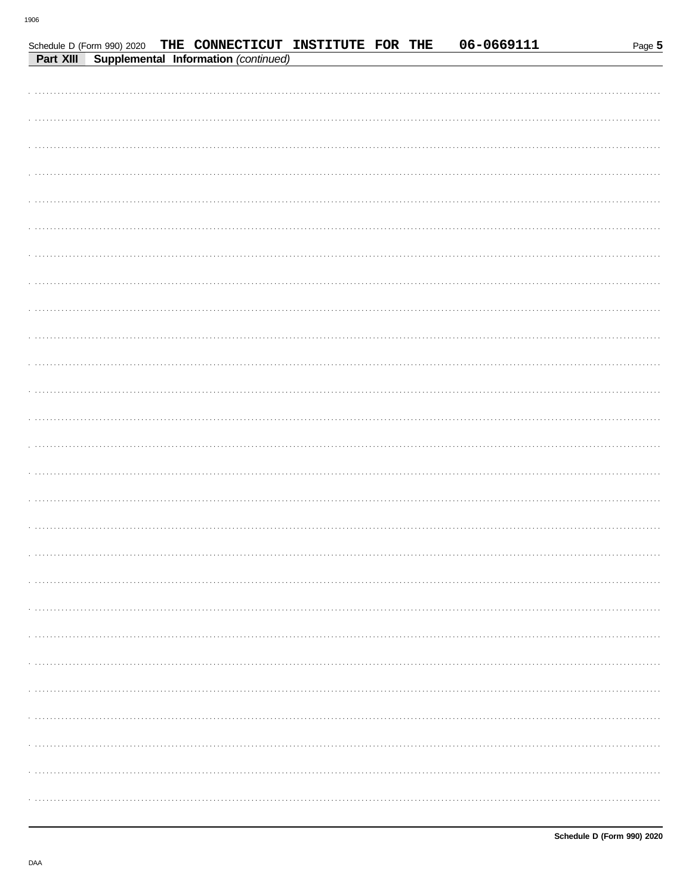| Schedule D (Form 990) 2020 |                                      |  | THE CONNECTICUT INSTITUTE FOR THE |  | 06-0669111 | Page 5 |
|----------------------------|--------------------------------------|--|-----------------------------------|--|------------|--------|
| Part XIII                  | Supplemental Information (continued) |  |                                   |  |            |        |
|                            |                                      |  |                                   |  |            |        |
|                            |                                      |  |                                   |  |            |        |
|                            |                                      |  |                                   |  |            |        |
|                            |                                      |  |                                   |  |            |        |
|                            |                                      |  |                                   |  |            |        |
|                            |                                      |  |                                   |  |            |        |
|                            |                                      |  |                                   |  |            |        |
|                            |                                      |  |                                   |  |            |        |
|                            |                                      |  |                                   |  |            |        |
|                            |                                      |  |                                   |  |            |        |
|                            |                                      |  |                                   |  |            |        |
|                            |                                      |  |                                   |  |            |        |
|                            |                                      |  |                                   |  |            |        |
|                            |                                      |  |                                   |  |            |        |
|                            |                                      |  |                                   |  |            |        |
|                            |                                      |  |                                   |  |            |        |
|                            |                                      |  |                                   |  |            |        |
|                            |                                      |  |                                   |  |            |        |
|                            |                                      |  |                                   |  |            |        |
|                            |                                      |  |                                   |  |            |        |
|                            |                                      |  |                                   |  |            |        |
|                            |                                      |  |                                   |  |            |        |
|                            |                                      |  |                                   |  |            |        |
|                            |                                      |  |                                   |  |            |        |
|                            |                                      |  |                                   |  |            |        |
|                            |                                      |  |                                   |  |            |        |
|                            |                                      |  |                                   |  |            |        |
|                            |                                      |  |                                   |  |            |        |
|                            |                                      |  |                                   |  |            |        |
|                            |                                      |  |                                   |  |            |        |
|                            |                                      |  |                                   |  |            |        |
|                            |                                      |  |                                   |  |            |        |
|                            |                                      |  |                                   |  |            |        |
|                            |                                      |  |                                   |  |            |        |
|                            |                                      |  |                                   |  |            |        |
|                            |                                      |  |                                   |  |            |        |
|                            |                                      |  |                                   |  |            |        |
|                            |                                      |  |                                   |  |            |        |
|                            |                                      |  |                                   |  |            |        |
|                            |                                      |  |                                   |  |            |        |
|                            |                                      |  |                                   |  |            |        |
|                            |                                      |  |                                   |  |            |        |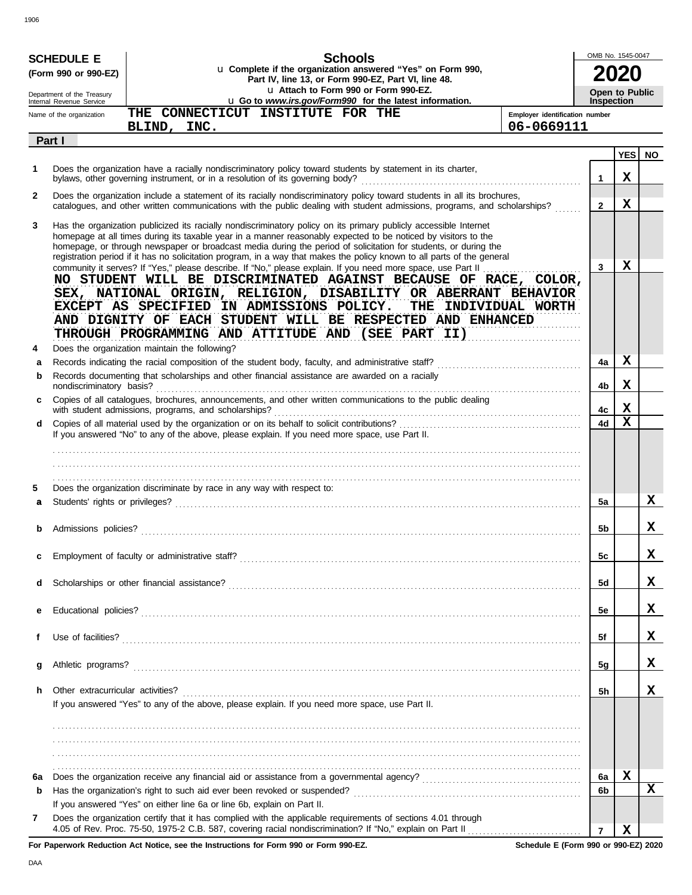|              | OMB No. 1545-0047<br><b>Schools</b><br><b>SCHEDULE E</b><br>u Complete if the organization answered "Yes" on Form 990,<br>(Form 990 or 990-EZ)<br>Part IV, line 13, or Form 990-EZ, Part VI, line 48. |                                                                                                                                                                                                                                                                                                                                                                                                                                                                                   |                                              |                                            |                 |           |
|--------------|-------------------------------------------------------------------------------------------------------------------------------------------------------------------------------------------------------|-----------------------------------------------------------------------------------------------------------------------------------------------------------------------------------------------------------------------------------------------------------------------------------------------------------------------------------------------------------------------------------------------------------------------------------------------------------------------------------|----------------------------------------------|--------------------------------------------|-----------------|-----------|
|              | Department of the Treasury<br>Internal Revenue Service                                                                                                                                                | u Attach to Form 990 or Form 990-EZ.<br>u Go to www.irs.gov/Form990 for the latest information.                                                                                                                                                                                                                                                                                                                                                                                   |                                              | <b>Open to Public</b><br><b>Inspection</b> |                 |           |
|              | Name of the organization                                                                                                                                                                              | THE CONNECTICUT INSTITUTE FOR THE<br>BLIND, INC.                                                                                                                                                                                                                                                                                                                                                                                                                                  | Employer identification number<br>06-0669111 |                                            |                 |           |
| Part I       |                                                                                                                                                                                                       |                                                                                                                                                                                                                                                                                                                                                                                                                                                                                   |                                              |                                            |                 |           |
| 1            |                                                                                                                                                                                                       | Does the organization have a racially nondiscriminatory policy toward students by statement in its charter,                                                                                                                                                                                                                                                                                                                                                                       |                                              | $\mathbf{1}$                               | <b>YES</b><br>X | <b>NO</b> |
| $\mathbf{2}$ |                                                                                                                                                                                                       | Does the organization include a statement of its racially nondiscriminatory policy toward students in all its brochures,<br>catalogues, and other written communications with the public dealing with student admissions, programs, and scholarships?                                                                                                                                                                                                                             |                                              | $\mathbf{2}$                               | X               |           |
| 3            |                                                                                                                                                                                                       | Has the organization publicized its racially nondiscriminatory policy on its primary publicly accessible Internet<br>homepage at all times during its taxable year in a manner reasonably expected to be noticed by visitors to the<br>homepage, or through newspaper or broadcast media during the period of solicitation for students, or during the<br>registration period if it has no solicitation program, in a way that makes the policy known to all parts of the general |                                              | 3                                          | X               |           |
|              |                                                                                                                                                                                                       | community it serves? If "Yes," please describe. If "No," please explain. If you need more space, use Part II<br>NO STUDENT WILL BE DISCRIMINATED AGAINST BECAUSE OF RACE, COLOR,<br>SEX, NATIONAL ORIGIN, RELIGION, DISABILITY OR ABERRANT BEHAVIOR<br>EXCEPT AS SPECIFIED IN ADMISSIONS POLICY.<br>THE INDIVIDUAL WORTH<br>AND DIGNITY OF EACH STUDENT WILL BE RESPECTED AND ENHANCED<br>THROUGH PROGRAMMING AND ATTITUDE AND (SEE PART II)                                      |                                              |                                            |                 |           |
| 4<br>a       |                                                                                                                                                                                                       | Does the organization maintain the following?                                                                                                                                                                                                                                                                                                                                                                                                                                     |                                              | 4a                                         | х               |           |
| b            | nondiscriminatory basis?                                                                                                                                                                              | Records documenting that scholarships and other financial assistance are awarded on a racially                                                                                                                                                                                                                                                                                                                                                                                    |                                              | 4b                                         | х               |           |
| c            |                                                                                                                                                                                                       | Copies of all catalogues, brochures, announcements, and other written communications to the public dealing<br>with student admissions, programs, and scholarships?                                                                                                                                                                                                                                                                                                                |                                              | 4c                                         | х               |           |
| d            |                                                                                                                                                                                                       |                                                                                                                                                                                                                                                                                                                                                                                                                                                                                   |                                              | 4d                                         | X               |           |
|              |                                                                                                                                                                                                       | If you answered "No" to any of the above, please explain. If you need more space, use Part II.                                                                                                                                                                                                                                                                                                                                                                                    |                                              |                                            |                 |           |
| 5            |                                                                                                                                                                                                       | Does the organization discriminate by race in any way with respect to:                                                                                                                                                                                                                                                                                                                                                                                                            |                                              |                                            |                 |           |
| a            |                                                                                                                                                                                                       |                                                                                                                                                                                                                                                                                                                                                                                                                                                                                   |                                              | 5a                                         |                 | x         |
|              | Admissions policies?                                                                                                                                                                                  |                                                                                                                                                                                                                                                                                                                                                                                                                                                                                   |                                              | 5b                                         |                 | x         |
| c            |                                                                                                                                                                                                       |                                                                                                                                                                                                                                                                                                                                                                                                                                                                                   |                                              | 5c                                         |                 | x         |
| d            |                                                                                                                                                                                                       |                                                                                                                                                                                                                                                                                                                                                                                                                                                                                   |                                              | 5d                                         |                 | x         |
| е            |                                                                                                                                                                                                       |                                                                                                                                                                                                                                                                                                                                                                                                                                                                                   |                                              | 5e                                         |                 | x         |
| f            |                                                                                                                                                                                                       |                                                                                                                                                                                                                                                                                                                                                                                                                                                                                   |                                              | 5f                                         |                 | x         |
| g            |                                                                                                                                                                                                       |                                                                                                                                                                                                                                                                                                                                                                                                                                                                                   |                                              | 5g                                         |                 | x         |
| h.           | Other extracurricular activities?                                                                                                                                                                     | If you answered "Yes" to any of the above, please explain. If you need more space, use Part II.                                                                                                                                                                                                                                                                                                                                                                                   |                                              | 5h                                         |                 | x         |
|              |                                                                                                                                                                                                       |                                                                                                                                                                                                                                                                                                                                                                                                                                                                                   |                                              |                                            |                 |           |
| 6а           |                                                                                                                                                                                                       |                                                                                                                                                                                                                                                                                                                                                                                                                                                                                   |                                              | 6a                                         | X               |           |
| b            |                                                                                                                                                                                                       | If you answered "Yes" on either line 6a or line 6b, explain on Part II.                                                                                                                                                                                                                                                                                                                                                                                                           |                                              | 6b                                         |                 | X         |
| 7            |                                                                                                                                                                                                       | Does the organization certify that it has complied with the applicable requirements of sections 4.01 through<br>4.05 of Rev. Proc. 75-50, 1975-2 C.B. 587, covering racial nondiscrimination? If "No," explain on Part II                                                                                                                                                                                                                                                         |                                              | $\overline{7}$                             | X               |           |

DAA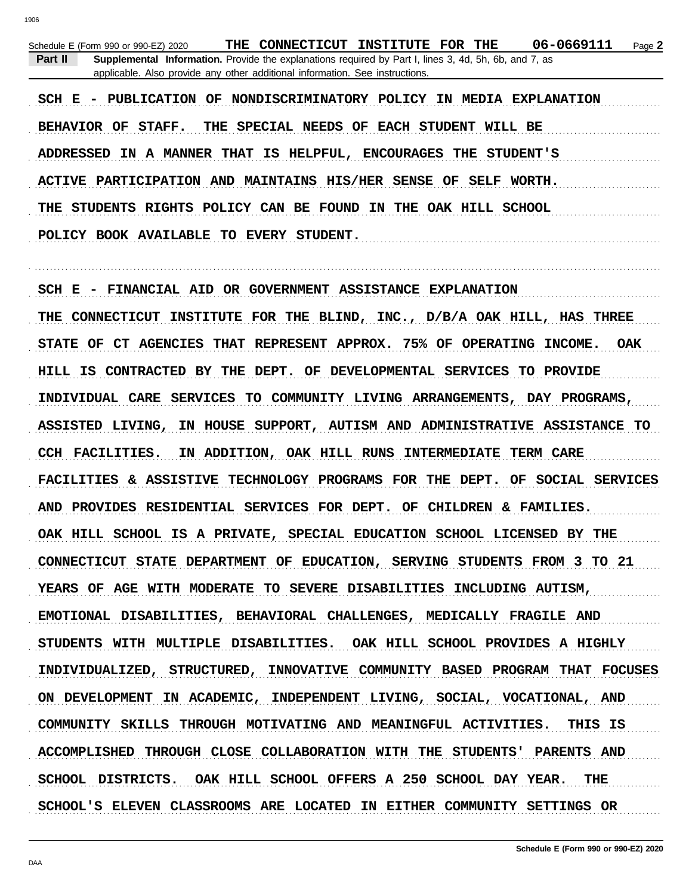|                                                                              | Schedule E (Form 990 or 990-EZ) 2020 |  |  | THE CONNECTICUT INSTITUTE FOR THE                                                                            |  |  |  | 06-0669111 | Page 2 |
|------------------------------------------------------------------------------|--------------------------------------|--|--|--------------------------------------------------------------------------------------------------------------|--|--|--|------------|--------|
| Part II                                                                      |                                      |  |  | <b>Supplemental Information.</b> Provide the explanations required by Part I, lines 3, 4d, 5h, 6b, and 7, as |  |  |  |            |        |
| applicable. Also provide any other additional information. See instructions. |                                      |  |  |                                                                                                              |  |  |  |            |        |
|                                                                              |                                      |  |  |                                                                                                              |  |  |  |            |        |

SCH E - PUBLICATION OF NONDISCRIMINATORY POLICY IN MEDIA EXPLANATION BEHAVIOR OF STAFF. THE SPECIAL NEEDS OF EACH STUDENT WILL BE ADDRESSED IN A MANNER THAT IS HELPFUL, ENCOURAGES THE STUDENT'S ACTIVE PARTICIPATION AND MAINTAINS HIS/HER SENSE OF SELF WORTH. THE STUDENTS RIGHTS POLICY CAN BE FOUND IN THE OAK HILL SCHOOL POLICY BOOK AVAILABLE TO EVERY STUDENT.

SCH E - FINANCIAL AID OR GOVERNMENT ASSISTANCE EXPLANATION THE CONNECTICUT INSTITUTE FOR THE BLIND, INC., D/B/A OAK HILL, HAS THREE STATE OF CT AGENCIES THAT REPRESENT APPROX. 75% OF OPERATING INCOME. **OAK** HILL IS CONTRACTED BY THE DEPT. OF DEVELOPMENTAL SERVICES TO PROVIDE INDIVIDUAL CARE SERVICES TO COMMUNITY LIVING ARRANGEMENTS, DAY PROGRAMS, ASSISTED LIVING, IN HOUSE SUPPORT, AUTISM AND ADMINISTRATIVE ASSISTANCE TO CCH FACILITIES. IN ADDITION, OAK HILL RUNS INTERMEDIATE TERM CARE FACILITIES & ASSISTIVE TECHNOLOGY PROGRAMS FOR THE DEPT. OF SOCIAL SERVICES AND PROVIDES RESIDENTIAL SERVICES FOR DEPT. OF CHILDREN & FAMILIES. OAK HILL SCHOOL IS A PRIVATE, SPECIAL EDUCATION SCHOOL LICENSED BY THE CONNECTICUT STATE DEPARTMENT OF EDUCATION, SERVING STUDENTS FROM 3 TO 21 YEARS OF AGE WITH MODERATE TO SEVERE DISABILITIES INCLUDING AUTISM, EMOTIONAL DISABILITIES, BEHAVIORAL CHALLENGES, MEDICALLY FRAGILE AND STUDENTS WITH MULTIPLE DISABILITIES. OAK HILL SCHOOL PROVIDES A HIGHLY INDIVIDUALIZED, STRUCTURED, INNOVATIVE COMMUNITY BASED PROGRAM THAT FOCUSES ON DEVELOPMENT IN ACADEMIC, INDEPENDENT LIVING, SOCIAL, VOCATIONAL, AND COMMUNITY SKILLS THROUGH MOTIVATING AND MEANINGFUL ACTIVITIES. THIS IS ACCOMPLISHED THROUGH CLOSE COLLABORATION WITH THE STUDENTS' PARENTS AND SCHOOL DISTRICTS. OAK HILL SCHOOL OFFERS A 250 SCHOOL DAY YEAR. THE. SCHOOL'S ELEVEN CLASSROOMS ARE LOCATED IN EITHER COMMUNITY SETTINGS OR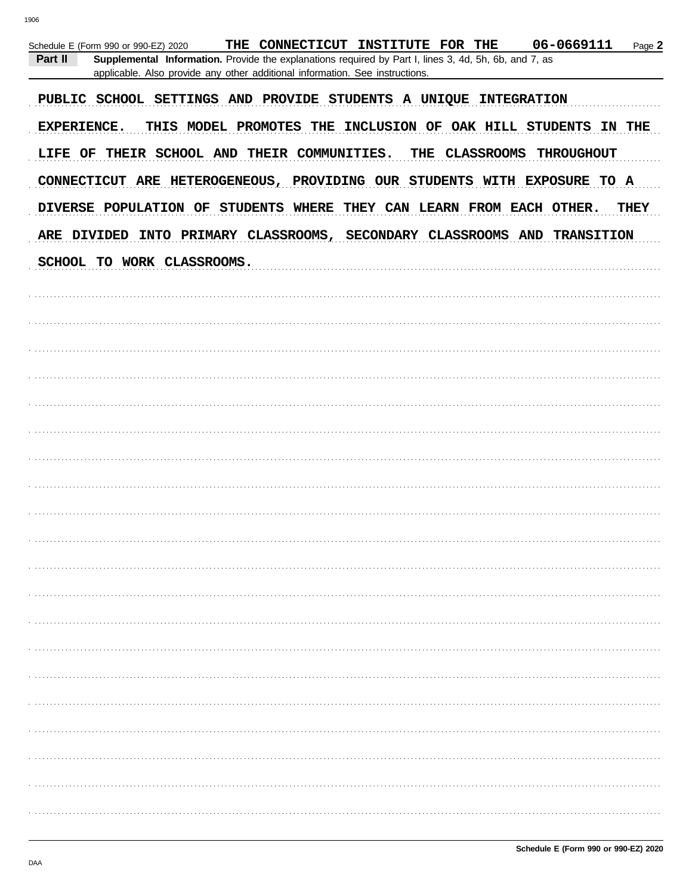| 06-0669111<br>THE CONNECTICUT INSTITUTE FOR THE<br>Page 2<br>Schedule E (Form 990 or 990-EZ) 2020<br>Part II<br>Supplemental Information. Provide the explanations required by Part I, lines 3, 4d, 5h, 6b, and 7, as<br>applicable. Also provide any other additional information. See instructions. |
|-------------------------------------------------------------------------------------------------------------------------------------------------------------------------------------------------------------------------------------------------------------------------------------------------------|
| PUBLIC SCHOOL SETTINGS AND PROVIDE STUDENTS A UNIQUE INTEGRATION                                                                                                                                                                                                                                      |
| THIS MODEL PROMOTES THE INCLUSION OF OAK HILL STUDENTS IN THE<br><b>EXPERIENCE.</b>                                                                                                                                                                                                                   |
| LIFE OF THEIR SCHOOL AND THEIR COMMUNITIES. THE CLASSROOMS THROUGHOUT                                                                                                                                                                                                                                 |
| CONNECTICUT ARE HETEROGENEOUS, PROVIDING OUR STUDENTS WITH EXPOSURE TO A                                                                                                                                                                                                                              |
| DIVERSE POPULATION OF STUDENTS WHERE THEY CAN LEARN FROM EACH OTHER.<br>THEY                                                                                                                                                                                                                          |
| ARE DIVIDED INTO PRIMARY CLASSROOMS, SECONDARY CLASSROOMS AND TRANSITION                                                                                                                                                                                                                              |
| SCHOOL TO WORK CLASSROOMS.                                                                                                                                                                                                                                                                            |
|                                                                                                                                                                                                                                                                                                       |
|                                                                                                                                                                                                                                                                                                       |
|                                                                                                                                                                                                                                                                                                       |
|                                                                                                                                                                                                                                                                                                       |
|                                                                                                                                                                                                                                                                                                       |
|                                                                                                                                                                                                                                                                                                       |
|                                                                                                                                                                                                                                                                                                       |
|                                                                                                                                                                                                                                                                                                       |
|                                                                                                                                                                                                                                                                                                       |
|                                                                                                                                                                                                                                                                                                       |
|                                                                                                                                                                                                                                                                                                       |
|                                                                                                                                                                                                                                                                                                       |
|                                                                                                                                                                                                                                                                                                       |
|                                                                                                                                                                                                                                                                                                       |
|                                                                                                                                                                                                                                                                                                       |
|                                                                                                                                                                                                                                                                                                       |
|                                                                                                                                                                                                                                                                                                       |
|                                                                                                                                                                                                                                                                                                       |
|                                                                                                                                                                                                                                                                                                       |
|                                                                                                                                                                                                                                                                                                       |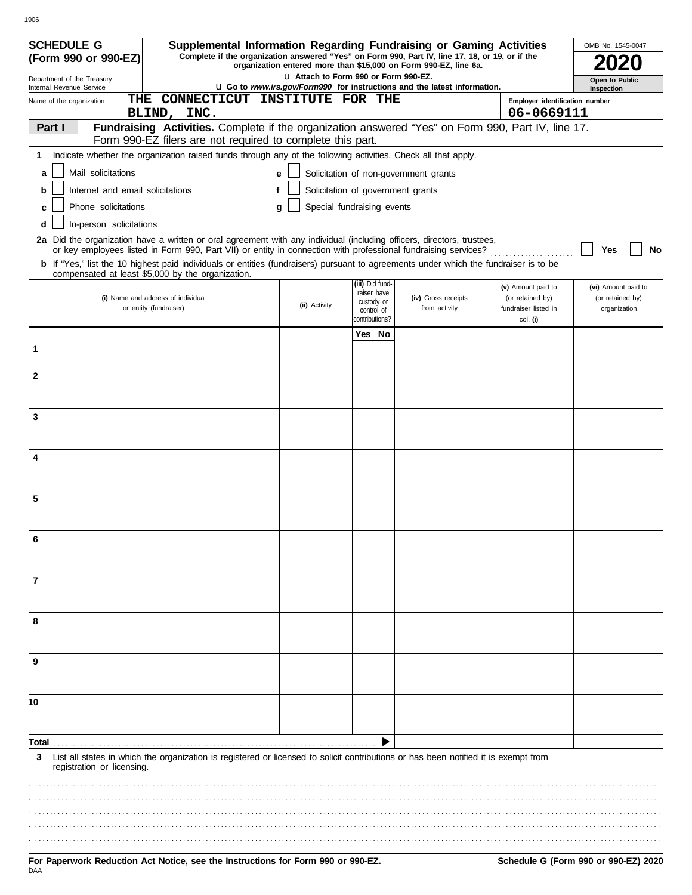| <b>SCHEDULE G</b><br>(Form 990 or 990-EZ)              | Supplemental Information Regarding Fundraising or Gaming Activities<br>Complete if the organization answered "Yes" on Form 990, Part IV, line 17, 18, or 19, or if the                                                                   |                                       |                 |                                         | organization entered more than \$15,000 on Form 990-EZ, line 6a.                |                                                                | OMB No. 1545-0047                                       |
|--------------------------------------------------------|------------------------------------------------------------------------------------------------------------------------------------------------------------------------------------------------------------------------------------------|---------------------------------------|-----------------|-----------------------------------------|---------------------------------------------------------------------------------|----------------------------------------------------------------|---------------------------------------------------------|
| Department of the Treasury<br>Internal Revenue Service |                                                                                                                                                                                                                                          | L1 Attach to Form 990 or Form 990-EZ. |                 |                                         | <b>u</b> Go to www.irs.gov/Form990 for instructions and the latest information. |                                                                | Open to Public                                          |
| THE<br>Name of the organization                        | CONNECTICUT INSTITUTE FOR THE                                                                                                                                                                                                            |                                       |                 |                                         |                                                                                 | Employer identification number                                 | Inspection                                              |
|                                                        | BLIND, INC.                                                                                                                                                                                                                              |                                       |                 |                                         |                                                                                 | 06-0669111                                                     |                                                         |
| Part I                                                 | Fundraising Activities. Complete if the organization answered "Yes" on Form 990, Part IV, line 17.<br>Form 990-EZ filers are not required to complete this part.                                                                         |                                       |                 |                                         |                                                                                 |                                                                |                                                         |
|                                                        | 1 Indicate whether the organization raised funds through any of the following activities. Check all that apply.                                                                                                                          |                                       |                 |                                         |                                                                                 |                                                                |                                                         |
| Mail solicitations<br>a                                |                                                                                                                                                                                                                                          | е                                     |                 |                                         | Solicitation of non-government grants                                           |                                                                |                                                         |
| Internet and email solicitations<br>b                  |                                                                                                                                                                                                                                          | f                                     |                 |                                         | Solicitation of government grants                                               |                                                                |                                                         |
| Phone solicitations<br>c                               |                                                                                                                                                                                                                                          | Special fundraising events<br>g       |                 |                                         |                                                                                 |                                                                |                                                         |
| In-person solicitations<br>d                           |                                                                                                                                                                                                                                          |                                       |                 |                                         |                                                                                 |                                                                |                                                         |
|                                                        | 2a Did the organization have a written or oral agreement with any individual (including officers, directors, trustees,<br>or key employees listed in Form 990, Part VII) or entity in connection with professional fundraising services? |                                       |                 |                                         |                                                                                 |                                                                | Yes<br>No                                               |
|                                                        | <b>b</b> If "Yes," list the 10 highest paid individuals or entities (fundraisers) pursuant to agreements under which the fundraiser is to be<br>compensated at least \$5,000 by the organization.                                        |                                       |                 |                                         |                                                                                 |                                                                |                                                         |
|                                                        | (i) Name and address of individual<br>or entity (fundraiser)                                                                                                                                                                             | (ii) Activity                         | (iii) Did fund- | raiser have<br>custody or<br>control of | (iv) Gross receipts<br>from activity                                            | (v) Amount paid to<br>(or retained by)<br>fundraiser listed in | (vi) Amount paid to<br>(or retained by)<br>organization |
|                                                        |                                                                                                                                                                                                                                          |                                       | contributions?  | Yes   No                                |                                                                                 | col. (i)                                                       |                                                         |
| 1                                                      |                                                                                                                                                                                                                                          |                                       |                 |                                         |                                                                                 |                                                                |                                                         |
| $\mathbf{2}$                                           |                                                                                                                                                                                                                                          |                                       |                 |                                         |                                                                                 |                                                                |                                                         |
|                                                        |                                                                                                                                                                                                                                          |                                       |                 |                                         |                                                                                 |                                                                |                                                         |
| 3                                                      |                                                                                                                                                                                                                                          |                                       |                 |                                         |                                                                                 |                                                                |                                                         |
| 4                                                      |                                                                                                                                                                                                                                          |                                       |                 |                                         |                                                                                 |                                                                |                                                         |
| 5                                                      |                                                                                                                                                                                                                                          |                                       |                 |                                         |                                                                                 |                                                                |                                                         |
|                                                        |                                                                                                                                                                                                                                          |                                       |                 |                                         |                                                                                 |                                                                |                                                         |
| 6                                                      |                                                                                                                                                                                                                                          |                                       |                 |                                         |                                                                                 |                                                                |                                                         |
| 7                                                      |                                                                                                                                                                                                                                          |                                       |                 |                                         |                                                                                 |                                                                |                                                         |
| 8                                                      |                                                                                                                                                                                                                                          |                                       |                 |                                         |                                                                                 |                                                                |                                                         |
| 9                                                      |                                                                                                                                                                                                                                          |                                       |                 |                                         |                                                                                 |                                                                |                                                         |
|                                                        |                                                                                                                                                                                                                                          |                                       |                 |                                         |                                                                                 |                                                                |                                                         |
| 10                                                     |                                                                                                                                                                                                                                          |                                       |                 |                                         |                                                                                 |                                                                |                                                         |
| Total                                                  |                                                                                                                                                                                                                                          |                                       |                 |                                         |                                                                                 |                                                                |                                                         |
| 3<br>registration or licensing.                        | List all states in which the organization is registered or licensed to solicit contributions or has been notified it is exempt from                                                                                                      |                                       |                 |                                         |                                                                                 |                                                                |                                                         |
|                                                        |                                                                                                                                                                                                                                          |                                       |                 |                                         |                                                                                 |                                                                |                                                         |
|                                                        |                                                                                                                                                                                                                                          |                                       |                 |                                         |                                                                                 |                                                                |                                                         |
|                                                        |                                                                                                                                                                                                                                          |                                       |                 |                                         |                                                                                 |                                                                |                                                         |
|                                                        |                                                                                                                                                                                                                                          |                                       |                 |                                         |                                                                                 |                                                                |                                                         |

.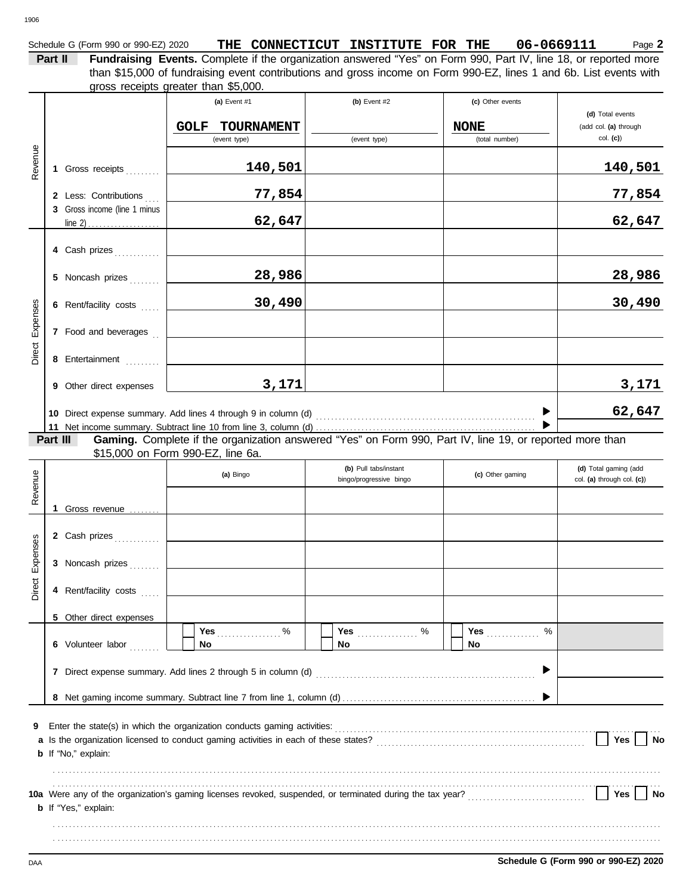| CONNECTICUT INSTITUTE FOR THE | Schedule G (Form 990 or 990-EZ) 2020 | THE |  |  |  |  | 06-0669111 | $P$ aqe $\lambda$ |
|-------------------------------|--------------------------------------|-----|--|--|--|--|------------|-------------------|
|-------------------------------|--------------------------------------|-----|--|--|--|--|------------|-------------------|

**Part II Fundraising Events.** Complete if the organization answered "Yes" on Form 990, Part IV, line 18, or reported more gross receipts greater than \$5,000. than \$15,000 of fundraising event contributions and gross income on Form 990-EZ, lines 1 and 6b. List events with

|                 |                                                                                                                                                           |                                                       | (a) Event $#1$<br><b>TOURNAMENT</b><br><b>GOLF</b><br>(event type) | (b) Event $#2$<br>(event type)                   | (c) Other events<br><b>NONE</b><br>(total number) | (d) Total events<br>(add col. (a) through<br>$col.$ (c)) |  |  |  |  |  |  |  |
|-----------------|-----------------------------------------------------------------------------------------------------------------------------------------------------------|-------------------------------------------------------|--------------------------------------------------------------------|--------------------------------------------------|---------------------------------------------------|----------------------------------------------------------|--|--|--|--|--|--|--|
| Revenue         |                                                                                                                                                           | 1 Gross receipts                                      | 140,501                                                            |                                                  |                                                   | <u>140,501</u>                                           |  |  |  |  |  |  |  |
|                 |                                                                                                                                                           | 2 Less: Contributions<br>3 Gross income (line 1 minus | 77,854                                                             |                                                  |                                                   | 77,854                                                   |  |  |  |  |  |  |  |
|                 |                                                                                                                                                           |                                                       | 62,647                                                             |                                                  |                                                   | 62,647                                                   |  |  |  |  |  |  |  |
|                 |                                                                                                                                                           | 4 Cash prizes                                         |                                                                    |                                                  |                                                   |                                                          |  |  |  |  |  |  |  |
|                 |                                                                                                                                                           | 5 Noncash prizes                                      | 28,986                                                             |                                                  |                                                   | 28,986                                                   |  |  |  |  |  |  |  |
| Expenses        |                                                                                                                                                           | 6 Rent/facility costs                                 | 30,490                                                             |                                                  |                                                   | 30,490                                                   |  |  |  |  |  |  |  |
|                 |                                                                                                                                                           | 7 Food and beverages                                  |                                                                    |                                                  |                                                   |                                                          |  |  |  |  |  |  |  |
| Direct          |                                                                                                                                                           | 8 Entertainment                                       |                                                                    |                                                  |                                                   |                                                          |  |  |  |  |  |  |  |
|                 |                                                                                                                                                           | 9 Other direct expenses                               | 3,171                                                              |                                                  |                                                   | 3,171                                                    |  |  |  |  |  |  |  |
|                 |                                                                                                                                                           |                                                       |                                                                    |                                                  |                                                   | 62,647                                                   |  |  |  |  |  |  |  |
|                 | Gaming. Complete if the organization answered "Yes" on Form 990, Part IV, line 19, or reported more than<br>Part III<br>\$15,000 on Form 990-EZ, line 6a. |                                                       |                                                                    |                                                  |                                                   |                                                          |  |  |  |  |  |  |  |
| Revenue         |                                                                                                                                                           |                                                       | (a) Bingo                                                          | (b) Pull tabs/instant<br>bingo/progressive bingo | (c) Other gaming                                  | (d) Total gaming (add<br>col. (a) through col. (c))      |  |  |  |  |  |  |  |
|                 |                                                                                                                                                           | 1 Gross revenue                                       |                                                                    |                                                  |                                                   |                                                          |  |  |  |  |  |  |  |
|                 |                                                                                                                                                           | 2 Cash prizes                                         |                                                                    |                                                  |                                                   |                                                          |  |  |  |  |  |  |  |
| Direct Expenses |                                                                                                                                                           | 3 Noncash prizes                                      |                                                                    |                                                  |                                                   |                                                          |  |  |  |  |  |  |  |
|                 |                                                                                                                                                           | 4 Rent/facility costs                                 |                                                                    |                                                  |                                                   |                                                          |  |  |  |  |  |  |  |
|                 |                                                                                                                                                           | 5 Other direct expenses                               |                                                                    |                                                  |                                                   |                                                          |  |  |  |  |  |  |  |
|                 |                                                                                                                                                           | 6 Volunteer labor                                     | $\sim$ $\%$<br>Yes<br>No                                           | No                                               | Yes <b>Market</b><br>℅<br>No                      |                                                          |  |  |  |  |  |  |  |
|                 |                                                                                                                                                           |                                                       |                                                                    |                                                  |                                                   |                                                          |  |  |  |  |  |  |  |
|                 |                                                                                                                                                           |                                                       |                                                                    |                                                  |                                                   |                                                          |  |  |  |  |  |  |  |
| 9               |                                                                                                                                                           | <b>b</b> If "No," explain:                            |                                                                    |                                                  |                                                   | Yes<br>No                                                |  |  |  |  |  |  |  |
|                 |                                                                                                                                                           | <b>b</b> If "Yes," explain:                           |                                                                    |                                                  |                                                   | Yes<br>No                                                |  |  |  |  |  |  |  |
|                 |                                                                                                                                                           |                                                       |                                                                    |                                                  |                                                   |                                                          |  |  |  |  |  |  |  |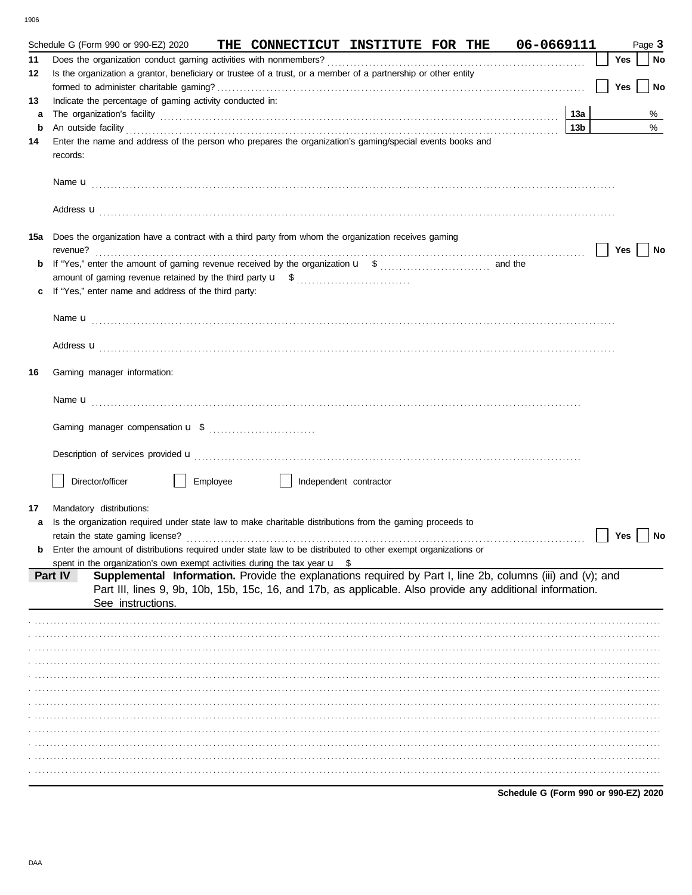|    |          | Schedule G (Form 990 or 990-EZ) 2020                     |          | THE CONNECTICUT INSTITUTE FOR THE                                                                                                                                                                                                    |  | 06-0669111 |                 |     | Page 3 |        |
|----|----------|----------------------------------------------------------|----------|--------------------------------------------------------------------------------------------------------------------------------------------------------------------------------------------------------------------------------------|--|------------|-----------------|-----|--------|--------|
| 11 |          |                                                          |          |                                                                                                                                                                                                                                      |  |            |                 | Yes |        | $ $ No |
| 12 |          |                                                          |          | Is the organization a grantor, beneficiary or trustee of a trust, or a member of a partnership or other entity                                                                                                                       |  |            |                 |     |        |        |
|    |          |                                                          |          |                                                                                                                                                                                                                                      |  |            |                 | Yes |        | No     |
| 13 |          | Indicate the percentage of gaming activity conducted in: |          |                                                                                                                                                                                                                                      |  |            |                 |     |        |        |
| a  |          |                                                          |          |                                                                                                                                                                                                                                      |  |            | 13a             |     |        | %      |
|    |          |                                                          |          |                                                                                                                                                                                                                                      |  |            | 13 <sub>b</sub> |     |        | %      |
| b  |          |                                                          |          | An outside facility <b>contract and the contract of a contract and the contract of a contract of a contract of a contract of a contract of a contract of a contract of a contract of a contract of a contract of a contract of a</b> |  |            |                 |     |        |        |
| 14 |          |                                                          |          | Enter the name and address of the person who prepares the organization's gaming/special events books and                                                                                                                             |  |            |                 |     |        |        |
|    | records: |                                                          |          |                                                                                                                                                                                                                                      |  |            |                 |     |        |        |
|    |          |                                                          |          |                                                                                                                                                                                                                                      |  |            |                 |     |        |        |
|    |          |                                                          |          |                                                                                                                                                                                                                                      |  |            |                 |     |        |        |
|    |          |                                                          |          |                                                                                                                                                                                                                                      |  |            |                 |     |        |        |
|    |          |                                                          |          | Address <b>u</b>                                                                                                                                                                                                                     |  |            |                 |     |        |        |
|    |          |                                                          |          |                                                                                                                                                                                                                                      |  |            |                 |     |        |        |
|    |          |                                                          |          | 15a Does the organization have a contract with a third party from whom the organization receives gaming                                                                                                                              |  |            |                 |     |        |        |
|    | revenue? |                                                          |          |                                                                                                                                                                                                                                      |  |            |                 | Yes |        | No     |
|    |          |                                                          |          |                                                                                                                                                                                                                                      |  |            |                 |     |        |        |
|    |          |                                                          |          |                                                                                                                                                                                                                                      |  |            |                 |     |        |        |
| c  |          | If "Yes," enter name and address of the third party:     |          |                                                                                                                                                                                                                                      |  |            |                 |     |        |        |
|    |          |                                                          |          |                                                                                                                                                                                                                                      |  |            |                 |     |        |        |
|    |          |                                                          |          |                                                                                                                                                                                                                                      |  |            |                 |     |        |        |
|    |          |                                                          |          |                                                                                                                                                                                                                                      |  |            |                 |     |        |        |
|    |          |                                                          |          |                                                                                                                                                                                                                                      |  |            |                 |     |        |        |
|    |          |                                                          |          | Address <b>u</b>                                                                                                                                                                                                                     |  |            |                 |     |        |        |
|    |          |                                                          |          |                                                                                                                                                                                                                                      |  |            |                 |     |        |        |
| 16 |          | Gaming manager information:                              |          |                                                                                                                                                                                                                                      |  |            |                 |     |        |        |
|    |          |                                                          |          |                                                                                                                                                                                                                                      |  |            |                 |     |        |        |
|    |          |                                                          |          |                                                                                                                                                                                                                                      |  |            |                 |     |        |        |
|    |          |                                                          |          |                                                                                                                                                                                                                                      |  |            |                 |     |        |        |
|    |          |                                                          |          |                                                                                                                                                                                                                                      |  |            |                 |     |        |        |
|    |          |                                                          |          |                                                                                                                                                                                                                                      |  |            |                 |     |        |        |
|    |          |                                                          |          |                                                                                                                                                                                                                                      |  |            |                 |     |        |        |
|    |          |                                                          |          |                                                                                                                                                                                                                                      |  |            |                 |     |        |        |
|    |          | Director/officer                                         | Employee | Independent contractor                                                                                                                                                                                                               |  |            |                 |     |        |        |
|    |          |                                                          |          |                                                                                                                                                                                                                                      |  |            |                 |     |        |        |
| 17 |          | Mandatory distributions:                                 |          |                                                                                                                                                                                                                                      |  |            |                 |     |        |        |
| a  |          |                                                          |          | Is the organization required under state law to make charitable distributions from the gaming proceeds to                                                                                                                            |  |            |                 |     |        |        |
|    |          |                                                          |          |                                                                                                                                                                                                                                      |  |            |                 | Yes |        | ∣ No   |
|    |          |                                                          |          | Enter the amount of distributions required under state law to be distributed to other exempt organizations or                                                                                                                        |  |            |                 |     |        |        |
|    |          |                                                          |          | spent in the organization's own exempt activities during the tax year $\mathbf{u}$ \$                                                                                                                                                |  |            |                 |     |        |        |
|    | Part IV  |                                                          |          | Supplemental Information. Provide the explanations required by Part I, line 2b, columns (iii) and (v); and                                                                                                                           |  |            |                 |     |        |        |
|    |          |                                                          |          | Part III, lines 9, 9b, 10b, 15b, 15c, 16, and 17b, as applicable. Also provide any additional information.                                                                                                                           |  |            |                 |     |        |        |
|    |          | See instructions.                                        |          |                                                                                                                                                                                                                                      |  |            |                 |     |        |        |
|    |          |                                                          |          |                                                                                                                                                                                                                                      |  |            |                 |     |        |        |
|    |          |                                                          |          |                                                                                                                                                                                                                                      |  |            |                 |     |        |        |
|    |          |                                                          |          |                                                                                                                                                                                                                                      |  |            |                 |     |        |        |
|    |          |                                                          |          |                                                                                                                                                                                                                                      |  |            |                 |     |        |        |
|    |          |                                                          |          |                                                                                                                                                                                                                                      |  |            |                 |     |        |        |
|    |          |                                                          |          |                                                                                                                                                                                                                                      |  |            |                 |     |        |        |
|    |          |                                                          |          |                                                                                                                                                                                                                                      |  |            |                 |     |        |        |
|    |          |                                                          |          |                                                                                                                                                                                                                                      |  |            |                 |     |        |        |
|    |          |                                                          |          |                                                                                                                                                                                                                                      |  |            |                 |     |        |        |
|    |          |                                                          |          |                                                                                                                                                                                                                                      |  |            |                 |     |        |        |
|    |          |                                                          |          |                                                                                                                                                                                                                                      |  |            |                 |     |        |        |
|    |          |                                                          |          |                                                                                                                                                                                                                                      |  |            |                 |     |        |        |
|    |          |                                                          |          |                                                                                                                                                                                                                                      |  |            |                 |     |        |        |
|    |          |                                                          |          |                                                                                                                                                                                                                                      |  |            |                 |     |        |        |
|    |          |                                                          |          |                                                                                                                                                                                                                                      |  |            |                 |     |        |        |

Schedule G (Form 990 or 990-EZ) 2020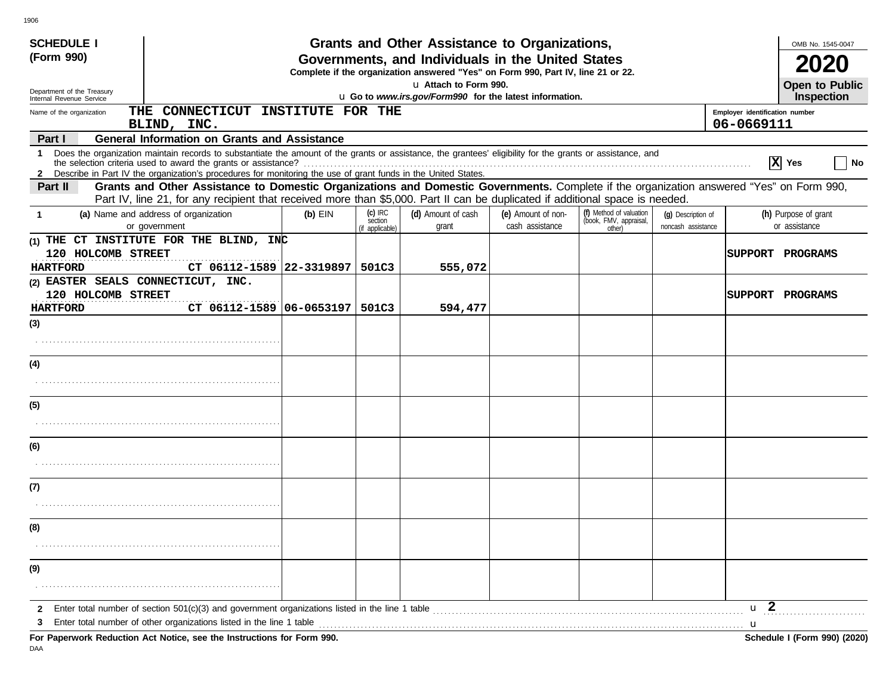| <b>SCHEDULE I</b><br>(Form 990)<br>Department of the Treasury                                                                                                                                                                                                                        |           |                                         | Grants and Other Assistance to Organizations,<br>Governments, and Individuals in the United States<br>Complete if the organization answered "Yes" on Form 990, Part IV, line 21 or 22.<br>u Attach to Form 990. |                                       |                                                             |                                          | OMB No. 1545-0047<br><b>Open to Public</b>   |
|--------------------------------------------------------------------------------------------------------------------------------------------------------------------------------------------------------------------------------------------------------------------------------------|-----------|-----------------------------------------|-----------------------------------------------------------------------------------------------------------------------------------------------------------------------------------------------------------------|---------------------------------------|-------------------------------------------------------------|------------------------------------------|----------------------------------------------|
| Internal Revenue Service                                                                                                                                                                                                                                                             |           |                                         | u Go to www.irs.gov/Form990 for the latest information.                                                                                                                                                         |                                       |                                                             |                                          | <b>Inspection</b>                            |
| CONNECTICUT INSTITUTE FOR THE<br>THE<br>Name of the organization<br>BLIND, INC.                                                                                                                                                                                                      |           |                                         |                                                                                                                                                                                                                 |                                       |                                                             |                                          | Employer identification number<br>06-0669111 |
| <b>General Information on Grants and Assistance</b><br>Part I                                                                                                                                                                                                                        |           |                                         |                                                                                                                                                                                                                 |                                       |                                                             |                                          |                                              |
| 1 Does the organization maintain records to substantiate the amount of the grants or assistance, the grantees' eligibility for the grants or assistance, and<br>2 Describe in Part IV the organization's procedures for monitoring the use of grant funds in the United States.      |           |                                         |                                                                                                                                                                                                                 |                                       |                                                             |                                          | $ \mathbf{X} $ Yes<br><b>No</b>              |
| Grants and Other Assistance to Domestic Organizations and Domestic Governments. Complete if the organization answered "Yes" on Form 990,<br>Part II<br>Part IV, line 21, for any recipient that received more than \$5,000. Part II can be duplicated if additional space is needed. |           |                                         |                                                                                                                                                                                                                 |                                       |                                                             |                                          |                                              |
| (a) Name and address of organization<br>-1<br>or government                                                                                                                                                                                                                          | $(b)$ EIN | $(c)$ IRC<br>section<br>(if applicable) | (d) Amount of cash<br>grant                                                                                                                                                                                     | (e) Amount of non-<br>cash assistance | (f) Method of valuation<br>(book, FMV, appraisal,<br>other) | (q) Description of<br>noncash assistance | (h) Purpose of grant<br>or assistance        |
| (1) THE CT INSTITUTE FOR THE BLIND, $INC$<br>120 HOLCOMB STREET<br><b>HARTFORD</b><br>CT 06112-1589 22-3319897   501C3                                                                                                                                                               |           |                                         | 555,072                                                                                                                                                                                                         |                                       |                                                             |                                          | <b> SUPPORT PROGRAMS</b>                     |
| (2) EASTER SEALS CONNECTICUT, INC.<br>120 HOLCOMB STREET<br>CT 06112-1589 06-0653197   501C3<br><b>HARTFORD</b>                                                                                                                                                                      |           |                                         | 594,477                                                                                                                                                                                                         |                                       |                                                             |                                          | <b>ISUPPORT PROGRAMS</b>                     |
| (3)                                                                                                                                                                                                                                                                                  |           |                                         |                                                                                                                                                                                                                 |                                       |                                                             |                                          |                                              |
| (4)                                                                                                                                                                                                                                                                                  |           |                                         |                                                                                                                                                                                                                 |                                       |                                                             |                                          |                                              |
| (5)                                                                                                                                                                                                                                                                                  |           |                                         |                                                                                                                                                                                                                 |                                       |                                                             |                                          |                                              |
| (6)                                                                                                                                                                                                                                                                                  |           |                                         |                                                                                                                                                                                                                 |                                       |                                                             |                                          |                                              |
|                                                                                                                                                                                                                                                                                      |           |                                         |                                                                                                                                                                                                                 |                                       |                                                             |                                          |                                              |
| (7)                                                                                                                                                                                                                                                                                  |           |                                         |                                                                                                                                                                                                                 |                                       |                                                             |                                          |                                              |
|                                                                                                                                                                                                                                                                                      |           |                                         |                                                                                                                                                                                                                 |                                       |                                                             |                                          |                                              |
| (8)                                                                                                                                                                                                                                                                                  |           |                                         |                                                                                                                                                                                                                 |                                       |                                                             |                                          |                                              |
| (9)                                                                                                                                                                                                                                                                                  |           |                                         |                                                                                                                                                                                                                 |                                       |                                                             |                                          |                                              |
| Enter total number of section 501(c)(3) and government organizations listed in the line 1 table<br>$\mathbf{2}$<br>Enter total number of other organizations listed in the line 1 table<br>3                                                                                         |           |                                         |                                                                                                                                                                                                                 |                                       |                                                             |                                          | u <sub>2</sub><br>u                          |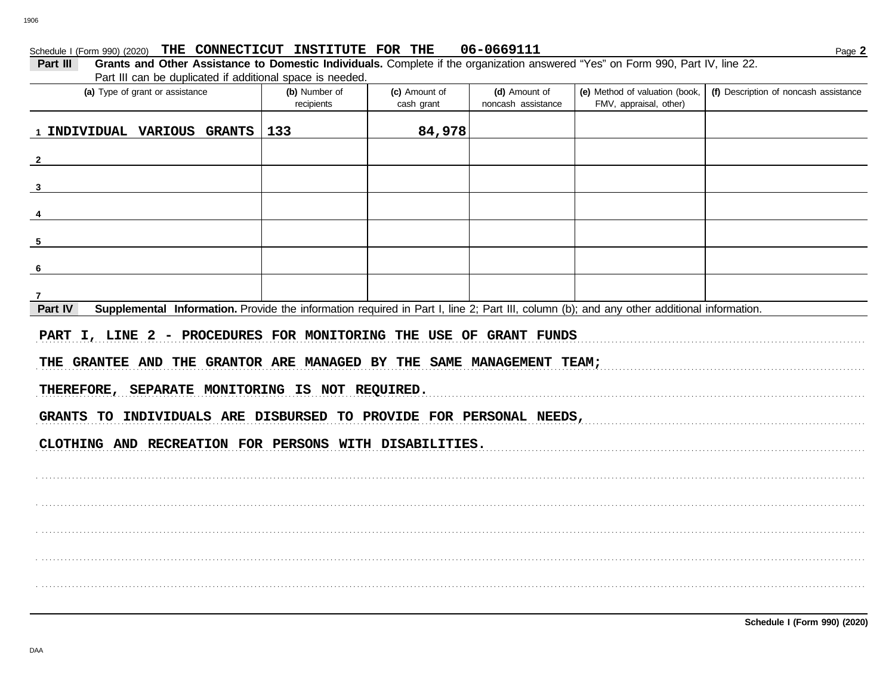#### 06-0669111 Schedule I (Form 990) (2020) THE CONNECTICUT INSTITUTE FOR THE

| Part III | Grants and Other Assistance to Domestic Individuals. Complete if the organization answered "Yes" on Form 990, Part IV, line 22. |  |  |
|----------|---------------------------------------------------------------------------------------------------------------------------------|--|--|
|          | Part III can be duplicated if additional space is needed.                                                                       |  |  |

| i art in oan bo daphodtod ir ddditional opdob io nobdod.<br>(a) Type of grant or assistance                                                                                                  | (b) Number of<br>recipients | (c) Amount of<br>cash grant | (d) Amount of<br>noncash assistance | (e) Method of valuation (book,<br>FMV, appraisal, other) | (f) Description of noncash assistance |
|----------------------------------------------------------------------------------------------------------------------------------------------------------------------------------------------|-----------------------------|-----------------------------|-------------------------------------|----------------------------------------------------------|---------------------------------------|
| 1 INDIVIDUAL VARIOUS GRANTS                                                                                                                                                                  | 133                         | 84,978                      |                                     |                                                          |                                       |
| $\overline{\mathbf{2}}$                                                                                                                                                                      |                             |                             |                                     |                                                          |                                       |
| $\mathbf{3}$                                                                                                                                                                                 |                             |                             |                                     |                                                          |                                       |
| 4                                                                                                                                                                                            |                             |                             |                                     |                                                          |                                       |
| 5                                                                                                                                                                                            |                             |                             |                                     |                                                          |                                       |
| 6                                                                                                                                                                                            |                             |                             |                                     |                                                          |                                       |
| $\mathbf{7}$                                                                                                                                                                                 |                             |                             |                                     |                                                          |                                       |
| Part IV<br>Supplemental Information. Provide the information required in Part I, line 2; Part III, column (b); and any other additional information.                                         |                             |                             |                                     |                                                          |                                       |
| PART I, LINE 2 - PROCEDURES FOR MONITORING THE USE OF GRANT FUNDS<br>THE GRANTEE AND THE GRANTOR ARE MANAGED BY THE SAME MANAGEMENT TEAM;<br>THEREFORE, SEPARATE MONITORING IS NOT REQUIRED. |                             |                             |                                     |                                                          |                                       |
| GRANTS TO INDIVIDUALS ARE DISBURSED TO PROVIDE FOR PERSONAL NEEDS,                                                                                                                           |                             |                             |                                     |                                                          |                                       |
| CLOTHING AND RECREATION FOR PERSONS WITH DISABILITIES.                                                                                                                                       |                             |                             |                                     |                                                          |                                       |
|                                                                                                                                                                                              |                             |                             |                                     |                                                          |                                       |
|                                                                                                                                                                                              |                             |                             |                                     |                                                          |                                       |
|                                                                                                                                                                                              |                             |                             |                                     |                                                          |                                       |
|                                                                                                                                                                                              |                             |                             |                                     |                                                          |                                       |

Page 2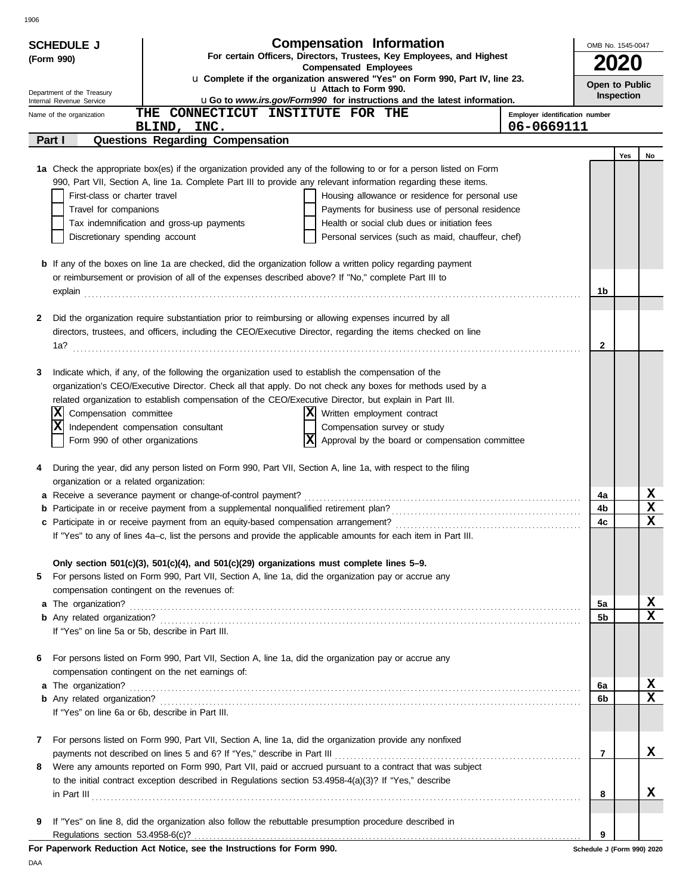| .,<br>. |
|---------|
|---------|

| <b>Compensation Information</b><br><b>SCHEDULE J</b> |                                                                                                                                                                                                                                |                                                                                                       |                                |              | OMB No. 1545-0047            |                         |  |  |  |  |
|------------------------------------------------------|--------------------------------------------------------------------------------------------------------------------------------------------------------------------------------------------------------------------------------|-------------------------------------------------------------------------------------------------------|--------------------------------|--------------|------------------------------|-------------------------|--|--|--|--|
| (Form 990)                                           |                                                                                                                                                                                                                                | For certain Officers, Directors, Trustees, Key Employees, and Highest<br><b>Compensated Employees</b> |                                |              | 2020                         |                         |  |  |  |  |
|                                                      |                                                                                                                                                                                                                                | u Complete if the organization answered "Yes" on Form 990, Part IV, line 23.                          |                                |              |                              |                         |  |  |  |  |
| Department of the Treasury                           |                                                                                                                                                                                                                                | u Attach to Form 990.                                                                                 |                                |              | Open to Public<br>Inspection |                         |  |  |  |  |
| Internal Revenue Service                             | THE CONNECTICUT INSTITUTE FOR THE                                                                                                                                                                                              | uGo to www.irs.gov/Form990 for instructions and the latest information.                               | Employer identification number |              |                              |                         |  |  |  |  |
| Name of the organization                             | BLIND, INC.                                                                                                                                                                                                                    |                                                                                                       | 06-0669111                     |              |                              |                         |  |  |  |  |
| Part I                                               | <b>Questions Regarding Compensation</b>                                                                                                                                                                                        |                                                                                                       |                                |              |                              |                         |  |  |  |  |
|                                                      |                                                                                                                                                                                                                                |                                                                                                       |                                |              | Yes                          | No                      |  |  |  |  |
|                                                      | 1a Check the appropriate box(es) if the organization provided any of the following to or for a person listed on Form                                                                                                           |                                                                                                       |                                |              |                              |                         |  |  |  |  |
|                                                      | 990, Part VII, Section A, line 1a. Complete Part III to provide any relevant information regarding these items.                                                                                                                |                                                                                                       |                                |              |                              |                         |  |  |  |  |
| First-class or charter travel                        |                                                                                                                                                                                                                                | Housing allowance or residence for personal use                                                       |                                |              |                              |                         |  |  |  |  |
| Travel for companions                                |                                                                                                                                                                                                                                | Payments for business use of personal residence                                                       |                                |              |                              |                         |  |  |  |  |
|                                                      | Tax indemnification and gross-up payments                                                                                                                                                                                      | Health or social club dues or initiation fees                                                         |                                |              |                              |                         |  |  |  |  |
|                                                      | Discretionary spending account<br>Personal services (such as maid, chauffeur, chef)                                                                                                                                            |                                                                                                       |                                |              |                              |                         |  |  |  |  |
|                                                      | <b>b</b> If any of the boxes on line 1a are checked, did the organization follow a written policy regarding payment                                                                                                            |                                                                                                       |                                |              |                              |                         |  |  |  |  |
|                                                      | or reimbursement or provision of all of the expenses described above? If "No," complete Part III to                                                                                                                            |                                                                                                       |                                |              |                              |                         |  |  |  |  |
|                                                      | explain 2000 contract to the contract of the contract of the contract of the contract of the contract of the contract of the contract of the contract of the contract of the contract of the contract of the contract of the c |                                                                                                       |                                | 1b           |                              |                         |  |  |  |  |
|                                                      |                                                                                                                                                                                                                                |                                                                                                       |                                |              |                              |                         |  |  |  |  |
| 2                                                    | Did the organization require substantiation prior to reimbursing or allowing expenses incurred by all                                                                                                                          |                                                                                                       |                                |              |                              |                         |  |  |  |  |
|                                                      | directors, trustees, and officers, including the CEO/Executive Director, regarding the items checked on line                                                                                                                   |                                                                                                       |                                |              |                              |                         |  |  |  |  |
|                                                      |                                                                                                                                                                                                                                |                                                                                                       |                                | $\mathbf{2}$ |                              |                         |  |  |  |  |
|                                                      |                                                                                                                                                                                                                                |                                                                                                       |                                |              |                              |                         |  |  |  |  |
| 3                                                    | Indicate which, if any, of the following the organization used to establish the compensation of the<br>organization's CEO/Executive Director. Check all that apply. Do not check any boxes for methods used by a               |                                                                                                       |                                |              |                              |                         |  |  |  |  |
|                                                      | related organization to establish compensation of the CEO/Executive Director, but explain in Part III.                                                                                                                         |                                                                                                       |                                |              |                              |                         |  |  |  |  |
| Compensation committee<br> X                         |                                                                                                                                                                                                                                | X Written employment contract                                                                         |                                |              |                              |                         |  |  |  |  |
| x                                                    | Independent compensation consultant                                                                                                                                                                                            | Compensation survey or study                                                                          |                                |              |                              |                         |  |  |  |  |
| Form 990 of other organizations                      | X                                                                                                                                                                                                                              | Approval by the board or compensation committee                                                       |                                |              |                              |                         |  |  |  |  |
|                                                      |                                                                                                                                                                                                                                |                                                                                                       |                                |              |                              |                         |  |  |  |  |
| 4                                                    | During the year, did any person listed on Form 990, Part VII, Section A, line 1a, with respect to the filing                                                                                                                   |                                                                                                       |                                |              |                              |                         |  |  |  |  |
| organization or a related organization:              |                                                                                                                                                                                                                                |                                                                                                       |                                |              |                              |                         |  |  |  |  |
|                                                      | a Receive a severance payment or change-of-control payment?                                                                                                                                                                    |                                                                                                       |                                | 4a           |                              | X<br>$\mathbf x$        |  |  |  |  |
|                                                      | <b>b</b> Participate in or receive payment from a supplemental nonqualified retirement plan?                                                                                                                                   |                                                                                                       |                                | 4b<br>4c     |                              | X                       |  |  |  |  |
|                                                      | If "Yes" to any of lines 4a-c, list the persons and provide the applicable amounts for each item in Part III.                                                                                                                  |                                                                                                       |                                |              |                              |                         |  |  |  |  |
|                                                      |                                                                                                                                                                                                                                |                                                                                                       |                                |              |                              |                         |  |  |  |  |
|                                                      | Only section $501(c)(3)$ , $501(c)(4)$ , and $501(c)(29)$ organizations must complete lines 5-9.                                                                                                                               |                                                                                                       |                                |              |                              |                         |  |  |  |  |
| 5                                                    | For persons listed on Form 990, Part VII, Section A, line 1a, did the organization pay or accrue any                                                                                                                           |                                                                                                       |                                |              |                              |                         |  |  |  |  |
|                                                      | compensation contingent on the revenues of:                                                                                                                                                                                    |                                                                                                       |                                |              |                              |                         |  |  |  |  |
|                                                      |                                                                                                                                                                                                                                |                                                                                                       |                                | 5а           |                              | $\frac{x}{x}$           |  |  |  |  |
|                                                      |                                                                                                                                                                                                                                |                                                                                                       |                                | 5b           |                              |                         |  |  |  |  |
| If "Yes" on line 5a or 5b, describe in Part III.     |                                                                                                                                                                                                                                |                                                                                                       |                                |              |                              |                         |  |  |  |  |
| 6                                                    | For persons listed on Form 990, Part VII, Section A, line 1a, did the organization pay or accrue any                                                                                                                           |                                                                                                       |                                |              |                              |                         |  |  |  |  |
|                                                      | compensation contingent on the net earnings of:                                                                                                                                                                                |                                                                                                       |                                |              |                              |                         |  |  |  |  |
| a The organization?                                  |                                                                                                                                                                                                                                |                                                                                                       |                                | 6a           |                              | X                       |  |  |  |  |
|                                                      |                                                                                                                                                                                                                                |                                                                                                       |                                | 6b           |                              | $\overline{\mathbf{x}}$ |  |  |  |  |
| If "Yes" on line 6a or 6b, describe in Part III.     |                                                                                                                                                                                                                                |                                                                                                       |                                |              |                              |                         |  |  |  |  |
|                                                      |                                                                                                                                                                                                                                |                                                                                                       |                                |              |                              |                         |  |  |  |  |
| 7                                                    | For persons listed on Form 990, Part VII, Section A, line 1a, did the organization provide any nonfixed                                                                                                                        |                                                                                                       |                                |              |                              |                         |  |  |  |  |
|                                                      | Were any amounts reported on Form 990, Part VII, paid or accrued pursuant to a contract that was subject                                                                                                                       |                                                                                                       |                                | 7            |                              | X                       |  |  |  |  |
| 8                                                    | to the initial contract exception described in Regulations section 53.4958-4(a)(3)? If "Yes," describe                                                                                                                         |                                                                                                       |                                |              |                              |                         |  |  |  |  |
|                                                      | $\ $ n Part III $\ $                                                                                                                                                                                                           |                                                                                                       |                                | 8            |                              | x                       |  |  |  |  |
|                                                      |                                                                                                                                                                                                                                |                                                                                                       |                                |              |                              |                         |  |  |  |  |
| 9                                                    | If "Yes" on line 8, did the organization also follow the rebuttable presumption procedure described in                                                                                                                         |                                                                                                       |                                |              |                              |                         |  |  |  |  |
|                                                      |                                                                                                                                                                                                                                |                                                                                                       |                                | 9            |                              |                         |  |  |  |  |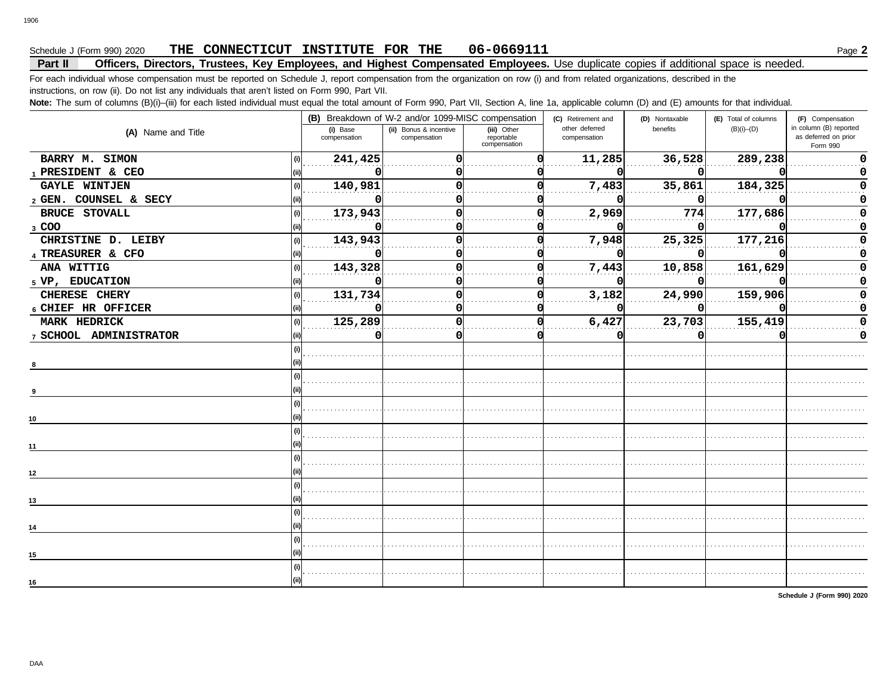## Schedule J (Form 990) 2020 **PHE CONNECTICUT INSTITUTE FOR THE 06-0669111** Page **2**

## **Part II Officers, Directors, Trustees, Key Employees, and Highest Compensated Employees.** Use duplicate copies if additional space is needed.

For each individual whose compensation must be reported on Schedule J, report compensation from the organization on row (i) and from related organizations, described in the instructions, on row (ii). Do not list any individuals that aren't listed on Form 990, Part VII.

Note: The sum of columns (B)(i)–(iii) for each listed individual must equal the total amount of Form 990, Part VII, Section A, line 1a, applicable column (D) and (E) amounts for that individual.

|                        |                          | (B) Breakdown of W-2 and/or 1099-MISC compensation |                                           | (C) Retirement and             | (D) Nontaxable | (E) Total of columns | (F) Compensation                                           |
|------------------------|--------------------------|----------------------------------------------------|-------------------------------------------|--------------------------------|----------------|----------------------|------------------------------------------------------------|
| (A) Name and Title     | (i) Base<br>compensation | (ii) Bonus & incentive<br>compensation             | (iii) Other<br>reportable<br>compensation | other deferred<br>compensation | benefits       | $(B)(i)$ – $(D)$     | in column (B) reported<br>as deferred on prior<br>Form 990 |
| BARRY M. SIMON         | 241,425                  |                                                    |                                           | 11,285                         | 36,528         | 289,238              | O                                                          |
| 1 PRESIDENT & CEO      |                          |                                                    |                                           |                                |                |                      |                                                            |
| <b>GAYLE WINTJEN</b>   | 140,981<br>(i)           |                                                    |                                           | 7,483                          | 35,861         | 184,325              |                                                            |
| 2 GEN. COUNSEL & SECY  |                          |                                                    |                                           |                                |                |                      |                                                            |
| <b>BRUCE STOVALL</b>   | 173,943<br>(i)           |                                                    |                                           | 2,969                          | 774            | 177,686              |                                                            |
| 3 COO                  |                          |                                                    |                                           |                                |                |                      |                                                            |
| CHRISTINE D. LEIBY     | 143,943<br>(i)           |                                                    |                                           | 7,948                          | 25,325         | 177,216              |                                                            |
| 4 TREASURER & CFO      |                          |                                                    |                                           |                                |                |                      |                                                            |
| ANA WITTIG             | 143,328<br>(i)           | n                                                  |                                           | 7,443                          | 10,858         | 161,629              |                                                            |
| 5 VP, EDUCATION        |                          |                                                    |                                           |                                |                |                      |                                                            |
| CHERESE CHERY          | 131,734<br>(i)           |                                                    |                                           | 3,182                          | 24,990         | 159,906              |                                                            |
| 6 CHIEF HR OFFICER     |                          |                                                    |                                           |                                |                |                      |                                                            |
| MARK HEDRICK           | 125,289                  |                                                    |                                           | 6,427                          | 23,703         | 155,419              |                                                            |
| 7 SCHOOL ADMINISTRATOR |                          |                                                    |                                           |                                |                |                      | 0                                                          |
|                        |                          |                                                    |                                           |                                |                |                      |                                                            |
|                        |                          |                                                    |                                           |                                |                |                      |                                                            |
|                        |                          |                                                    |                                           |                                |                |                      |                                                            |
|                        |                          |                                                    |                                           |                                |                |                      |                                                            |
|                        |                          |                                                    |                                           |                                |                |                      |                                                            |
| 10                     |                          |                                                    |                                           |                                |                |                      |                                                            |
|                        |                          |                                                    |                                           |                                |                |                      |                                                            |
| 11                     |                          |                                                    |                                           |                                |                |                      |                                                            |
|                        |                          |                                                    |                                           |                                |                |                      |                                                            |
| 12                     |                          |                                                    |                                           |                                |                |                      |                                                            |
|                        |                          |                                                    |                                           |                                |                |                      |                                                            |
| 13                     |                          |                                                    |                                           |                                |                |                      |                                                            |
|                        |                          |                                                    |                                           |                                |                |                      |                                                            |
|                        |                          |                                                    |                                           |                                |                |                      |                                                            |
|                        |                          |                                                    |                                           |                                |                |                      |                                                            |
| 15                     |                          |                                                    |                                           |                                |                |                      |                                                            |
|                        |                          |                                                    |                                           |                                |                |                      |                                                            |
| 16                     |                          |                                                    |                                           |                                |                |                      |                                                            |
|                        |                          |                                                    |                                           |                                |                |                      |                                                            |

**Schedule J (Form 990) 2020**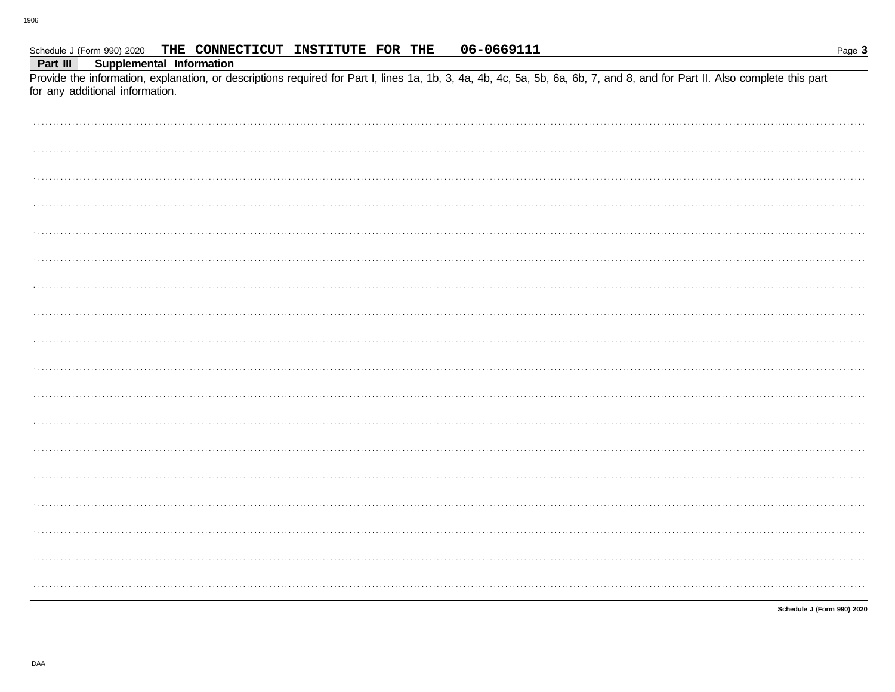Schedule J (Form 990) 2020

| Part III<br><b>Supplemental Information</b>                                                                                                                                                                   |
|---------------------------------------------------------------------------------------------------------------------------------------------------------------------------------------------------------------|
| Provide the information, explanation, or descriptions required for Part I, lines 1a, 1b, 3, 4a, 4b, 4c, 5a, 5b, 6a, 6b, 7, and 8, and for Part II. Also complete this part<br>for any additional information. |
|                                                                                                                                                                                                               |
|                                                                                                                                                                                                               |
|                                                                                                                                                                                                               |
|                                                                                                                                                                                                               |
|                                                                                                                                                                                                               |
|                                                                                                                                                                                                               |
|                                                                                                                                                                                                               |
|                                                                                                                                                                                                               |
|                                                                                                                                                                                                               |
|                                                                                                                                                                                                               |
|                                                                                                                                                                                                               |
|                                                                                                                                                                                                               |
|                                                                                                                                                                                                               |
|                                                                                                                                                                                                               |
|                                                                                                                                                                                                               |
|                                                                                                                                                                                                               |
|                                                                                                                                                                                                               |
|                                                                                                                                                                                                               |
|                                                                                                                                                                                                               |
|                                                                                                                                                                                                               |

06-0669111

THE CONNECTICUT INSTITUTE FOR THE

Schedule J (Form 990) 2020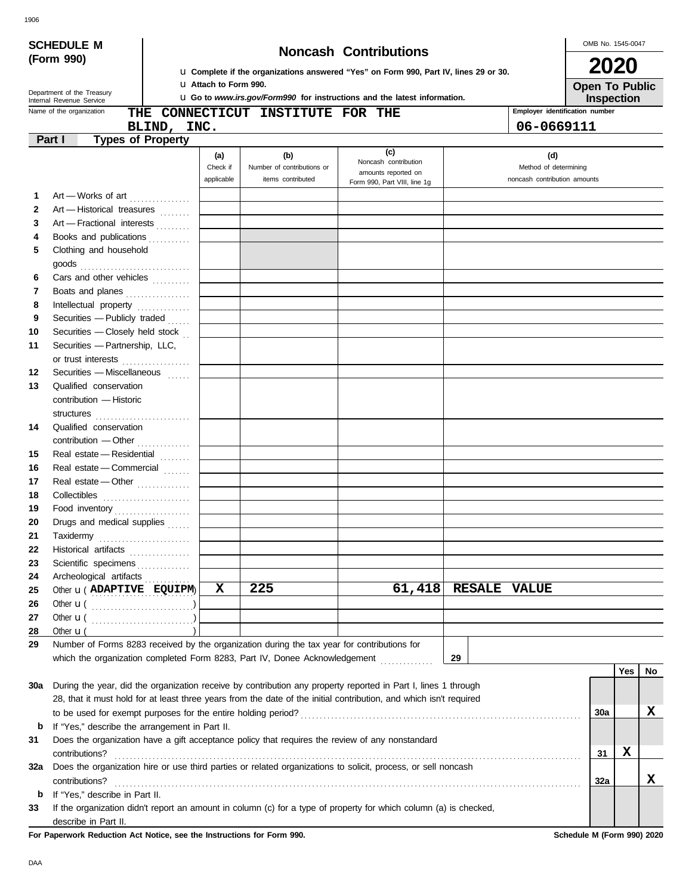|                                                                                                                                               |                                                                         |             |            |                                                                                             | La Complete if the organizations answered "Yes" on Form 990, Part IV, lines 29 or 30.                              |                              | ZUZU                                         |     |    |
|-----------------------------------------------------------------------------------------------------------------------------------------------|-------------------------------------------------------------------------|-------------|------------|---------------------------------------------------------------------------------------------|--------------------------------------------------------------------------------------------------------------------|------------------------------|----------------------------------------------|-----|----|
| <b>U</b> Attach to Form 990.<br>Department of the Treasury<br><b>u</b> Go to www.irs.gov/Form990 for instructions and the latest information. |                                                                         |             |            |                                                                                             |                                                                                                                    |                              | <b>Open To Public</b>                        |     |    |
|                                                                                                                                               | Internal Revenue Service<br>Name of the organization                    |             |            | THE CONNECTICUT INSTITUTE FOR THE                                                           |                                                                                                                    |                              | Inspection<br>Employer identification number |     |    |
|                                                                                                                                               |                                                                         | BLIND, INC. |            |                                                                                             |                                                                                                                    | 06-0669111                   |                                              |     |    |
|                                                                                                                                               | Part I<br><b>Types of Property</b>                                      |             |            |                                                                                             |                                                                                                                    |                              |                                              |     |    |
|                                                                                                                                               |                                                                         |             | (a)        | (b)                                                                                         | (c)                                                                                                                | (d)                          |                                              |     |    |
|                                                                                                                                               |                                                                         |             | Check if   | Number of contributions or                                                                  | Noncash contribution<br>amounts reported on                                                                        | Method of determining        |                                              |     |    |
|                                                                                                                                               |                                                                         |             | applicable | items contributed                                                                           | Form 990, Part VIII, line 1g                                                                                       | noncash contribution amounts |                                              |     |    |
| 1                                                                                                                                             | Art - Works of art                                                      |             |            |                                                                                             |                                                                                                                    |                              |                                              |     |    |
| $\mathbf{2}$                                                                                                                                  | Art - Historical treasures                                              |             |            |                                                                                             |                                                                                                                    |                              |                                              |     |    |
| 3                                                                                                                                             | Art - Fractional interests                                              |             |            |                                                                                             |                                                                                                                    |                              |                                              |     |    |
| 4                                                                                                                                             | Books and publications                                                  |             |            |                                                                                             |                                                                                                                    |                              |                                              |     |    |
| 5                                                                                                                                             | Clothing and household                                                  |             |            |                                                                                             |                                                                                                                    |                              |                                              |     |    |
| 6                                                                                                                                             | $\mathsf{goods}\xrightarrow{\hspace{0.5cm}}$<br>Cars and other vehicles |             |            |                                                                                             |                                                                                                                    |                              |                                              |     |    |
| 7                                                                                                                                             | Boats and planes                                                        |             |            |                                                                                             |                                                                                                                    |                              |                                              |     |    |
| 8                                                                                                                                             | Intellectual property                                                   |             |            |                                                                                             |                                                                                                                    |                              |                                              |     |    |
| 9                                                                                                                                             | Securities - Publicly traded                                            |             |            |                                                                                             |                                                                                                                    |                              |                                              |     |    |
| 10                                                                                                                                            | Securities - Closely held stock                                         |             |            |                                                                                             |                                                                                                                    |                              |                                              |     |    |
| 11                                                                                                                                            | Securities - Partnership, LLC,                                          |             |            |                                                                                             |                                                                                                                    |                              |                                              |     |    |
|                                                                                                                                               | or trust interests                                                      |             |            |                                                                                             |                                                                                                                    |                              |                                              |     |    |
| 12                                                                                                                                            | Securities - Miscellaneous                                              |             |            |                                                                                             |                                                                                                                    |                              |                                              |     |    |
| 13                                                                                                                                            | Qualified conservation                                                  |             |            |                                                                                             |                                                                                                                    |                              |                                              |     |    |
|                                                                                                                                               | contribution - Historic                                                 |             |            |                                                                                             |                                                                                                                    |                              |                                              |     |    |
|                                                                                                                                               |                                                                         |             |            |                                                                                             |                                                                                                                    |                              |                                              |     |    |
| 14                                                                                                                                            | Qualified conservation                                                  |             |            |                                                                                             |                                                                                                                    |                              |                                              |     |    |
|                                                                                                                                               | contribution - Other                                                    |             |            |                                                                                             |                                                                                                                    |                              |                                              |     |    |
| 15                                                                                                                                            | Real estate - Residential                                               |             |            |                                                                                             |                                                                                                                    |                              |                                              |     |    |
| 16                                                                                                                                            | Real estate - Commercial                                                |             |            |                                                                                             |                                                                                                                    |                              |                                              |     |    |
| 17                                                                                                                                            | Real estate - Other                                                     |             |            |                                                                                             |                                                                                                                    |                              |                                              |     |    |
| 18                                                                                                                                            |                                                                         |             |            |                                                                                             |                                                                                                                    |                              |                                              |     |    |
| 19                                                                                                                                            |                                                                         |             |            |                                                                                             |                                                                                                                    |                              |                                              |     |    |
| 20                                                                                                                                            | Drugs and medical supplies                                              |             |            |                                                                                             |                                                                                                                    |                              |                                              |     |    |
| 21                                                                                                                                            |                                                                         |             |            |                                                                                             |                                                                                                                    |                              |                                              |     |    |
| 22                                                                                                                                            | Historical artifacts                                                    |             |            |                                                                                             |                                                                                                                    |                              |                                              |     |    |
| 23                                                                                                                                            | Scientific specimens                                                    |             |            |                                                                                             |                                                                                                                    |                              |                                              |     |    |
| 24                                                                                                                                            | Archeological artifacts                                                 |             |            |                                                                                             |                                                                                                                    |                              |                                              |     |    |
| 25                                                                                                                                            | Other <b>u</b> ( ADAPTIVE EQUIPM)                                       |             | X          | 225                                                                                         | 61,418                                                                                                             | <b>RESALE VALUE</b>          |                                              |     |    |
| 26                                                                                                                                            |                                                                         |             |            |                                                                                             |                                                                                                                    |                              |                                              |     |    |
| 27                                                                                                                                            |                                                                         |             |            |                                                                                             |                                                                                                                    |                              |                                              |     |    |
| 28                                                                                                                                            | Other $\mathbf{u}$ (                                                    |             |            |                                                                                             |                                                                                                                    |                              |                                              |     |    |
| 29                                                                                                                                            |                                                                         |             |            | Number of Forms 8283 received by the organization during the tax year for contributions for |                                                                                                                    |                              |                                              |     |    |
|                                                                                                                                               |                                                                         |             |            |                                                                                             | which the organization completed Form 8283, Part IV, Donee Acknowledgement [                                       | 29                           |                                              |     |    |
|                                                                                                                                               |                                                                         |             |            |                                                                                             |                                                                                                                    |                              |                                              | Yes | No |
| 30a                                                                                                                                           |                                                                         |             |            |                                                                                             | During the year, did the organization receive by contribution any property reported in Part I, lines 1 through     |                              |                                              |     |    |
|                                                                                                                                               |                                                                         |             |            |                                                                                             | 28, that it must hold for at least three years from the date of the initial contribution, and which isn't required |                              |                                              |     |    |
|                                                                                                                                               |                                                                         |             |            |                                                                                             |                                                                                                                    |                              | 30a                                          |     | х  |
| b                                                                                                                                             | If "Yes," describe the arrangement in Part II.                          |             |            |                                                                                             |                                                                                                                    |                              |                                              |     |    |
| 31                                                                                                                                            |                                                                         |             |            |                                                                                             | Does the organization have a gift acceptance policy that requires the review of any nonstandard                    |                              |                                              |     |    |
|                                                                                                                                               | contributions?                                                          |             |            |                                                                                             |                                                                                                                    |                              | 31                                           | X   |    |
| 32a                                                                                                                                           | contributions?                                                          |             |            |                                                                                             | Does the organization hire or use third parties or related organizations to solicit, process, or sell noncash      |                              | 32a                                          |     | X  |
| b                                                                                                                                             | If "Yes," describe in Part II.                                          |             |            |                                                                                             |                                                                                                                    |                              |                                              |     |    |
| 33                                                                                                                                            |                                                                         |             |            |                                                                                             | If the organization didn't report an amount in column (c) for a type of property for which column (a) is checked,  |                              |                                              |     |    |

describe in Part II.

DAA

**For Paperwork Reduction Act Notice, see the Instructions for Form 990. Schedule M (Form 990) 2020**

**(Form 990)**

**SCHEDULE M Noncash Contributions**

## OMB No. 1545-0047

| <b>2020</b>   |  |  |
|---------------|--|--|
| Onan To Puhli |  |  |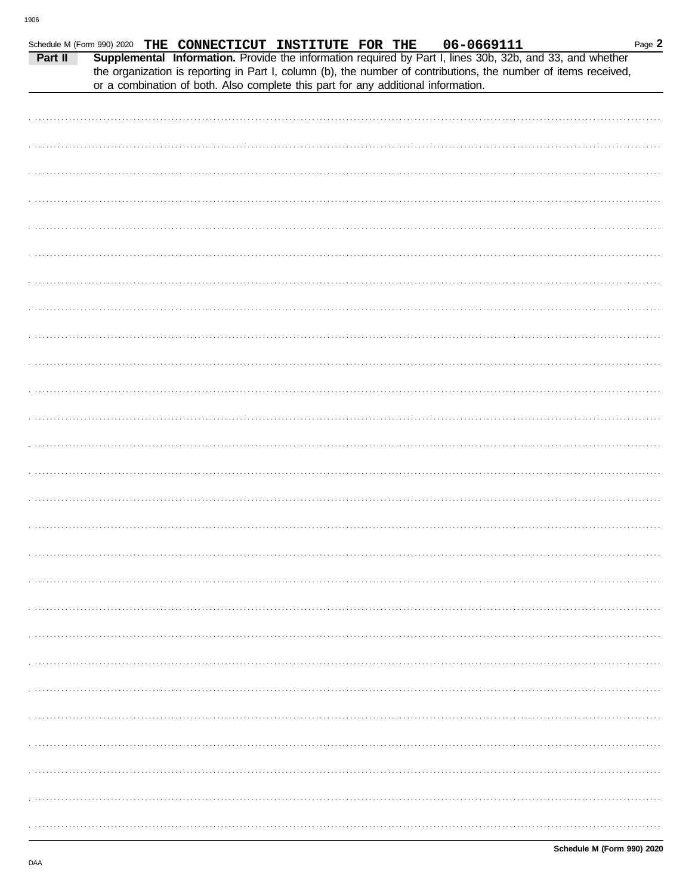| Part II | Schedule M (Form 990) 2020 THE CONNECTICUT INSTITUTE FOR THE                      |  | 06-0669111<br>Supplemental Information. Provide the information required by Part I, lines 30b, 32b, and 33, and whether | Page 2 |
|---------|-----------------------------------------------------------------------------------|--|-------------------------------------------------------------------------------------------------------------------------|--------|
|         | or a combination of both. Also complete this part for any additional information. |  | the organization is reporting in Part I, column (b), the number of contributions, the number of items received,         |        |
|         |                                                                                   |  |                                                                                                                         |        |
|         |                                                                                   |  |                                                                                                                         |        |
|         |                                                                                   |  |                                                                                                                         |        |
|         |                                                                                   |  |                                                                                                                         |        |
|         |                                                                                   |  |                                                                                                                         |        |
|         |                                                                                   |  |                                                                                                                         |        |
|         |                                                                                   |  |                                                                                                                         |        |
|         |                                                                                   |  |                                                                                                                         |        |
|         |                                                                                   |  |                                                                                                                         |        |
|         |                                                                                   |  |                                                                                                                         |        |
|         |                                                                                   |  |                                                                                                                         |        |
|         |                                                                                   |  |                                                                                                                         |        |
|         |                                                                                   |  |                                                                                                                         |        |
|         |                                                                                   |  |                                                                                                                         |        |
|         |                                                                                   |  |                                                                                                                         |        |
|         |                                                                                   |  |                                                                                                                         |        |
|         |                                                                                   |  |                                                                                                                         |        |
|         |                                                                                   |  |                                                                                                                         |        |
|         |                                                                                   |  |                                                                                                                         |        |
|         |                                                                                   |  |                                                                                                                         |        |
|         |                                                                                   |  |                                                                                                                         |        |
|         |                                                                                   |  |                                                                                                                         |        |
|         |                                                                                   |  |                                                                                                                         |        |
|         |                                                                                   |  |                                                                                                                         |        |
|         |                                                                                   |  |                                                                                                                         |        |
|         |                                                                                   |  |                                                                                                                         |        |
|         |                                                                                   |  |                                                                                                                         |        |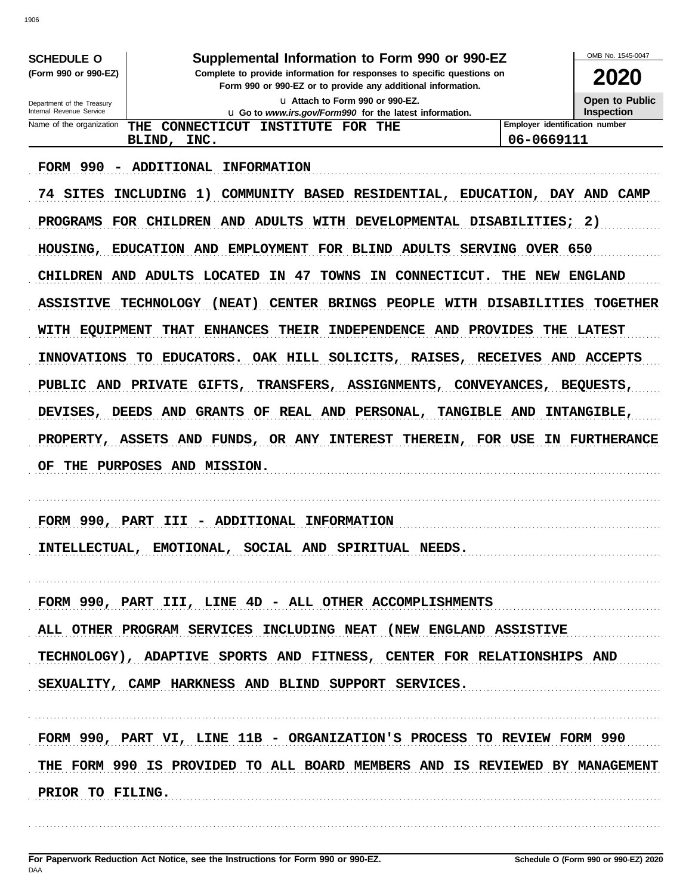|                                                        |                                                                                                                          |                                | OMB No. 1545-0047  |
|--------------------------------------------------------|--------------------------------------------------------------------------------------------------------------------------|--------------------------------|--------------------|
| <b>SCHEDULE O</b><br>(Form 990 or 990-EZ)              | Supplemental Information to Form 990 or 990-EZ<br>Complete to provide information for responses to specific questions on |                                | 2020               |
|                                                        | Form 990 or 990-EZ or to provide any additional information.<br>La Attach to Form 990 or 990-EZ.                         |                                | Open to Public     |
| Department of the Treasury<br>Internal Revenue Service | u Go to www.irs.gov/Form990 for the latest information.                                                                  |                                | <b>Inspection</b>  |
| Name of the organization                               | CONNECTICUT<br>THE<br>INSTITUTE FOR THE                                                                                  | Employer identification number |                    |
|                                                        | BLIND,<br>INC.                                                                                                           | 06-0669111                     |                    |
| <b>FORM 990</b>                                        | ADDITIONAL<br><b>INFORMATION</b>                                                                                         |                                |                    |
| SITES<br>74                                            | INCLUDING<br>1)<br>COMMUNITY BASED RESIDENTIAL,<br>EDUCATION,                                                            |                                | DAY AND CAMP       |
| <b>PROGRAMS</b>                                        | FOR CHILDREN AND<br>ADULTS<br><b>WITH</b><br>DEVELOPMENTAL DISABILITIES;                                                 |                                | - 2)               |
| HOUSING,                                               | EDUCATION AND<br><b>EMPLOYMENT</b><br>FOR BLIND ADULTS                                                                   | SERVING OVER 650               |                    |
| CHILDREN AND ADULTS                                    | IN 47<br>TOWNS<br><b>LOCATED</b><br>IN CONNECTICUT.                                                                      | NEW<br>THE                     | <b>ENGLAND</b>     |
| <b>ASSISTIVE</b>                                       | <b>TECHNOLOGY</b><br>(NEAT)<br><b>CENTER</b><br><b>BRINGS</b><br>PEOPLE<br><b>WITH</b>                                   | <b>DISABILITIES</b>            | <b>TOGETHER</b>    |
| <b>WITH</b><br><b>EOUIPMENT</b>                        | <b>THAT</b><br><b>ENHANCES</b><br><b>THEIR</b><br>INDEPENDENCE AND<br><b>PROVIDES</b>                                    | THE                            | <b>LATEST</b>      |
| <b>INNOVATIONS</b>                                     | <b>EDUCATORS.</b><br>OAK HILL SOLICITS,<br><b>RAISES,</b><br>TO .                                                        | <b>RECEIVES</b><br>AND         | <b>ACCEPTS</b>     |
| PUBLIC AND                                             | PRIVATE GIFTS,<br><b>TRANSFERS,</b><br>ASSIGNMENTS,                                                                      | CONVEYANCES,                   | <b>BEOUESTS,</b>   |
| <b>DEVISES,</b>                                        | <b>AND</b><br><b>GRANTS</b><br>REAL AND PERSONAL,<br>TANGIBLE AND<br><b>DEEDS</b><br>OF                                  |                                | <b>INTANGIBLE,</b> |
| <b>PROPERTY,</b>                                       | <b>ASSETS</b><br>AND FUNDS,<br><b>OR ANY INTEREST</b><br>THEREIN,                                                        | FOR USE                        | IN FURTHERANCE     |
| OF<br>THE                                              | PURPOSES AND MISSION.                                                                                                    |                                |                    |
|                                                        |                                                                                                                          |                                |                    |
| FORM 990,                                              | <b>PART</b><br><b>ADDITIONAL</b><br><b>INFORMATION</b><br>III                                                            |                                |                    |
|                                                        | INTELLECTUAL, EMOTIONAL, SOCIAL AND SPIRITUAL NEEDS.                                                                     |                                |                    |
|                                                        |                                                                                                                          |                                |                    |
|                                                        | FORM 990, PART III, LINE 4D - ALL OTHER ACCOMPLISHMENTS                                                                  |                                |                    |
|                                                        | ALL OTHER PROGRAM SERVICES INCLUDING NEAT (NEW ENGLAND ASSISTIVE                                                         |                                |                    |
|                                                        | TECHNOLOGY), ADAPTIVE SPORTS AND FITNESS, CENTER FOR RELATIONSHIPS AND                                                   |                                |                    |
|                                                        | SEXUALITY, CAMP HARKNESS AND BLIND SUPPORT SERVICES.                                                                     |                                |                    |
|                                                        |                                                                                                                          |                                |                    |
|                                                        | FORM 990, PART VI, LINE 11B - ORGANIZATION'S PROCESS TO REVIEW FORM 990                                                  |                                |                    |
|                                                        | THE FORM 990 IS PROVIDED TO ALL BOARD MEMBERS AND IS REVIEWED BY MANAGEMENT                                              |                                |                    |
| PRIOR TO FILING.                                       |                                                                                                                          |                                |                    |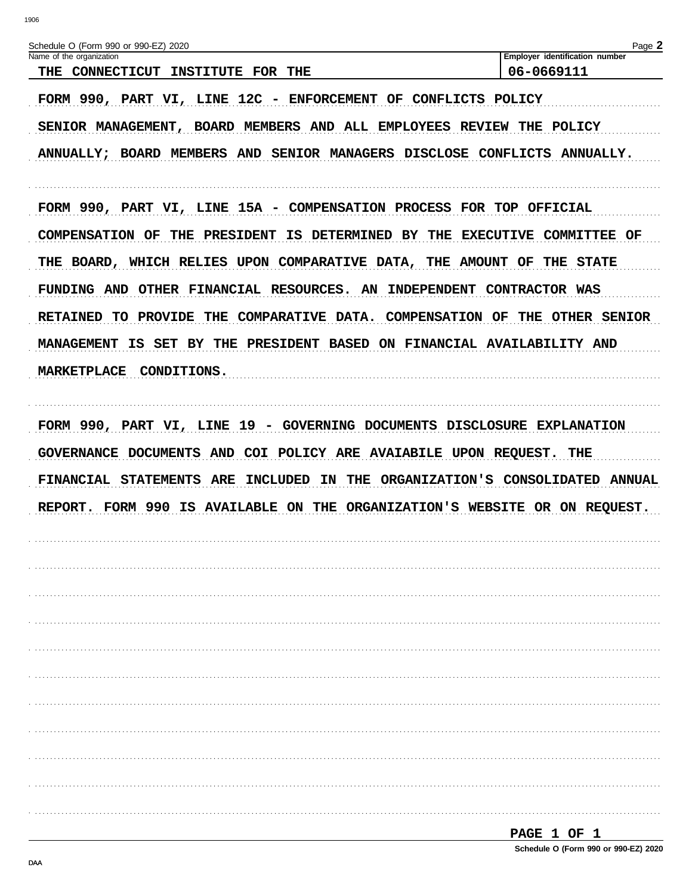| Schedule O (Form 990 or 990-EZ) 2020                                                                                                                                                                                                   | Page 2                         |
|----------------------------------------------------------------------------------------------------------------------------------------------------------------------------------------------------------------------------------------|--------------------------------|
| Name of the organization                                                                                                                                                                                                               | Employer identification number |
| THE CONNECTICUT INSTITUTE FOR THE                                                                                                                                                                                                      | 06-0669111                     |
| FORM 990, PART VI, LINE 12C - ENFORCEMENT OF CONFLICTS POLICY                                                                                                                                                                          |                                |
| SENIOR MANAGEMENT, BOARD MEMBERS AND ALL EMPLOYEES REVIEW                                                                                                                                                                              | THE<br><b>POLICY</b>           |
| ANNUALLY; BOARD MEMBERS AND SENIOR MANAGERS DISCLOSE CONFLICTS ANNUALLY.                                                                                                                                                               |                                |
| FORM 990, PART VI, LINE 15A - COMPENSATION PROCESS FOR TOP OFFICIAL                                                                                                                                                                    |                                |
| <b>IS DETERMINED BY</b><br>THE<br><b>COMPENSATION OF</b><br>THE PRESIDENT                                                                                                                                                              | EXECUTIVE COMMITTEE OF         |
| THE BOARD, WHICH RELIES UPON COMPARATIVE DATA, THE AMOUNT OF                                                                                                                                                                           | THE<br><b>STATE</b>            |
| FUNDING AND OTHER FINANCIAL RESOURCES. AN INDEPENDENT CONTRACTOR WAS                                                                                                                                                                   |                                |
| RETAINED TO PROVIDE THE COMPARATIVE DATA. COMPENSATION OF                                                                                                                                                                              | THE OTHER SENIOR               |
| IS SET<br>BY THE PRESIDENT BASED ON FINANCIAL AVAILABILITY AND<br>MANAGEMENT                                                                                                                                                           |                                |
| <b>MARKETPLACE</b><br><b>CONDITIONS.</b>                                                                                                                                                                                               |                                |
| GOVERNANCE DOCUMENTS AND COI POLICY ARE AVAIABILE UPON REQUEST. THE<br>FINANCIAL STATEMENTS ARE<br>INCLUDED<br>IN THE ORGANIZATION'S CONSOLIDATED ANNUAL<br>REPORT. FORM 990 IS AVAILABLE ON THE ORGANIZATION'S WEBSITE OR ON REQUEST. |                                |
|                                                                                                                                                                                                                                        |                                |
|                                                                                                                                                                                                                                        |                                |
|                                                                                                                                                                                                                                        |                                |
|                                                                                                                                                                                                                                        |                                |
|                                                                                                                                                                                                                                        |                                |
|                                                                                                                                                                                                                                        |                                |
|                                                                                                                                                                                                                                        |                                |
|                                                                                                                                                                                                                                        |                                |
|                                                                                                                                                                                                                                        |                                |
|                                                                                                                                                                                                                                        |                                |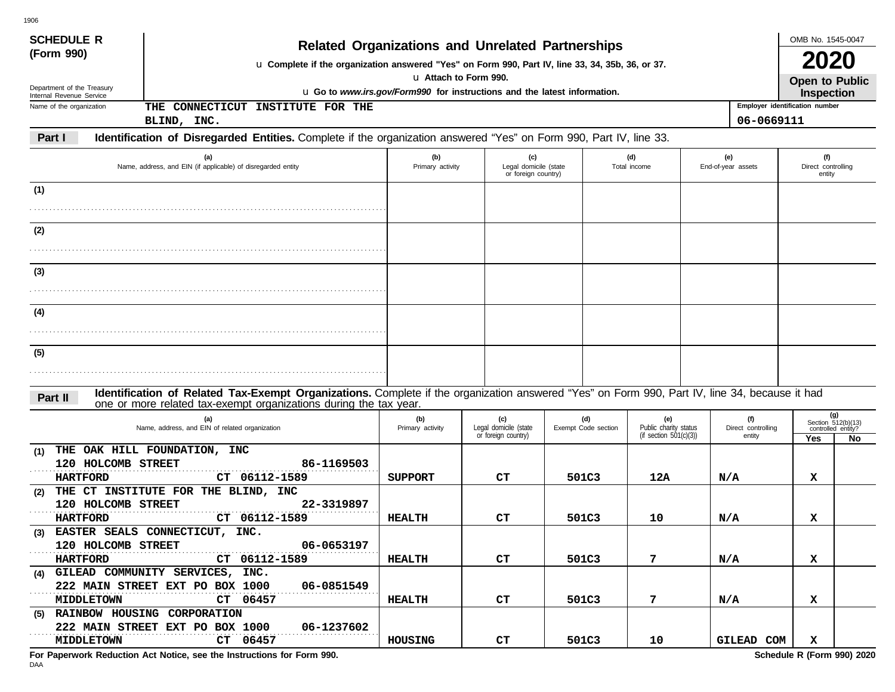| <b>SCHEDULE R</b>                                      |                                                                                                                                                                                                                    |                         |                                                     |  |                            |                                                           |     |                                     | OMB No. 1545-0047                                      |                              |
|--------------------------------------------------------|--------------------------------------------------------------------------------------------------------------------------------------------------------------------------------------------------------------------|-------------------------|-----------------------------------------------------|--|----------------------------|-----------------------------------------------------------|-----|-------------------------------------|--------------------------------------------------------|------------------------------|
| (Form 990)                                             | <b>Related Organizations and Unrelated Partnerships</b><br>u Complete if the organization answered "Yes" on Form 990, Part IV, line 33, 34, 35b, 36, or 37.                                                        |                         |                                                     |  |                            |                                                           |     |                                     |                                                        |                              |
| Department of the Treasury<br>Internal Revenue Service | u Attach to Form 990.<br>u Go to www.irs.gov/Form990 for instructions and the latest information.                                                                                                                  |                         |                                                     |  |                            |                                                           |     |                                     |                                                        | Open to Public<br>Inspection |
| Name of the organization                               | THE CONNECTICUT INSTITUTE FOR THE                                                                                                                                                                                  |                         |                                                     |  |                            |                                                           |     | Employer identification number      |                                                        |                              |
|                                                        | BLIND, INC.                                                                                                                                                                                                        |                         |                                                     |  |                            |                                                           |     | 06-0669111                          |                                                        |                              |
| Part I                                                 | Identification of Disregarded Entities. Complete if the organization answered "Yes" on Form 990, Part IV, line 33.                                                                                                 |                         |                                                     |  |                            |                                                           |     |                                     |                                                        |                              |
|                                                        | (a)<br>Name, address, and EIN (if applicable) of disregarded entity                                                                                                                                                | (b)<br>Primary activity | (c)<br>Legal domicile (state<br>or foreign country) |  |                            | (d)<br>Total income                                       |     | (e)<br>End-of-year assets           | (f)<br>Direct controlling<br>entity                    |                              |
| (1)                                                    |                                                                                                                                                                                                                    |                         |                                                     |  |                            |                                                           |     |                                     |                                                        |                              |
|                                                        |                                                                                                                                                                                                                    |                         |                                                     |  |                            |                                                           |     |                                     |                                                        |                              |
| (2)                                                    |                                                                                                                                                                                                                    |                         |                                                     |  |                            |                                                           |     |                                     |                                                        |                              |
|                                                        |                                                                                                                                                                                                                    |                         |                                                     |  |                            |                                                           |     |                                     |                                                        |                              |
|                                                        |                                                                                                                                                                                                                    |                         |                                                     |  |                            |                                                           |     |                                     |                                                        |                              |
| (3)                                                    |                                                                                                                                                                                                                    |                         |                                                     |  |                            |                                                           |     |                                     |                                                        |                              |
|                                                        |                                                                                                                                                                                                                    |                         |                                                     |  |                            |                                                           |     |                                     |                                                        |                              |
| (4)                                                    |                                                                                                                                                                                                                    |                         |                                                     |  |                            |                                                           |     |                                     |                                                        |                              |
|                                                        |                                                                                                                                                                                                                    |                         |                                                     |  |                            |                                                           |     |                                     |                                                        |                              |
| (5)                                                    |                                                                                                                                                                                                                    |                         |                                                     |  |                            |                                                           |     |                                     |                                                        |                              |
|                                                        |                                                                                                                                                                                                                    |                         |                                                     |  |                            |                                                           |     |                                     |                                                        |                              |
|                                                        |                                                                                                                                                                                                                    |                         |                                                     |  |                            |                                                           |     |                                     |                                                        |                              |
| Part II                                                | Identification of Related Tax-Exempt Organizations. Complete if the organization answered "Yes" on Form 990, Part IV, line 34, because it had<br>one or more related tax-exempt organizations during the tax year. |                         |                                                     |  |                            |                                                           |     |                                     |                                                        |                              |
|                                                        | (a)<br>Name, address, and EIN of related organization                                                                                                                                                              | (b)<br>Primary activity | (c)<br>Legal domicile (state<br>or foreign country) |  | (d)<br>Exempt Code section | (e)<br>Public charity status<br>(if section $501(c)(3)$ ) |     | (f)<br>Direct controlling<br>entity | (g)<br>Section 512(b)(13)<br>controlled entity?<br>Yes | No                           |
| (1)                                                    | THE OAK HILL FOUNDATION, INC                                                                                                                                                                                       |                         |                                                     |  |                            |                                                           |     |                                     |                                                        |                              |
| 120 HOLCOMB STREET<br><b>HARTFORD</b>                  | 86-1169503<br>CT 06112-1589                                                                                                                                                                                        | <b>SUPPORT</b>          | CТ                                                  |  | 501C3                      | 12A                                                       | N/A |                                     | x                                                      |                              |
| (2)                                                    | THE CT INSTITUTE FOR THE BLIND, INC                                                                                                                                                                                |                         |                                                     |  |                            |                                                           |     |                                     |                                                        |                              |
| 120 HOLCOMB STREET                                     | 22-3319897                                                                                                                                                                                                         |                         |                                                     |  |                            |                                                           |     |                                     |                                                        |                              |
| <b>HARTFORD</b>                                        | CT 06112-1589                                                                                                                                                                                                      | <b>HEALTH</b>           | CТ                                                  |  | 501C3                      | 10                                                        |     | N/A                                 | x                                                      |                              |
| 120 HOLCOMB STREET                                     | (3) EASTER SEALS CONNECTICUT, INC.<br>06-0653197                                                                                                                                                                   |                         |                                                     |  |                            |                                                           |     |                                     |                                                        |                              |
| .<br><b>HARTFORD</b>                                   | CT 06112-1589                                                                                                                                                                                                      | <b>HEALTH</b>           | CT.                                                 |  | 501C3                      | 7                                                         |     | N/A                                 | x                                                      |                              |
|                                                        | (4) GILEAD COMMUNITY SERVICES, INC.                                                                                                                                                                                |                         |                                                     |  |                            |                                                           |     |                                     |                                                        |                              |
| .                                                      | 222 MAIN STREET EXT PO BOX 1000<br>06-0851549                                                                                                                                                                      |                         |                                                     |  |                            |                                                           |     |                                     |                                                        |                              |
| <b>MIDDLETOWN</b><br>(5) RAINBOW HOUSING CORPORATION   | CT 06457                                                                                                                                                                                                           | <b>HEALTH</b>           | CT                                                  |  | 501C3                      | 7                                                         |     | N/A                                 | x                                                      |                              |
|                                                        | 222 MAIN STREET EXT PO BOX 1000<br>06-1237602                                                                                                                                                                      |                         |                                                     |  |                            |                                                           |     |                                     |                                                        |                              |
| <b>MIDDLETOWN</b>                                      | CT 06457                                                                                                                                                                                                           | HOUSING                 | CT                                                  |  | 501C3                      | 10                                                        |     | <b>GILEAD COM</b>                   | x                                                      |                              |

**For Paperwork Reduction Act Notice, see the Instructions for Form 990. Schedule R (Form 990) 2020**

1906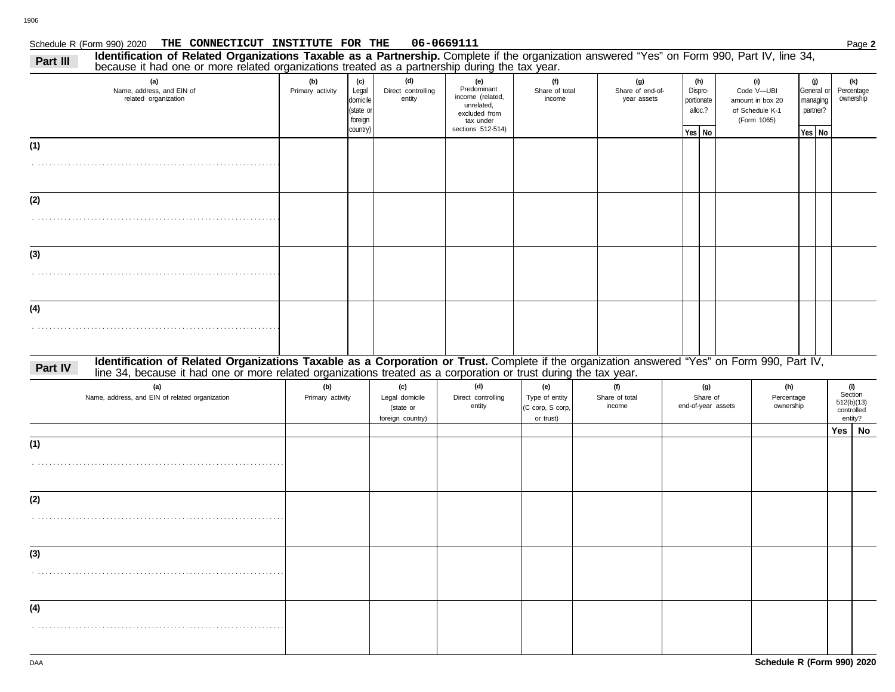## Schedule R (Form 990) 2020 Page **2 THE CONNECTICUT INSTITUTE FOR THE 06-0669111**

| Identification of Related Organizations Taxable as a Partnership. Complete if the organization answered "Yes" on Form 990, Part IV, line 34,<br>Part III<br>because it had one or more related organizations treated as a partnership during the tax year.                  |                         |                                                              |                                                        |                                                                                                         |                                                        |                                        |                                                   |                    |                                                                         |                                       |            |                                                       |  |
|-----------------------------------------------------------------------------------------------------------------------------------------------------------------------------------------------------------------------------------------------------------------------------|-------------------------|--------------------------------------------------------------|--------------------------------------------------------|---------------------------------------------------------------------------------------------------------|--------------------------------------------------------|----------------------------------------|---------------------------------------------------|--------------------|-------------------------------------------------------------------------|---------------------------------------|------------|-------------------------------------------------------|--|
| (a)<br>Name, address, and EIN of<br>related organization                                                                                                                                                                                                                    | (b)<br>Primary activity | (c)<br>Legal<br>domicile<br>(state or<br>foreign<br>country) | (d)<br>Direct controlling<br>entity                    | (e)<br>Predominant<br>income (related,<br>unrelated,<br>excluded from<br>tax under<br>sections 512-514) | (f)<br>Share of total<br>income                        | (g)<br>Share of end-of-<br>year assets | (h)<br>Dispro-<br>portionate<br>alloc.?<br>Yes No |                    | (i)<br>Code V-UBI<br>amount in box 20<br>of Schedule K-1<br>(Form 1065) | (j)<br>managing<br>partner?<br>Yes No | General or | (k)<br>Percentage<br>ownership                        |  |
| (1)                                                                                                                                                                                                                                                                         |                         |                                                              |                                                        |                                                                                                         |                                                        |                                        |                                                   |                    |                                                                         |                                       |            |                                                       |  |
| (2)                                                                                                                                                                                                                                                                         |                         |                                                              |                                                        |                                                                                                         |                                                        |                                        |                                                   |                    |                                                                         |                                       |            |                                                       |  |
| (3)                                                                                                                                                                                                                                                                         |                         |                                                              |                                                        |                                                                                                         |                                                        |                                        |                                                   |                    |                                                                         |                                       |            |                                                       |  |
| (4)                                                                                                                                                                                                                                                                         |                         |                                                              |                                                        |                                                                                                         |                                                        |                                        |                                                   |                    |                                                                         |                                       |            |                                                       |  |
| Identification of Related Organizations Taxable as a Corporation or Trust. Complete if the organization answered "Yes" on Form 990, Part IV,<br>Part IV<br>line 34, because it had one or more related organizations treated as a corporation or trust during the tax year. |                         |                                                              |                                                        |                                                                                                         |                                                        |                                        |                                                   |                    |                                                                         |                                       |            |                                                       |  |
| (a)<br>Name, address, and EIN of related organization                                                                                                                                                                                                                       | (b)<br>Primary activity |                                                              | (c)<br>Legal domicile<br>(state or<br>foreign country) | (d)<br>Direct controlling<br>entity                                                                     | (e)<br>Type of entity<br>(C corp, S corp,<br>or trust) | (f)<br>Share of total<br>income        | (g)<br>Share of                                   | end-of-year assets | (h)<br>Percentage<br>ownership                                          |                                       |            | (i)<br>Section<br>512(b)(13)<br>controlled<br>entity? |  |
|                                                                                                                                                                                                                                                                             |                         |                                                              |                                                        |                                                                                                         |                                                        |                                        |                                                   |                    |                                                                         |                                       |            | Yes   No                                              |  |
| (1)                                                                                                                                                                                                                                                                         |                         |                                                              |                                                        |                                                                                                         |                                                        |                                        |                                                   |                    |                                                                         |                                       |            |                                                       |  |
| (2)                                                                                                                                                                                                                                                                         |                         |                                                              |                                                        |                                                                                                         |                                                        |                                        |                                                   |                    |                                                                         |                                       |            |                                                       |  |
| (3)                                                                                                                                                                                                                                                                         |                         |                                                              |                                                        |                                                                                                         |                                                        |                                        |                                                   |                    |                                                                         |                                       |            |                                                       |  |
| (4)                                                                                                                                                                                                                                                                         |                         |                                                              |                                                        |                                                                                                         |                                                        |                                        |                                                   |                    |                                                                         |                                       |            |                                                       |  |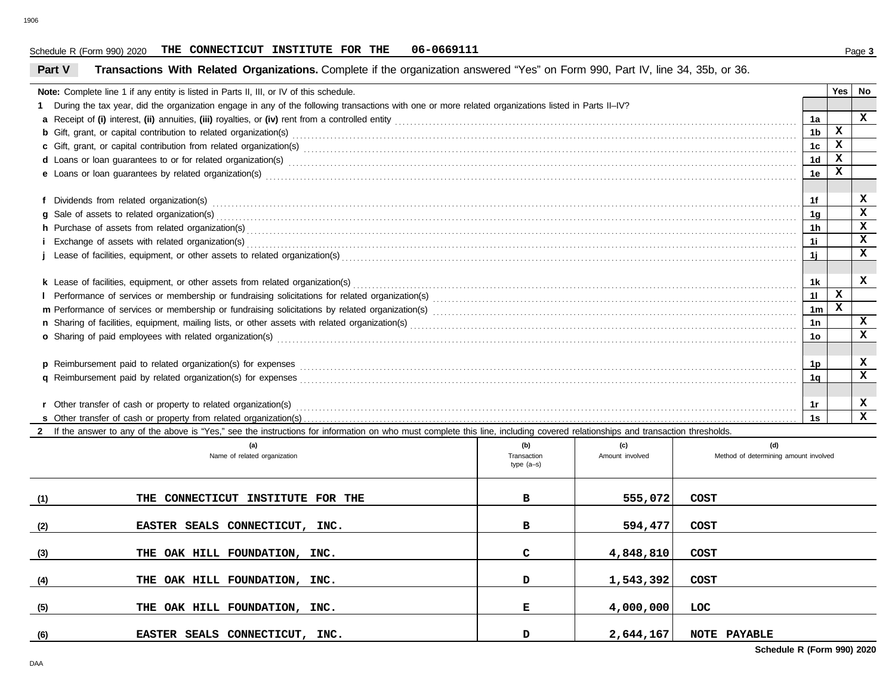### Schedule R (Form 990) 2020 Page **3 THE CONNECTICUT INSTITUTE FOR THE 06-0669111**

## **Part V Transactions With Related Organizations.** Complete if the organization answered "Yes" on Form 990, Part IV, line 34, 35b, or 36.

|                                                                                                                                                                                                                                                  | Note: Complete line 1 if any entity is listed in Parts II, III, or IV of this schedule.                                                                                                                                       |                            |                 |             |                                       |                | Yes          | No           |
|--------------------------------------------------------------------------------------------------------------------------------------------------------------------------------------------------------------------------------------------------|-------------------------------------------------------------------------------------------------------------------------------------------------------------------------------------------------------------------------------|----------------------------|-----------------|-------------|---------------------------------------|----------------|--------------|--------------|
|                                                                                                                                                                                                                                                  | 1 During the tax year, did the organization engage in any of the following transactions with one or more related organizations listed in Parts II-IV?                                                                         |                            |                 |             |                                       |                |              |              |
|                                                                                                                                                                                                                                                  |                                                                                                                                                                                                                               |                            |                 |             |                                       | 1a             |              | $\mathbf{x}$ |
| <b>b</b> Gift, grant, or capital contribution to related organization(s) encourse contained and contained and contribution to related organization(s) encourse contained and contained and contained and contained and contained an              |                                                                                                                                                                                                                               |                            |                 |             |                                       |                | $\mathbf{x}$ |              |
|                                                                                                                                                                                                                                                  |                                                                                                                                                                                                                               |                            |                 |             |                                       | 1 <sub>c</sub> | $\mathbf{x}$ |              |
|                                                                                                                                                                                                                                                  |                                                                                                                                                                                                                               |                            |                 |             |                                       | 1 <sub>d</sub> | $\mathbf{x}$ |              |
|                                                                                                                                                                                                                                                  |                                                                                                                                                                                                                               |                            |                 |             |                                       | 1e             | X            |              |
|                                                                                                                                                                                                                                                  |                                                                                                                                                                                                                               |                            |                 |             |                                       |                |              |              |
|                                                                                                                                                                                                                                                  |                                                                                                                                                                                                                               |                            |                 |             |                                       | 1f             |              | x            |
|                                                                                                                                                                                                                                                  |                                                                                                                                                                                                                               |                            |                 |             |                                       | 1 <sub>q</sub> |              | x            |
|                                                                                                                                                                                                                                                  | h Purchase of assets from related organization(s) encourance contains and contains a container and a contact or an experiment of assets from related organization(s) encourance contact the contact of the contact or contact |                            |                 |             |                                       | 1h             |              | $\mathbf{x}$ |
|                                                                                                                                                                                                                                                  |                                                                                                                                                                                                                               |                            |                 |             |                                       | 1i             |              | $\mathbf{x}$ |
|                                                                                                                                                                                                                                                  |                                                                                                                                                                                                                               |                            |                 |             |                                       | 1i             |              | x            |
|                                                                                                                                                                                                                                                  |                                                                                                                                                                                                                               |                            |                 |             |                                       |                |              |              |
|                                                                                                                                                                                                                                                  |                                                                                                                                                                                                                               |                            |                 |             |                                       | 1k             |              | x            |
|                                                                                                                                                                                                                                                  |                                                                                                                                                                                                                               |                            |                 |             |                                       | 11             | $\mathbf{x}$ |              |
|                                                                                                                                                                                                                                                  |                                                                                                                                                                                                                               |                            |                 |             |                                       | 1 <sub>m</sub> | $\mathbf{x}$ |              |
|                                                                                                                                                                                                                                                  |                                                                                                                                                                                                                               |                            |                 |             |                                       | 1n             |              | $\mathbf x$  |
| o Sharing of paid employees with related organization(s) encourance contains an accommodal contained and starting of paid employees with related organization(s) encourance contains an accommodal contained and starting of p<br>1 <sub>o</sub> |                                                                                                                                                                                                                               |                            |                 |             |                                       |                |              | $\mathbf x$  |
|                                                                                                                                                                                                                                                  |                                                                                                                                                                                                                               |                            |                 |             |                                       |                |              |              |
|                                                                                                                                                                                                                                                  |                                                                                                                                                                                                                               |                            |                 |             |                                       | 1p             |              | x            |
|                                                                                                                                                                                                                                                  |                                                                                                                                                                                                                               |                            |                 |             |                                       | 1α             |              | x            |
|                                                                                                                                                                                                                                                  |                                                                                                                                                                                                                               |                            |                 |             |                                       |                |              |              |
|                                                                                                                                                                                                                                                  |                                                                                                                                                                                                                               |                            |                 |             |                                       | 1r             |              | x            |
|                                                                                                                                                                                                                                                  |                                                                                                                                                                                                                               |                            |                 | 1s          |                                       | $\mathbf{x}$   |              |              |
|                                                                                                                                                                                                                                                  | 2 If the answer to any of the above is "Yes," see the instructions for information on who must complete this line, including covered relationships and transaction thresholds.                                                |                            |                 |             |                                       |                |              |              |
|                                                                                                                                                                                                                                                  | (a)                                                                                                                                                                                                                           | (b)                        | (c)             |             | (d)                                   |                |              |              |
|                                                                                                                                                                                                                                                  | Name of related organization                                                                                                                                                                                                  | Transaction<br>$type(a-s)$ | Amount involved |             | Method of determining amount involved |                |              |              |
|                                                                                                                                                                                                                                                  |                                                                                                                                                                                                                               |                            |                 |             |                                       |                |              |              |
|                                                                                                                                                                                                                                                  |                                                                                                                                                                                                                               |                            |                 |             |                                       |                |              |              |
| (1)                                                                                                                                                                                                                                              | THE CONNECTICUT INSTITUTE FOR THE                                                                                                                                                                                             | в                          | 555,072         | <b>COST</b> |                                       |                |              |              |
|                                                                                                                                                                                                                                                  |                                                                                                                                                                                                                               |                            |                 |             |                                       |                |              |              |
| (2)                                                                                                                                                                                                                                              | EASTER SEALS CONNECTICUT, INC.                                                                                                                                                                                                | в                          | 594,477         | <b>COST</b> |                                       |                |              |              |
|                                                                                                                                                                                                                                                  |                                                                                                                                                                                                                               |                            |                 |             |                                       |                |              |              |
| (3)                                                                                                                                                                                                                                              | THE OAK HILL FOUNDATION, INC.                                                                                                                                                                                                 | C                          | 4,848,810       | <b>COST</b> |                                       |                |              |              |
|                                                                                                                                                                                                                                                  |                                                                                                                                                                                                                               |                            |                 |             |                                       |                |              |              |
| (4)                                                                                                                                                                                                                                              | THE OAK HILL FOUNDATION, INC.                                                                                                                                                                                                 | D                          | 1,543,392       | <b>COST</b> |                                       |                |              |              |
|                                                                                                                                                                                                                                                  |                                                                                                                                                                                                                               |                            |                 |             |                                       |                |              |              |
| (5)                                                                                                                                                                                                                                              | THE OAK HILL FOUNDATION, INC.                                                                                                                                                                                                 | Е                          | 4,000,000       | <b>LOC</b>  |                                       |                |              |              |

**EASTER SEALS CONNECTICUT, INC. D 2,644,167 NOTE PAYABLE**

**(6)**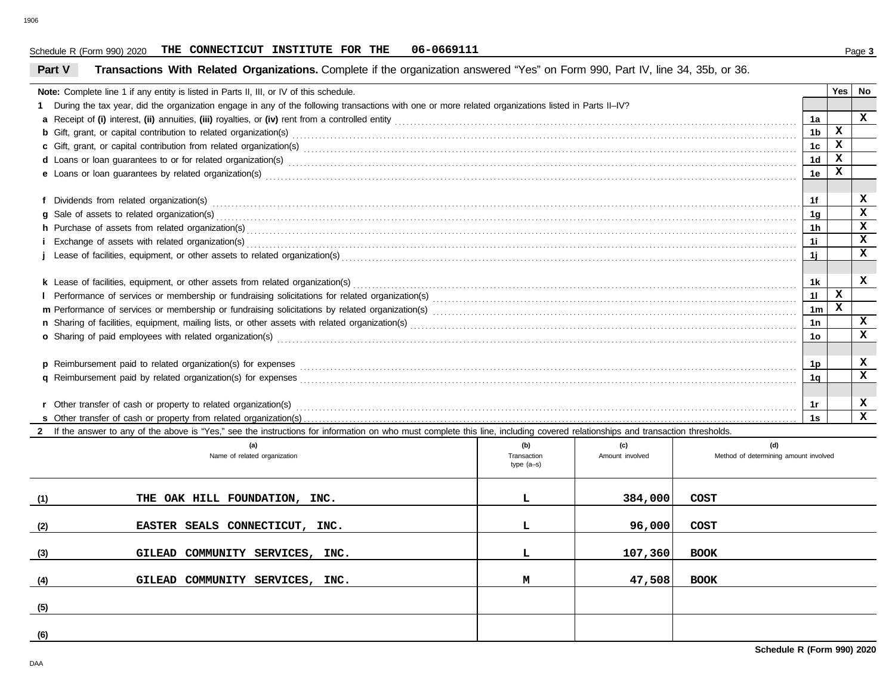### Schedule R (Form 990) 2020 Page **3 THE CONNECTICUT INSTITUTE FOR THE 06-0669111**

## **Part V Transactions With Related Organizations.** Complete if the organization answered "Yes" on Form 990, Part IV, line 34, 35b, or 36.

|                                                                                                                                                                                                                                     | Note: Complete line 1 if any entity is listed in Parts II, III, or IV of this schedule.                                                                                                                                        |     |         |             |                | Yes I        | No           |  |
|-------------------------------------------------------------------------------------------------------------------------------------------------------------------------------------------------------------------------------------|--------------------------------------------------------------------------------------------------------------------------------------------------------------------------------------------------------------------------------|-----|---------|-------------|----------------|--------------|--------------|--|
| 1 During the tax year, did the organization engage in any of the following transactions with one or more related organizations listed in Parts II-IV?                                                                               |                                                                                                                                                                                                                                |     |         |             |                |              |              |  |
|                                                                                                                                                                                                                                     |                                                                                                                                                                                                                                |     |         |             |                |              | $\mathbf{x}$ |  |
| <b>b</b> Gift, grant, or capital contribution to related organization(s) encourse contained and contained and contribution to related organization(s) encourse contained and contained and contained and contained and contained an |                                                                                                                                                                                                                                |     |         |             |                |              |              |  |
|                                                                                                                                                                                                                                     |                                                                                                                                                                                                                                |     |         |             |                |              |              |  |
|                                                                                                                                                                                                                                     | d Loans or loan guarantees to or for related organization(s) contact the contract contact contact contact contact contact contact contact contact contact contact contact contact contact contact contact contact contact cont |     |         |             |                |              |              |  |
|                                                                                                                                                                                                                                     |                                                                                                                                                                                                                                |     |         |             |                |              |              |  |
|                                                                                                                                                                                                                                     |                                                                                                                                                                                                                                |     |         |             |                |              |              |  |
|                                                                                                                                                                                                                                     |                                                                                                                                                                                                                                |     |         |             |                |              |              |  |
|                                                                                                                                                                                                                                     |                                                                                                                                                                                                                                |     |         |             | 1q             |              | $\mathbf x$  |  |
|                                                                                                                                                                                                                                     |                                                                                                                                                                                                                                |     |         |             | 1 <sub>h</sub> |              | $\mathbf x$  |  |
|                                                                                                                                                                                                                                     |                                                                                                                                                                                                                                |     |         |             | 1i             |              | $\mathbf x$  |  |
|                                                                                                                                                                                                                                     |                                                                                                                                                                                                                                |     |         |             | 11             |              | $\mathbf{x}$ |  |
|                                                                                                                                                                                                                                     |                                                                                                                                                                                                                                |     |         |             |                |              |              |  |
|                                                                                                                                                                                                                                     |                                                                                                                                                                                                                                |     |         |             | 1k             |              | x            |  |
|                                                                                                                                                                                                                                     |                                                                                                                                                                                                                                |     |         |             | 11             | $\mathbf{x}$ |              |  |
|                                                                                                                                                                                                                                     |                                                                                                                                                                                                                                |     |         |             | 1 <sub>m</sub> | x            |              |  |
|                                                                                                                                                                                                                                     |                                                                                                                                                                                                                                |     |         |             |                |              | X            |  |
|                                                                                                                                                                                                                                     | o Sharing of paid employees with related organization(s) expressional contract that the state of Sharing of paid employees with related organization(s)                                                                        |     |         |             |                |              |              |  |
|                                                                                                                                                                                                                                     |                                                                                                                                                                                                                                |     |         |             |                |              |              |  |
|                                                                                                                                                                                                                                     |                                                                                                                                                                                                                                |     |         |             | 1p             |              | x            |  |
|                                                                                                                                                                                                                                     |                                                                                                                                                                                                                                |     |         |             |                |              |              |  |
|                                                                                                                                                                                                                                     |                                                                                                                                                                                                                                |     |         |             |                |              |              |  |
|                                                                                                                                                                                                                                     |                                                                                                                                                                                                                                |     |         |             | 1r             |              | x            |  |
|                                                                                                                                                                                                                                     | 1s                                                                                                                                                                                                                             |     |         |             |                |              | X            |  |
|                                                                                                                                                                                                                                     | 2 If the answer to any of the above is "Yes," see the instructions for information on who must complete this line, including covered relationships and transaction thresholds.                                                 |     |         |             |                |              |              |  |
|                                                                                                                                                                                                                                     | (a)                                                                                                                                                                                                                            | (b) | (c)     | (d)         |                |              |              |  |
| Method of determining amount involved<br>Name of related organization<br>Amount involved<br>Transaction<br>type $(a-s)$                                                                                                             |                                                                                                                                                                                                                                |     |         |             |                |              |              |  |
|                                                                                                                                                                                                                                     |                                                                                                                                                                                                                                |     |         |             |                |              |              |  |
|                                                                                                                                                                                                                                     |                                                                                                                                                                                                                                |     |         |             |                |              |              |  |
| (1)                                                                                                                                                                                                                                 | THE OAK HILL FOUNDATION, INC.                                                                                                                                                                                                  | L   | 384,000 | <b>COST</b> |                |              |              |  |
|                                                                                                                                                                                                                                     |                                                                                                                                                                                                                                |     |         |             |                |              |              |  |
| (2)                                                                                                                                                                                                                                 | EASTER SEALS CONNECTICUT, INC.                                                                                                                                                                                                 | L   | 96,000  | <b>COST</b> |                |              |              |  |
|                                                                                                                                                                                                                                     |                                                                                                                                                                                                                                |     |         |             |                |              |              |  |
| (3)                                                                                                                                                                                                                                 | GILEAD COMMUNITY SERVICES, INC.                                                                                                                                                                                                | г   | 107,360 | <b>BOOK</b> |                |              |              |  |
|                                                                                                                                                                                                                                     |                                                                                                                                                                                                                                |     |         |             |                |              |              |  |
| (4)                                                                                                                                                                                                                                 | GILEAD COMMUNITY SERVICES, INC.                                                                                                                                                                                                | М   | 47,508  | <b>BOOK</b> |                |              |              |  |
|                                                                                                                                                                                                                                     |                                                                                                                                                                                                                                |     |         |             |                |              |              |  |

**(5)**

**(6)**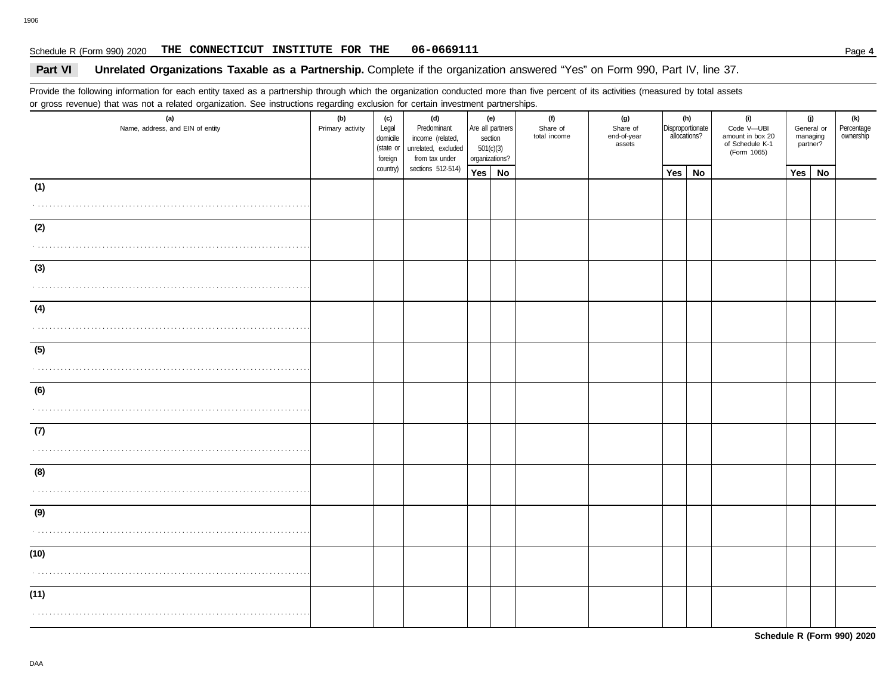## **Part VI Unrelated Organizations Taxable as a Partnership.** Complete if the organization answered "Yes" on Form 990, Part IV, line 37.

Provide the following information for each entity taxed as a partnership through which the organization conducted more than five percent of its activities (measured by total assets or gross revenue) that was not a related organization. See instructions regarding exclusion for certain investment partnerships.

| $\sim$ gives to total given the time that $\sim$<br>(a)<br>Name, address, and EIN of entity | . <del>.</del><br>۔ ت<br>(b)<br>Primary activity | (c)<br>Legal<br>domicile<br>(state or<br>foreign | (d)<br>Predominant<br>income (related,<br>unrelated, excluded<br>from tax under | (e)<br>section<br>501(c)(3)<br>organizations? | --------- <u>--------</u> -<br>Are all partners | (f)<br>Share of<br>total income | (g)<br>Share of<br>end-of-year<br>assets | Disproportionate<br>allocations? | (h)       | (i)<br>Code V-UBI<br>amount in box 20<br>of Schedule K-1<br>(Form 1065) | managing<br>partner? | (j)<br>General or | (k)<br>Percentage<br>ownership |
|---------------------------------------------------------------------------------------------|--------------------------------------------------|--------------------------------------------------|---------------------------------------------------------------------------------|-----------------------------------------------|-------------------------------------------------|---------------------------------|------------------------------------------|----------------------------------|-----------|-------------------------------------------------------------------------|----------------------|-------------------|--------------------------------|
|                                                                                             |                                                  | country)                                         | sections 512-514)                                                               | Yes No                                        |                                                 |                                 |                                          | Yes                              | <b>No</b> |                                                                         | Yes                  | No                |                                |
| (1)                                                                                         |                                                  |                                                  |                                                                                 |                                               |                                                 |                                 |                                          |                                  |           |                                                                         |                      |                   |                                |
| (2)                                                                                         |                                                  |                                                  |                                                                                 |                                               |                                                 |                                 |                                          |                                  |           |                                                                         |                      |                   |                                |
| (3)                                                                                         |                                                  |                                                  |                                                                                 |                                               |                                                 |                                 |                                          |                                  |           |                                                                         |                      |                   |                                |
| (4)                                                                                         |                                                  |                                                  |                                                                                 |                                               |                                                 |                                 |                                          |                                  |           |                                                                         |                      |                   |                                |
| (5)<br>.                                                                                    |                                                  |                                                  |                                                                                 |                                               |                                                 |                                 |                                          |                                  |           |                                                                         |                      |                   |                                |
| (6)                                                                                         |                                                  |                                                  |                                                                                 |                                               |                                                 |                                 |                                          |                                  |           |                                                                         |                      |                   |                                |
| (7)                                                                                         |                                                  |                                                  |                                                                                 |                                               |                                                 |                                 |                                          |                                  |           |                                                                         |                      |                   |                                |
| (8)                                                                                         |                                                  |                                                  |                                                                                 |                                               |                                                 |                                 |                                          |                                  |           |                                                                         |                      |                   |                                |
| (9)                                                                                         |                                                  |                                                  |                                                                                 |                                               |                                                 |                                 |                                          |                                  |           |                                                                         |                      |                   |                                |
| (10)                                                                                        |                                                  |                                                  |                                                                                 |                                               |                                                 |                                 |                                          |                                  |           |                                                                         |                      |                   |                                |
| (11)                                                                                        |                                                  |                                                  |                                                                                 |                                               |                                                 |                                 |                                          |                                  |           |                                                                         |                      |                   |                                |